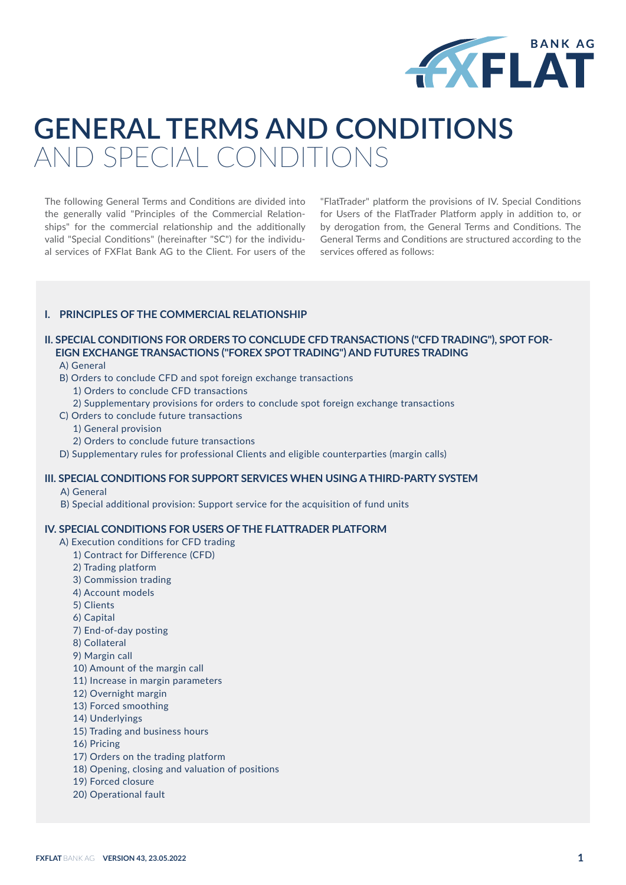

# **GENERAL TERMS AND CONDITIONS**  AND SPECIAL CONDITIONS

The following General Terms and Conditions are divided into the generally valid "Principles of the Commercial Relationships" for the commercial relationship and the additionally valid "Special Conditions" (hereinafter "SC") for the individual services of FXFlat Bank AG to the Client. For users of the "FlatTrader" platform the provisions of IV. Special Conditions for Users of the FlatTrader Platform apply in addition to, or by derogation from, the General Terms and Conditions. The General Terms and Conditions are structured according to the services offered as follows:

# **I. PRINCIPLES OF THE COMMERCIAL RELATIONSHIP**

# **II. SPECIAL CONDITIONS FOR ORDERS TO CONCLUDE CFD TRANSACTIONS ("CFD TRADING"), SPOT FOR-EIGN EXCHANGE TRANSACTIONS ("FOREX SPOT TRADING") AND FUTURES TRADING**

A) General

- B) Orders to conclude CFD and spot foreign exchange transactions
	- 1) Orders to conclude CFD transactions
- 2) Supplementary provisions for orders to conclude spot foreign exchange transactions
- C) Orders to conclude future transactions
	- 1) General provision
	- 2) Orders to conclude future transactions
- D) Supplementary rules for professional Clients and eligible counterparties (margin calls)

# **III. SPECIAL CONDITIONS FOR SUPPORT SERVICES WHEN USING A THIRD-PARTY SYSTEM**

A) General

B) Special additional provision: Support service for the acquisition of fund units

## **IV. SPECIAL CONDITIONS FOR USERS OF THE FLATTRADER PLATFORM**

- A) Execution conditions for CFD trading
	- 1) Contract for Difference (CFD)
	- 2) Trading platform
	- 3) Commission trading
	- 4) Account models
	- 5) Clients
	- 6) Capital
	- 7) End-of-day posting
	- 8) Collateral
	- 9) Margin call
	- 10) Amount of the margin call
	- 11) Increase in margin parameters
	- 12) Overnight margin
	- 13) Forced smoothing
	- 14) Underlyings
	- 15) Trading and business hours
	- 16) Pricing
	- 17) Orders on the trading platform
	- 18) Opening, closing and valuation of positions
	- 19) Forced closure
	- 20) Operational fault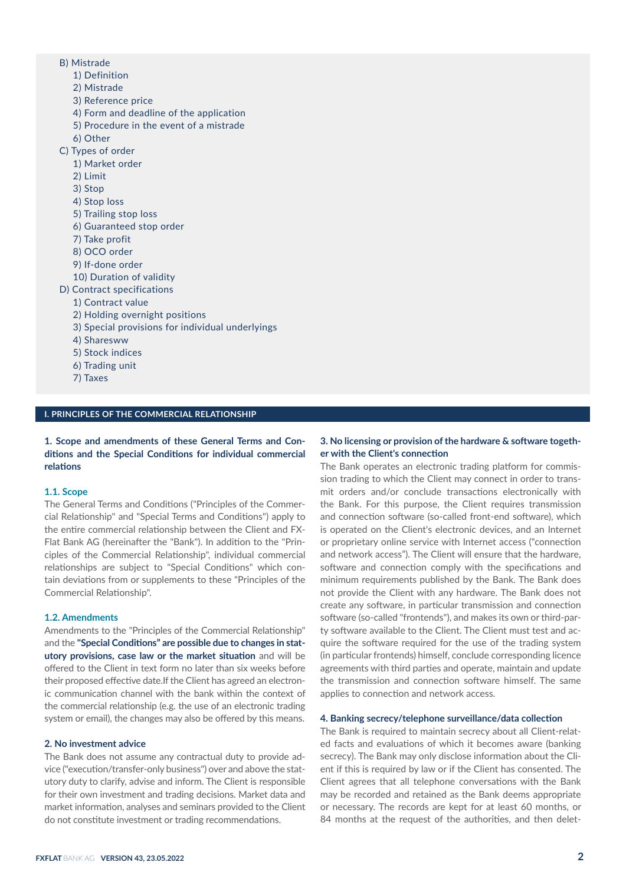- B) Mistrade
	- 1) Definition
	- 2) Mistrade
	- 3) Reference price
	- 4) Form and deadline of the application
	- 5) Procedure in the event of a mistrade
	- 6) Other
- C) Types of order
	- 1) Market order
	- 2) Limit
	- 3) Stop
	- 4) Stop loss
	- 5) Trailing stop loss
	- 6) Guaranteed stop order
	- 7) Take profit
	- 8) OCO order
	- 9) If-done order
	- 10) Duration of validity
- D) Contract specifications
	- 1) Contract value
	- 2) Holding overnight positions
	- 3) Special provisions for individual underlyings
	- 4) Sharesww
	- 5) Stock indices
	- 6) Trading unit
	- 7) Taxes

#### **I. PRINCIPLES OF THE COMMERCIAL RELATIONSHIP**

**1. Scope and amendments of these General Terms and Conditions and the Special Conditions for individual commercial relations**

## **1.1. Scope**

The General Terms and Conditions ("Principles of the Commercial Relationship" and "Special Terms and Conditions") apply to the entire commercial relationship between the Client and FX-Flat Bank AG (hereinafter the "Bank"). In addition to the "Principles of the Commercial Relationship", individual commercial relationships are subject to "Special Conditions" which contain deviations from or supplements to these "Principles of the Commercial Relationship".

## **1.2. Amendments**

Amendments to the "Principles of the Commercial Relationship" and the **"Special Conditions" are possible due to changes in statutory provisions, case law or the market situation** and will be offered to the Client in text form no later than six weeks before their proposed effective date.If the Client has agreed an electronic communication channel with the bank within the context of the commercial relationship (e.g. the use of an electronic trading system or email), the changes may also be offered by this means.

## **2. No investment advice**

The Bank does not assume any contractual duty to provide advice ("execution/transfer-only business") over and above the statutory duty to clarify, advise and inform. The Client is responsible for their own investment and trading decisions. Market data and market information, analyses and seminars provided to the Client do not constitute investment or trading recommendations.

# **3. No licensing or provision of the hardware & software together with the Client's connection**

The Bank operates an electronic trading platform for commission trading to which the Client may connect in order to transmit orders and/or conclude transactions electronically with the Bank. For this purpose, the Client requires transmission and connection software (so-called front-end software), which is operated on the Client's electronic devices, and an Internet or proprietary online service with Internet access ("connection and network access"). The Client will ensure that the hardware, software and connection comply with the specifications and minimum requirements published by the Bank. The Bank does not provide the Client with any hardware. The Bank does not create any software, in particular transmission and connection software (so-called "frontends"), and makes its own or third-party software available to the Client. The Client must test and acquire the software required for the use of the trading system (in particular frontends) himself, conclude corresponding licence agreements with third parties and operate, maintain and update the transmission and connection software himself. The same applies to connection and network access.

#### **4. Banking secrecy/telephone surveillance/data collection**

The Bank is required to maintain secrecy about all Client-related facts and evaluations of which it becomes aware (banking secrecy). The Bank may only disclose information about the Client if this is required by law or if the Client has consented. The Client agrees that all telephone conversations with the Bank may be recorded and retained as the Bank deems appropriate or necessary. The records are kept for at least 60 months, or 84 months at the request of the authorities, and then delet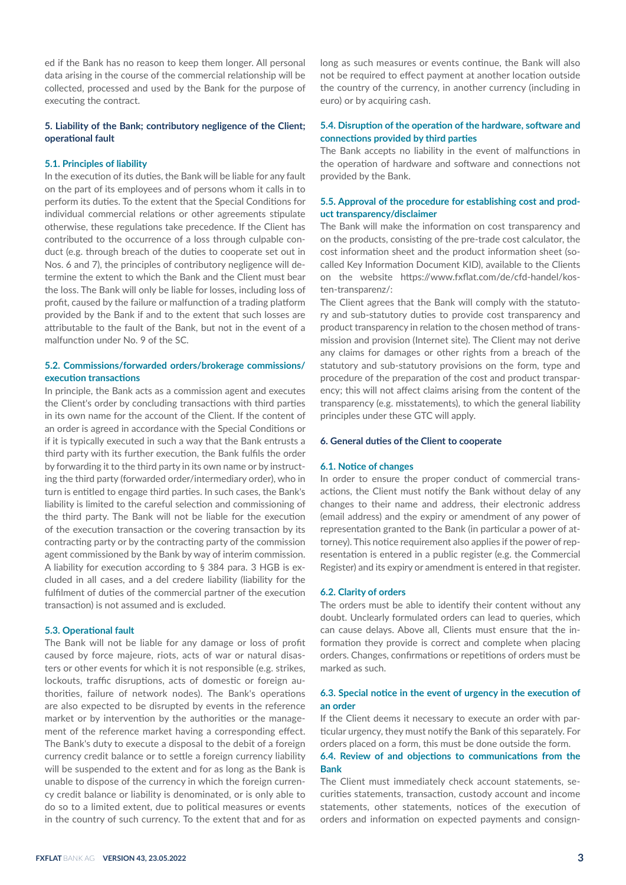ed if the Bank has no reason to keep them longer. All personal data arising in the course of the commercial relationship will be collected, processed and used by the Bank for the purpose of executing the contract.

# **5. Liability of the Bank; contributory negligence of the Client; operational fault**

## **5.1. Principles of liability**

In the execution of its duties, the Bank will be liable for any fault on the part of its employees and of persons whom it calls in to perform its duties. To the extent that the Special Conditions for individual commercial relations or other agreements stipulate otherwise, these regulations take precedence. If the Client has contributed to the occurrence of a loss through culpable conduct (e.g. through breach of the duties to cooperate set out in Nos. 6 and 7), the principles of contributory negligence will determine the extent to which the Bank and the Client must bear the loss. The Bank will only be liable for losses, including loss of profit, caused by the failure or malfunction of a trading platform provided by the Bank if and to the extent that such losses are attributable to the fault of the Bank, but not in the event of a malfunction under No. 9 of the SC.

# **5.2. Commissions/forwarded orders/brokerage commissions/ execution transactions**

In principle, the Bank acts as a commission agent and executes the Client's order by concluding transactions with third parties in its own name for the account of the Client. If the content of an order is agreed in accordance with the Special Conditions or if it is typically executed in such a way that the Bank entrusts a third party with its further execution, the Bank fulfils the order by forwarding it to the third party in its own name or by instructing the third party (forwarded order/intermediary order), who in turn is entitled to engage third parties. In such cases, the Bank's liability is limited to the careful selection and commissioning of the third party. The Bank will not be liable for the execution of the execution transaction or the covering transaction by its contracting party or by the contracting party of the commission agent commissioned by the Bank by way of interim commission. A liability for execution according to § 384 para. 3 HGB is excluded in all cases, and a del credere liability (liability for the fulfilment of duties of the commercial partner of the execution transaction) is not assumed and is excluded.

## **5.3. Operational fault**

The Bank will not be liable for any damage or loss of profit caused by force majeure, riots, acts of war or natural disasters or other events for which it is not responsible (e.g. strikes, lockouts, traffic disruptions, acts of domestic or foreign authorities, failure of network nodes). The Bank's operations are also expected to be disrupted by events in the reference market or by intervention by the authorities or the management of the reference market having a corresponding effect. The Bank's duty to execute a disposal to the debit of a foreign currency credit balance or to settle a foreign currency liability will be suspended to the extent and for as long as the Bank is unable to dispose of the currency in which the foreign currency credit balance or liability is denominated, or is only able to do so to a limited extent, due to political measures or events in the country of such currency. To the extent that and for as

long as such measures or events continue, the Bank will also not be required to effect payment at another location outside the country of the currency, in another currency (including in euro) or by acquiring cash.

# **5.4. Disruption of the operation of the hardware, software and connections provided by third parties**

The Bank accepts no liability in the event of malfunctions in the operation of hardware and software and connections not provided by the Bank.

# **5.5. Approval of the procedure for establishing cost and product transparency/disclaimer**

The Bank will make the information on cost transparency and on the products, consisting of the pre-trade cost calculator, the cost information sheet and the product information sheet (socalled Key Information Document KID), available to the Clients on the website https://www.fxflat.com/de/cfd-handel/kosten-transparenz/:

The Client agrees that the Bank will comply with the statutory and sub-statutory duties to provide cost transparency and product transparency in relation to the chosen method of transmission and provision (Internet site). The Client may not derive any claims for damages or other rights from a breach of the statutory and sub-statutory provisions on the form, type and procedure of the preparation of the cost and product transparency; this will not affect claims arising from the content of the transparency (e.g. misstatements), to which the general liability principles under these GTC will apply.

## **6. General duties of the Client to cooperate**

#### **6.1. Notice of changes**

In order to ensure the proper conduct of commercial transactions, the Client must notify the Bank without delay of any changes to their name and address, their electronic address (email address) and the expiry or amendment of any power of representation granted to the Bank (in particular a power of attorney). This notice requirement also applies if the power of representation is entered in a public register (e.g. the Commercial Register) and its expiry or amendment is entered in that register.

#### **6.2. Clarity of orders**

The orders must be able to identify their content without any doubt. Unclearly formulated orders can lead to queries, which can cause delays. Above all, Clients must ensure that the information they provide is correct and complete when placing orders. Changes, confirmations or repetitions of orders must be marked as such.

## **6.3. Special notice in the event of urgency in the execution of an order**

If the Client deems it necessary to execute an order with particular urgency, they must notify the Bank of this separately. For orders placed on a form, this must be done outside the form.

# **6.4. Review of and objections to communications from the Bank**

The Client must immediately check account statements, securities statements, transaction, custody account and income statements, other statements, notices of the execution of orders and information on expected payments and consign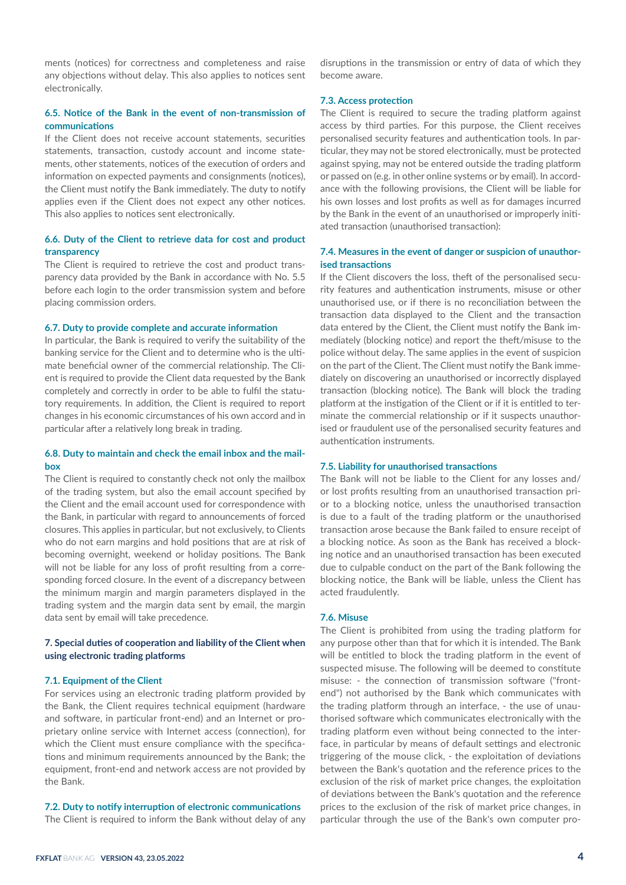ments (notices) for correctness and completeness and raise any objections without delay. This also applies to notices sent electronically.

# **6.5. Notice of the Bank in the event of non-transmission of communications**

If the Client does not receive account statements, securities statements, transaction, custody account and income statements, other statements, notices of the execution of orders and information on expected payments and consignments (notices), the Client must notify the Bank immediately. The duty to notify applies even if the Client does not expect any other notices. This also applies to notices sent electronically.

# **6.6. Duty of the Client to retrieve data for cost and product transparency**

The Client is required to retrieve the cost and product transparency data provided by the Bank in accordance with No. 5.5 before each login to the order transmission system and before placing commission orders.

#### **6.7. Duty to provide complete and accurate information**

In particular, the Bank is required to verify the suitability of the banking service for the Client and to determine who is the ultimate beneficial owner of the commercial relationship. The Client is required to provide the Client data requested by the Bank completely and correctly in order to be able to fulfil the statutory requirements. In addition, the Client is required to report changes in his economic circumstances of his own accord and in particular after a relatively long break in trading.

# **6.8. Duty to maintain and check the email inbox and the mailbox**

The Client is required to constantly check not only the mailbox of the trading system, but also the email account specified by the Client and the email account used for correspondence with the Bank, in particular with regard to announcements of forced closures. This applies in particular, but not exclusively, to Clients who do not earn margins and hold positions that are at risk of becoming overnight, weekend or holiday positions. The Bank will not be liable for any loss of profit resulting from a corresponding forced closure. In the event of a discrepancy between the minimum margin and margin parameters displayed in the trading system and the margin data sent by email, the margin data sent by email will take precedence.

# **7. Special duties of cooperation and liability of the Client when using electronic trading platforms**

#### **7.1. Equipment of the Client**

For services using an electronic trading platform provided by the Bank, the Client requires technical equipment (hardware and software, in particular front-end) and an Internet or proprietary online service with Internet access (connection), for which the Client must ensure compliance with the specifications and minimum requirements announced by the Bank; the equipment, front-end and network access are not provided by the Bank.

#### **7.2. Duty to notify interruption of electronic communications**

The Client is required to inform the Bank without delay of any

disruptions in the transmission or entry of data of which they become aware.

#### **7.3. Access protection**

The Client is required to secure the trading platform against access by third parties. For this purpose, the Client receives personalised security features and authentication tools. In particular, they may not be stored electronically, must be protected against spying, may not be entered outside the trading platform or passed on (e.g. in other online systems or by email). In accordance with the following provisions, the Client will be liable for his own losses and lost profits as well as for damages incurred by the Bank in the event of an unauthorised or improperly initiated transaction (unauthorised transaction):

# **7.4. Measures in the event of danger or suspicion of unauthorised transactions**

If the Client discovers the loss, theft of the personalised security features and authentication instruments, misuse or other unauthorised use, or if there is no reconciliation between the transaction data displayed to the Client and the transaction data entered by the Client, the Client must notify the Bank immediately (blocking notice) and report the theft/misuse to the police without delay. The same applies in the event of suspicion on the part of the Client. The Client must notify the Bank immediately on discovering an unauthorised or incorrectly displayed transaction (blocking notice). The Bank will block the trading platform at the instigation of the Client or if it is entitled to terminate the commercial relationship or if it suspects unauthorised or fraudulent use of the personalised security features and authentication instruments.

#### **7.5. Liability for unauthorised transactions**

The Bank will not be liable to the Client for any losses and/ or lost profits resulting from an unauthorised transaction prior to a blocking notice, unless the unauthorised transaction is due to a fault of the trading platform or the unauthorised transaction arose because the Bank failed to ensure receipt of a blocking notice. As soon as the Bank has received a blocking notice and an unauthorised transaction has been executed due to culpable conduct on the part of the Bank following the blocking notice, the Bank will be liable, unless the Client has acted fraudulently.

## **7.6. Misuse**

The Client is prohibited from using the trading platform for any purpose other than that for which it is intended. The Bank will be entitled to block the trading platform in the event of suspected misuse. The following will be deemed to constitute misuse: - the connection of transmission software ("frontend") not authorised by the Bank which communicates with the trading platform through an interface, - the use of unauthorised software which communicates electronically with the trading platform even without being connected to the interface, in particular by means of default settings and electronic triggering of the mouse click, - the exploitation of deviations between the Bank's quotation and the reference prices to the exclusion of the risk of market price changes, the exploitation of deviations between the Bank's quotation and the reference prices to the exclusion of the risk of market price changes, in particular through the use of the Bank's own computer pro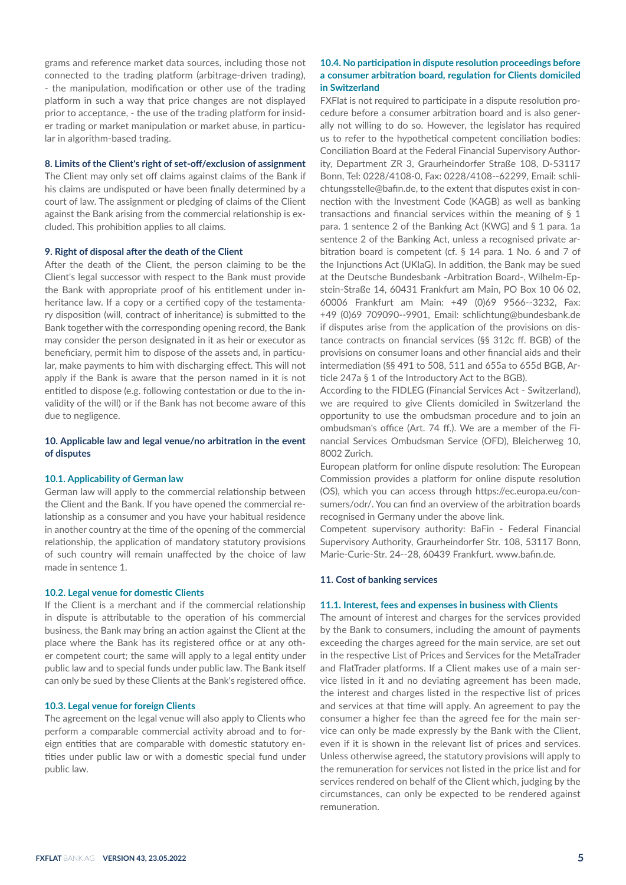grams and reference market data sources, including those not connected to the trading platform (arbitrage-driven trading), - the manipulation, modification or other use of the trading platform in such a way that price changes are not displayed prior to acceptance, - the use of the trading platform for insider trading or market manipulation or market abuse, in particular in algorithm-based trading.

#### **8. Limits of the Client's right of set-off/exclusion of assignment**

The Client may only set off claims against claims of the Bank if his claims are undisputed or have been finally determined by a court of law. The assignment or pledging of claims of the Client against the Bank arising from the commercial relationship is excluded. This prohibition applies to all claims.

#### **9. Right of disposal after the death of the Client**

After the death of the Client, the person claiming to be the Client's legal successor with respect to the Bank must provide the Bank with appropriate proof of his entitlement under inheritance law. If a copy or a certified copy of the testamentary disposition (will, contract of inheritance) is submitted to the Bank together with the corresponding opening record, the Bank may consider the person designated in it as heir or executor as beneficiary, permit him to dispose of the assets and, in particular, make payments to him with discharging effect. This will not apply if the Bank is aware that the person named in it is not entitled to dispose (e.g. following contestation or due to the invalidity of the will) or if the Bank has not become aware of this due to negligence.

# **10. Applicable law and legal venue/no arbitration in the event of disputes**

#### **10.1. Applicability of German law**

German law will apply to the commercial relationship between the Client and the Bank. If you have opened the commercial relationship as a consumer and you have your habitual residence in another country at the time of the opening of the commercial relationship, the application of mandatory statutory provisions of such country will remain unaffected by the choice of law made in sentence 1.

## **10.2. Legal venue for domestic Clients**

If the Client is a merchant and if the commercial relationship in dispute is attributable to the operation of his commercial business, the Bank may bring an action against the Client at the place where the Bank has its registered office or at any other competent court; the same will apply to a legal entity under public law and to special funds under public law. The Bank itself can only be sued by these Clients at the Bank's registered office.

#### **10.3. Legal venue for foreign Clients**

The agreement on the legal venue will also apply to Clients who perform a comparable commercial activity abroad and to foreign entities that are comparable with domestic statutory entities under public law or with a domestic special fund under public law.

# **10.4. No participation in dispute resolution proceedings before a consumer arbitration board, regulation for Clients domiciled in Switzerland**

FXFlat is not required to participate in a dispute resolution procedure before a consumer arbitration board and is also generally not willing to do so. However, the legislator has required us to refer to the hypothetical competent conciliation bodies: Conciliation Board at the Federal Financial Supervisory Authority, Department ZR 3, Graurheindorfer Straße 108, D-53117 Bonn, Tel: 0228/4108-0, Fax: 0228/4108--62299, Email: schlichtungsstelle@bafin.de, to the extent that disputes exist in connection with the Investment Code (KAGB) as well as banking transactions and financial services within the meaning of § 1 para. 1 sentence 2 of the Banking Act (KWG) and § 1 para. 1a sentence 2 of the Banking Act, unless a recognised private arbitration board is competent (cf. § 14 para. 1 No. 6 and 7 of the Injunctions Act (UKlaG). In addition, the Bank may be sued at the Deutsche Bundesbank -Arbitration Board-, Wilhelm-Epstein-Straße 14, 60431 Frankfurt am Main, PO Box 10 06 02, 60006 Frankfurt am Main: +49 (0)69 9566--3232, Fax: +49 (0)69 709090--9901, Email: schlichtung@bundesbank.de if disputes arise from the application of the provisions on distance contracts on financial services (§§ 312c ff. BGB) of the provisions on consumer loans and other financial aids and their intermediation (§§ 491 to 508, 511 and 655a to 655d BGB, Article 247a § 1 of the Introductory Act to the BGB).

According to the FIDLEG (Financial Services Act - Switzerland), we are required to give Clients domiciled in Switzerland the opportunity to use the ombudsman procedure and to join an ombudsman's office (Art. 74 ff.). We are a member of the Financial Services Ombudsman Service (OFD), Bleicherweg 10, 8002 Zurich.

European platform for online dispute resolution: The European Commission provides a platform for online dispute resolution (OS), which you can access through https://ec.europa.eu/consumers/odr/. You can find an overview of the arbitration boards recognised in Germany under the above link.

Competent supervisory authority: BaFin - Federal Financial Supervisory Authority, Graurheindorfer Str. 108, 53117 Bonn, Marie-Curie-Str. 24--28, 60439 Frankfurt. www.bafin.de.

## **11. Cost of banking services**

#### **11.1. Interest, fees and expenses in business with Clients**

The amount of interest and charges for the services provided by the Bank to consumers, including the amount of payments exceeding the charges agreed for the main service, are set out in the respective List of Prices and Services for the MetaTrader and FlatTrader platforms. If a Client makes use of a main service listed in it and no deviating agreement has been made, the interest and charges listed in the respective list of prices and services at that time will apply. An agreement to pay the consumer a higher fee than the agreed fee for the main service can only be made expressly by the Bank with the Client, even if it is shown in the relevant list of prices and services. Unless otherwise agreed, the statutory provisions will apply to the remuneration for services not listed in the price list and for services rendered on behalf of the Client which, judging by the circumstances, can only be expected to be rendered against remuneration.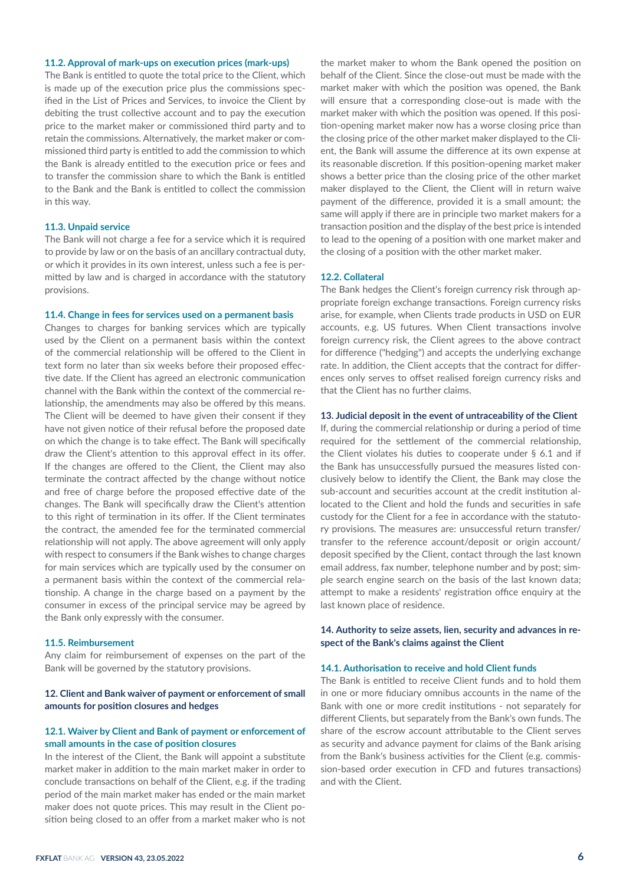#### **11.2. Approval of mark-ups on execution prices (mark-ups)**

The Bank is entitled to quote the total price to the Client, which is made up of the execution price plus the commissions specified in the List of Prices and Services, to invoice the Client by debiting the trust collective account and to pay the execution price to the market maker or commissioned third party and to retain the commissions. Alternatively, the market maker or commissioned third party is entitled to add the commission to which the Bank is already entitled to the execution price or fees and to transfer the commission share to which the Bank is entitled to the Bank and the Bank is entitled to collect the commission in this way.

#### **11.3. Unpaid service**

The Bank will not charge a fee for a service which it is required to provide by law or on the basis of an ancillary contractual duty, or which it provides in its own interest, unless such a fee is permitted by law and is charged in accordance with the statutory provisions.

## **11.4. Change in fees for services used on a permanent basis**

Changes to charges for banking services which are typically used by the Client on a permanent basis within the context of the commercial relationship will be offered to the Client in text form no later than six weeks before their proposed effective date. If the Client has agreed an electronic communication channel with the Bank within the context of the commercial relationship, the amendments may also be offered by this means. The Client will be deemed to have given their consent if they have not given notice of their refusal before the proposed date on which the change is to take effect. The Bank will specifically draw the Client's attention to this approval effect in its offer. If the changes are offered to the Client, the Client may also terminate the contract affected by the change without notice and free of charge before the proposed effective date of the changes. The Bank will specifically draw the Client's attention to this right of termination in its offer. If the Client terminates the contract, the amended fee for the terminated commercial relationship will not apply. The above agreement will only apply with respect to consumers if the Bank wishes to change charges for main services which are typically used by the consumer on a permanent basis within the context of the commercial relationship. A change in the charge based on a payment by the consumer in excess of the principal service may be agreed by the Bank only expressly with the consumer.

#### **11.5. Reimbursement**

Any claim for reimbursement of expenses on the part of the Bank will be governed by the statutory provisions.

## **12. Client and Bank waiver of payment or enforcement of small amounts for position closures and hedges**

# **12.1. Waiver by Client and Bank of payment or enforcement of small amounts in the case of position closures**

In the interest of the Client, the Bank will appoint a substitute market maker in addition to the main market maker in order to conclude transactions on behalf of the Client, e.g. if the trading period of the main market maker has ended or the main market maker does not quote prices. This may result in the Client position being closed to an offer from a market maker who is not the market maker to whom the Bank opened the position on behalf of the Client. Since the close-out must be made with the market maker with which the position was opened, the Bank will ensure that a corresponding close-out is made with the market maker with which the position was opened. If this position-opening market maker now has a worse closing price than the closing price of the other market maker displayed to the Client, the Bank will assume the difference at its own expense at its reasonable discretion. If this position-opening market maker shows a better price than the closing price of the other market maker displayed to the Client, the Client will in return waive payment of the difference, provided it is a small amount; the same will apply if there are in principle two market makers for a transaction position and the display of the best price is intended to lead to the opening of a position with one market maker and the closing of a position with the other market maker.

#### **12.2. Collateral**

The Bank hedges the Client's foreign currency risk through appropriate foreign exchange transactions. Foreign currency risks arise, for example, when Clients trade products in USD on EUR accounts, e.g. US futures. When Client transactions involve foreign currency risk, the Client agrees to the above contract for difference ("hedging") and accepts the underlying exchange rate. In addition, the Client accepts that the contract for differences only serves to offset realised foreign currency risks and that the Client has no further claims.

## **13. Judicial deposit in the event of untraceability of the Client**

If, during the commercial relationship or during a period of time required for the settlement of the commercial relationship, the Client violates his duties to cooperate under § 6.1 and if the Bank has unsuccessfully pursued the measures listed conclusively below to identify the Client, the Bank may close the sub-account and securities account at the credit institution allocated to the Client and hold the funds and securities in safe custody for the Client for a fee in accordance with the statutory provisions. The measures are: unsuccessful return transfer/ transfer to the reference account/deposit or origin account/ deposit specified by the Client, contact through the last known email address, fax number, telephone number and by post; simple search engine search on the basis of the last known data; attempt to make a residents' registration office enquiry at the last known place of residence.

# **14. Authority to seize assets, lien, security and advances in respect of the Bank's claims against the Client**

## **14.1. Authorisation to receive and hold Client funds**

The Bank is entitled to receive Client funds and to hold them in one or more fiduciary omnibus accounts in the name of the Bank with one or more credit institutions - not separately for different Clients, but separately from the Bank's own funds. The share of the escrow account attributable to the Client serves as security and advance payment for claims of the Bank arising from the Bank's business activities for the Client (e.g. commission-based order execution in CFD and futures transactions) and with the Client.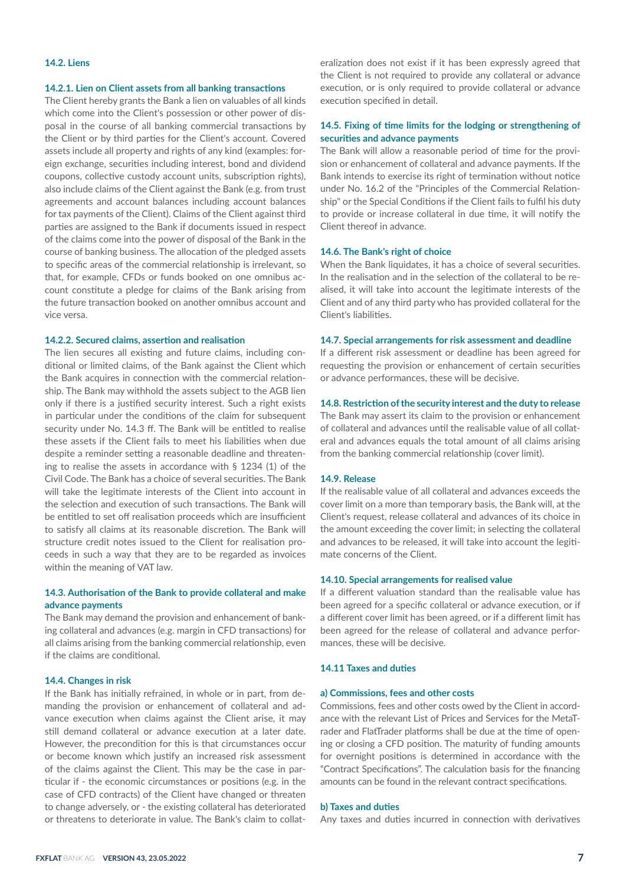# **14.2. Liens**

#### **14.2.1. Lien on Client assets from all banking transactions**

The Client hereby grants the Bank a lien on valuables of all kinds which come into the Client's possession or other power of disposal in the course of all banking commercial transactions by the Client or by third parties for the Client's account. Covered assets include all property and rights of any kind (examples: foreign exchange, securities including interest, bond and dividend coupons, collective custody account units, subscription rights), also include claims of the Client against the Bank (e.g. from trust agreements and account balances including account balances for tax payments of the Client). Claims of the Client against third parties are assigned to the Bank if documents issued in respect of the claims come into the power of disposal of the Bank in the course of banking business. The allocation of the pledged assets to specific areas of the commercial relationship is irrelevant, so that, for example, CFDs or funds booked on one omnibus account constitute a pledge for claims of the Bank arising from the future transaction booked on another omnibus account and vice versa.

## **14.2.2. Secured claims, assertion and realisation**

The lien secures all existing and future claims, including conditional or limited claims, of the Bank against the Client which the Bank acquires in connection with the commercial relationship. The Bank may withhold the assets subject to the AGB lien only if there is a justified security interest. Such a right exists in particular under the conditions of the claim for subsequent security under No. 14.3 ff. The Bank will be entitled to realise these assets if the Client fails to meet his liabilities when due despite a reminder setting a reasonable deadline and threatening to realise the assets in accordance with § 1234 (1) of the Civil Code. The Bank has a choice of several securities. The Bank will take the legitimate interests of the Client into account in the selection and execution of such transactions. The Bank will be entitled to set off realisation proceeds which are insufficient to satisfy all claims at its reasonable discretion. The Bank will structure credit notes issued to the Client for realisation proceeds in such a way that they are to be regarded as invoices within the meaning of VAT law.

# **14.3. Authorisation of the Bank to provide collateral and make advance payments**

The Bank may demand the provision and enhancement of banking collateral and advances (e.g. margin in CFD transactions) for all claims arising from the banking commercial relationship, even if the claims are conditional.

#### **14.4. Changes in risk**

If the Bank has initially refrained, in whole or in part, from demanding the provision or enhancement of collateral and advance execution when claims against the Client arise, it may still demand collateral or advance execution at a later date. However, the precondition for this is that circumstances occur or become known which justify an increased risk assessment of the claims against the Client. This may be the case in particular if - the economic circumstances or positions (e.g. in the case of CFD contracts) of the Client have changed or threaten to change adversely, or - the existing collateral has deteriorated or threatens to deteriorate in value. The Bank's claim to collateralization does not exist if it has been expressly agreed that the Client is not required to provide any collateral or advance execution, or is only required to provide collateral or advance execution specified in detail.

# **14.5. Fixing of time limits for the lodging or strengthening of securities and advance payments**

The Bank will allow a reasonable period of time for the provision or enhancement of collateral and advance payments. If the Bank intends to exercise its right of termination without notice under No. 16.2 of the "Principles of the Commercial Relationship" or the Special Conditions if the Client fails to fulfil his duty to provide or increase collateral in due time, it will notify the Client thereof in advance.

## **14.6. The Bank's right of choice**

When the Bank liquidates, it has a choice of several securities. In the realisation and in the selection of the collateral to be realised, it will take into account the legitimate interests of the Client and of any third party who has provided collateral for the Client's liabilities.

#### **14.7. Special arrangements for risk assessment and deadline**

If a different risk assessment or deadline has been agreed for requesting the provision or enhancement of certain securities or advance performances, these will be decisive.

#### **14.8. Restriction of the security interest and the duty to release**

The Bank may assert its claim to the provision or enhancement of collateral and advances until the realisable value of all collateral and advances equals the total amount of all claims arising from the banking commercial relationship (cover limit).

# **14.9. Release**

If the realisable value of all collateral and advances exceeds the cover limit on a more than temporary basis, the Bank will, at the Client's request, release collateral and advances of its choice in the amount exceeding the cover limit; in selecting the collateral and advances to be released, it will take into account the legitimate concerns of the Client.

#### **14.10. Special arrangements for realised value**

If a different valuation standard than the realisable value has been agreed for a specific collateral or advance execution, or if a different cover limit has been agreed, or if a different limit has been agreed for the release of collateral and advance performances, these will be decisive.

## **14.11 Taxes and duties**

#### **a) Commissions, fees and other costs**

Commissions, fees and other costs owed by the Client in accordance with the relevant List of Prices and Services for the MetaTrader and FlatTrader platforms shall be due at the time of opening or closing a CFD position. The maturity of funding amounts for overnight positions is determined in accordance with the "Contract Specifications". The calculation basis for the financing amounts can be found in the relevant contract specifications.

#### **b) Taxes and duties**

Any taxes and duties incurred in connection with derivatives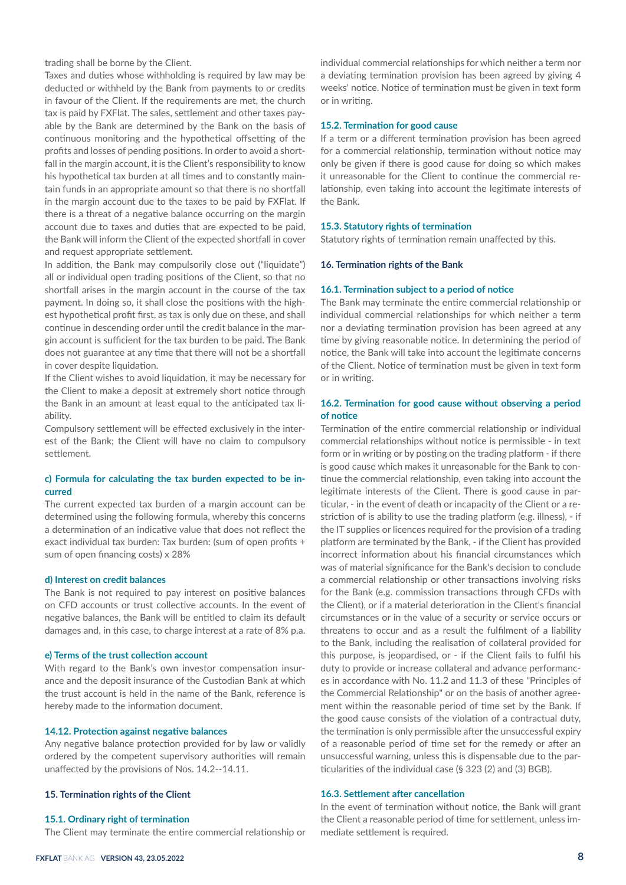trading shall be borne by the Client.

Taxes and duties whose withholding is required by law may be deducted or withheld by the Bank from payments to or credits in favour of the Client. If the requirements are met, the church tax is paid by FXFlat. The sales, settlement and other taxes payable by the Bank are determined by the Bank on the basis of continuous monitoring and the hypothetical offsetting of the profits and losses of pending positions. In order to avoid a shortfall in the margin account, it is the Client's responsibility to know his hypothetical tax burden at all times and to constantly maintain funds in an appropriate amount so that there is no shortfall in the margin account due to the taxes to be paid by FXFlat. If there is a threat of a negative balance occurring on the margin account due to taxes and duties that are expected to be paid, the Bank will inform the Client of the expected shortfall in cover and request appropriate settlement.

In addition, the Bank may compulsorily close out ("liquidate") all or individual open trading positions of the Client, so that no shortfall arises in the margin account in the course of the tax payment. In doing so, it shall close the positions with the highest hypothetical profit first, as tax is only due on these, and shall continue in descending order until the credit balance in the margin account is sufficient for the tax burden to be paid. The Bank does not guarantee at any time that there will not be a shortfall in cover despite liquidation.

If the Client wishes to avoid liquidation, it may be necessary for the Client to make a deposit at extremely short notice through the Bank in an amount at least equal to the anticipated tax liability.

Compulsory settlement will be effected exclusively in the interest of the Bank; the Client will have no claim to compulsory settlement.

# **c) Formula for calculating the tax burden expected to be incurred**

The current expected tax burden of a margin account can be determined using the following formula, whereby this concerns a determination of an indicative value that does not reflect the exact individual tax burden: Tax burden: (sum of open profits + sum of open financing costs) x 28%

#### **d) Interest on credit balances**

The Bank is not required to pay interest on positive balances on CFD accounts or trust collective accounts. In the event of negative balances, the Bank will be entitled to claim its default damages and, in this case, to charge interest at a rate of 8% p.a.

#### **e) Terms of the trust collection account**

With regard to the Bank's own investor compensation insurance and the deposit insurance of the Custodian Bank at which the trust account is held in the name of the Bank, reference is hereby made to the information document.

## **14.12. Protection against negative balances**

Any negative balance protection provided for by law or validly ordered by the competent supervisory authorities will remain unaffected by the provisions of Nos. 14.2--14.11.

## **15. Termination rights of the Client**

## **15.1. Ordinary right of termination**

The Client may terminate the entire commercial relationship or

individual commercial relationships for which neither a term nor a deviating termination provision has been agreed by giving 4 weeks' notice. Notice of termination must be given in text form or in writing.

#### **15.2. Termination for good cause**

If a term or a different termination provision has been agreed for a commercial relationship, termination without notice may only be given if there is good cause for doing so which makes it unreasonable for the Client to continue the commercial relationship, even taking into account the legitimate interests of the Bank.

#### **15.3. Statutory rights of termination**

Statutory rights of termination remain unaffected by this.

#### **16. Termination rights of the Bank**

## **16.1. Termination subject to a period of notice**

The Bank may terminate the entire commercial relationship or individual commercial relationships for which neither a term nor a deviating termination provision has been agreed at any time by giving reasonable notice. In determining the period of notice, the Bank will take into account the legitimate concerns of the Client. Notice of termination must be given in text form or in writing.

# **16.2. Termination for good cause without observing a period of notice**

Termination of the entire commercial relationship or individual commercial relationships without notice is permissible - in text form or in writing or by posting on the trading platform - if there is good cause which makes it unreasonable for the Bank to continue the commercial relationship, even taking into account the legitimate interests of the Client. There is good cause in particular, - in the event of death or incapacity of the Client or a restriction of is ability to use the trading platform (e.g. illness), - if the IT supplies or licences required for the provision of a trading platform are terminated by the Bank, - if the Client has provided incorrect information about his financial circumstances which was of material significance for the Bank's decision to conclude a commercial relationship or other transactions involving risks for the Bank (e.g. commission transactions through CFDs with the Client), or if a material deterioration in the Client's financial circumstances or in the value of a security or service occurs or threatens to occur and as a result the fulfilment of a liability to the Bank, including the realisation of collateral provided for this purpose, is jeopardised, or - if the Client fails to fulfil his duty to provide or increase collateral and advance performances in accordance with No. 11.2 and 11.3 of these "Principles of the Commercial Relationship" or on the basis of another agreement within the reasonable period of time set by the Bank. If the good cause consists of the violation of a contractual duty, the termination is only permissible after the unsuccessful expiry of a reasonable period of time set for the remedy or after an unsuccessful warning, unless this is dispensable due to the particularities of the individual case (§ 323 (2) and (3) BGB).

## **16.3. Settlement after cancellation**

In the event of termination without notice, the Bank will grant the Client a reasonable period of time for settlement, unless immediate settlement is required.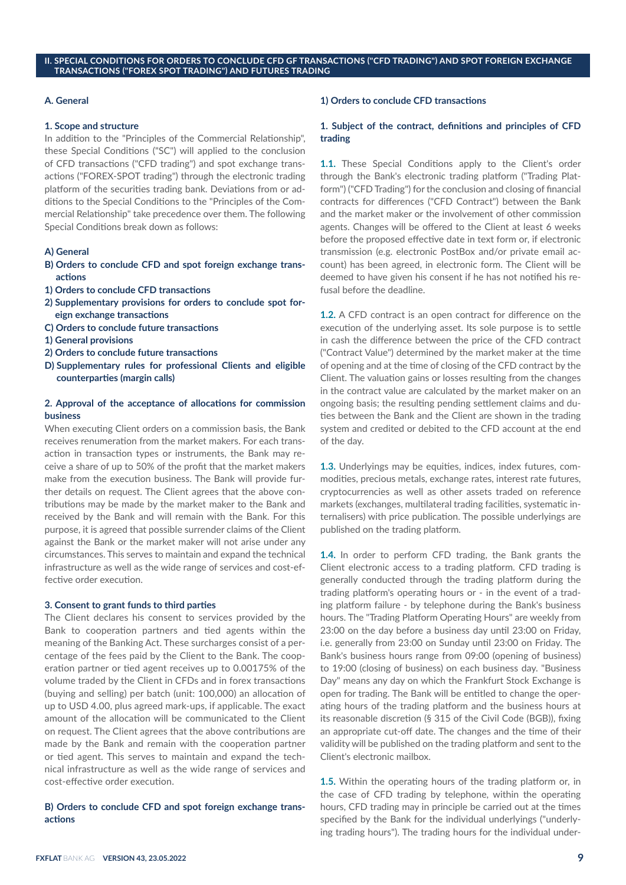#### **II. SPECIAL CONDITIONS FOR ORDERS TO CONCLUDE CFD GF TRANSACTIONS ("CFD TRADING") AND SPOT FOREIGN EXCHANGE TRANSACTIONS ("FOREX SPOT TRADING") AND FUTURES TRADING**

## **A. General**

#### **1. Scope and structure**

In addition to the "Principles of the Commercial Relationship", these Special Conditions ("SC") will applied to the conclusion of CFD transactions ("CFD trading") and spot exchange transactions ("FOREX-SPOT trading") through the electronic trading platform of the securities trading bank. Deviations from or additions to the Special Conditions to the "Principles of the Commercial Relationship" take precedence over them. The following Special Conditions break down as follows:

# **A) General**

- **B) Orders to conclude CFD and spot foreign exchange transactions**
- **1) Orders to conclude CFD transactions**
- **2) Supplementary provisions for orders to conclude spot foreign exchange transactions**
- **C) Orders to conclude future transactions**
- **1) General provisions**
- **2) Orders to conclude future transactions**
- **D) Supplementary rules for professional Clients and eligible counterparties (margin calls)**

## **2. Approval of the acceptance of allocations for commission business**

When executing Client orders on a commission basis, the Bank receives renumeration from the market makers. For each transaction in transaction types or instruments, the Bank may receive a share of up to 50% of the profit that the market makers make from the execution business. The Bank will provide further details on request. The Client agrees that the above contributions may be made by the market maker to the Bank and received by the Bank and will remain with the Bank. For this purpose, it is agreed that possible surrender claims of the Client against the Bank or the market maker will not arise under any circumstances. This serves to maintain and expand the technical infrastructure as well as the wide range of services and cost-effective order execution.

#### **3. Consent to grant funds to third parties**

The Client declares his consent to services provided by the Bank to cooperation partners and tied agents within the meaning of the Banking Act. These surcharges consist of a percentage of the fees paid by the Client to the Bank. The cooperation partner or tied agent receives up to 0.00175% of the volume traded by the Client in CFDs and in forex transactions (buying and selling) per batch (unit: 100,000) an allocation of up to USD 4.00, plus agreed mark-ups, if applicable. The exact amount of the allocation will be communicated to the Client on request. The Client agrees that the above contributions are made by the Bank and remain with the cooperation partner or tied agent. This serves to maintain and expand the technical infrastructure as well as the wide range of services and cost-effective order execution.

# **B) Orders to conclude CFD and spot foreign exchange transactions**

## **1) Orders to conclude CFD transactions**

## **1. Subject of the contract, definitions and principles of CFD trading**

**1.1.** These Special Conditions apply to the Client's order through the Bank's electronic trading platform ("Trading Platform") ("CFD Trading") for the conclusion and closing of financial contracts for differences ("CFD Contract") between the Bank and the market maker or the involvement of other commission agents. Changes will be offered to the Client at least 6 weeks before the proposed effective date in text form or, if electronic transmission (e.g. electronic PostBox and/or private email account) has been agreed, in electronic form. The Client will be deemed to have given his consent if he has not notified his refusal before the deadline.

**1.2.** A CFD contract is an open contract for difference on the execution of the underlying asset. Its sole purpose is to settle in cash the difference between the price of the CFD contract ("Contract Value") determined by the market maker at the time of opening and at the time of closing of the CFD contract by the Client. The valuation gains or losses resulting from the changes in the contract value are calculated by the market maker on an ongoing basis; the resulting pending settlement claims and duties between the Bank and the Client are shown in the trading system and credited or debited to the CFD account at the end of the day.

**1.3.** Underlyings may be equities, indices, index futures, commodities, precious metals, exchange rates, interest rate futures, cryptocurrencies as well as other assets traded on reference markets (exchanges, multilateral trading facilities, systematic internalisers) with price publication. The possible underlyings are published on the trading platform.

**1.4.** In order to perform CFD trading, the Bank grants the Client electronic access to a trading platform. CFD trading is generally conducted through the trading platform during the trading platform's operating hours or - in the event of a trading platform failure - by telephone during the Bank's business hours. The "Trading Platform Operating Hours" are weekly from 23:00 on the day before a business day until 23:00 on Friday, i.e. generally from 23:00 on Sunday until 23:00 on Friday. The Bank's business hours range from 09:00 (opening of business) to 19:00 (closing of business) on each business day. "Business Day" means any day on which the Frankfurt Stock Exchange is open for trading. The Bank will be entitled to change the operating hours of the trading platform and the business hours at its reasonable discretion (§ 315 of the Civil Code (BGB)), fixing an appropriate cut-off date. The changes and the time of their validity will be published on the trading platform and sent to the Client's electronic mailbox.

**1.5.** Within the operating hours of the trading platform or, in the case of CFD trading by telephone, within the operating hours, CFD trading may in principle be carried out at the times specified by the Bank for the individual underlyings ("underlying trading hours"). The trading hours for the individual under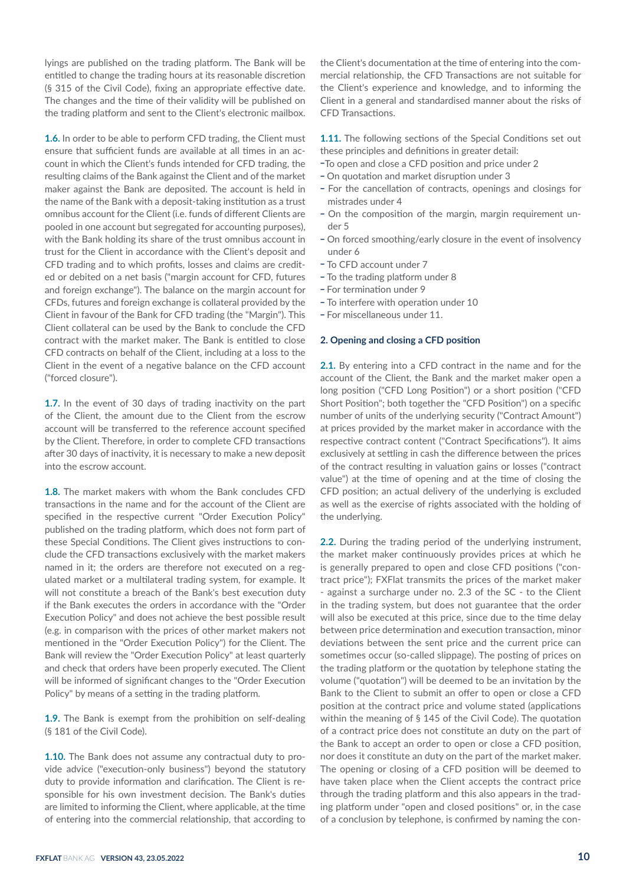lyings are published on the trading platform. The Bank will be entitled to change the trading hours at its reasonable discretion (§ 315 of the Civil Code), fixing an appropriate effective date. The changes and the time of their validity will be published on the trading platform and sent to the Client's electronic mailbox.

**1.6.** In order to be able to perform CFD trading, the Client must ensure that sufficient funds are available at all times in an account in which the Client's funds intended for CFD trading, the resulting claims of the Bank against the Client and of the market maker against the Bank are deposited. The account is held in the name of the Bank with a deposit-taking institution as a trust omnibus account for the Client (i.e. funds of different Clients are pooled in one account but segregated for accounting purposes), with the Bank holding its share of the trust omnibus account in trust for the Client in accordance with the Client's deposit and CFD trading and to which profits, losses and claims are credited or debited on a net basis ("margin account for CFD, futures and foreign exchange"). The balance on the margin account for CFDs, futures and foreign exchange is collateral provided by the Client in favour of the Bank for CFD trading (the "Margin"). This Client collateral can be used by the Bank to conclude the CFD contract with the market maker. The Bank is entitled to close CFD contracts on behalf of the Client, including at a loss to the Client in the event of a negative balance on the CFD account ("forced closure").

**1.7.** In the event of 30 days of trading inactivity on the part of the Client, the amount due to the Client from the escrow account will be transferred to the reference account specified by the Client. Therefore, in order to complete CFD transactions after 30 days of inactivity, it is necessary to make a new deposit into the escrow account.

**1.8.** The market makers with whom the Bank concludes CFD transactions in the name and for the account of the Client are specified in the respective current "Order Execution Policy" published on the trading platform, which does not form part of these Special Conditions. The Client gives instructions to conclude the CFD transactions exclusively with the market makers named in it; the orders are therefore not executed on a regulated market or a multilateral trading system, for example. It will not constitute a breach of the Bank's best execution duty if the Bank executes the orders in accordance with the "Order Execution Policy" and does not achieve the best possible result (e.g. in comparison with the prices of other market makers not mentioned in the "Order Execution Policy") for the Client. The Bank will review the "Order Execution Policy" at least quarterly and check that orders have been properly executed. The Client will be informed of significant changes to the "Order Execution Policy" by means of a setting in the trading platform.

**1.9.** The Bank is exempt from the prohibition on self-dealing (§ 181 of the Civil Code).

1.10. The Bank does not assume any contractual duty to provide advice ("execution-only business") beyond the statutory duty to provide information and clarification. The Client is responsible for his own investment decision. The Bank's duties are limited to informing the Client, where applicable, at the time of entering into the commercial relationship, that according to the Client's documentation at the time of entering into the commercial relationship, the CFD Transactions are not suitable for the Client's experience and knowledge, and to informing the Client in a general and standardised manner about the risks of CFD Transactions.

**1.11.** The following sections of the Special Conditions set out these principles and definitions in greater detail:

- \_To open and close a CFD position and price under 2
- On quotation and market disruption under 3
- For the cancellation of contracts, openings and closings for mistrades under 4
- On the composition of the margin, margin requirement under 5<br>- On forced smoothing/early closure in the event of insolvency
- under 6
- To CFD account under 7
- To the trading platform under 8
- For termination under 9
- To interfere with operation under 10
- For miscellaneous under 11.

## **2. Opening and closing a CFD position**

**2.1.** By entering into a CFD contract in the name and for the account of the Client, the Bank and the market maker open a long position ("CFD Long Position") or a short position ("CFD Short Position"; both together the "CFD Position") on a specific number of units of the underlying security ("Contract Amount") at prices provided by the market maker in accordance with the respective contract content ("Contract Specifications"). It aims exclusively at settling in cash the difference between the prices of the contract resulting in valuation gains or losses ("contract value") at the time of opening and at the time of closing the CFD position; an actual delivery of the underlying is excluded as well as the exercise of rights associated with the holding of the underlying.

**2.2.** During the trading period of the underlying instrument, the market maker continuously provides prices at which he is generally prepared to open and close CFD positions ("contract price"); FXFlat transmits the prices of the market maker - against a surcharge under no. 2.3 of the SC - to the Client in the trading system, but does not guarantee that the order will also be executed at this price, since due to the time delay between price determination and execution transaction, minor deviations between the sent price and the current price can sometimes occur (so-called slippage). The posting of prices on the trading platform or the quotation by telephone stating the volume ("quotation") will be deemed to be an invitation by the Bank to the Client to submit an offer to open or close a CFD position at the contract price and volume stated (applications within the meaning of § 145 of the Civil Code). The quotation of a contract price does not constitute an duty on the part of the Bank to accept an order to open or close a CFD position, nor does it constitute an duty on the part of the market maker. The opening or closing of a CFD position will be deemed to have taken place when the Client accepts the contract price through the trading platform and this also appears in the trading platform under "open and closed positions" or, in the case of a conclusion by telephone, is confirmed by naming the con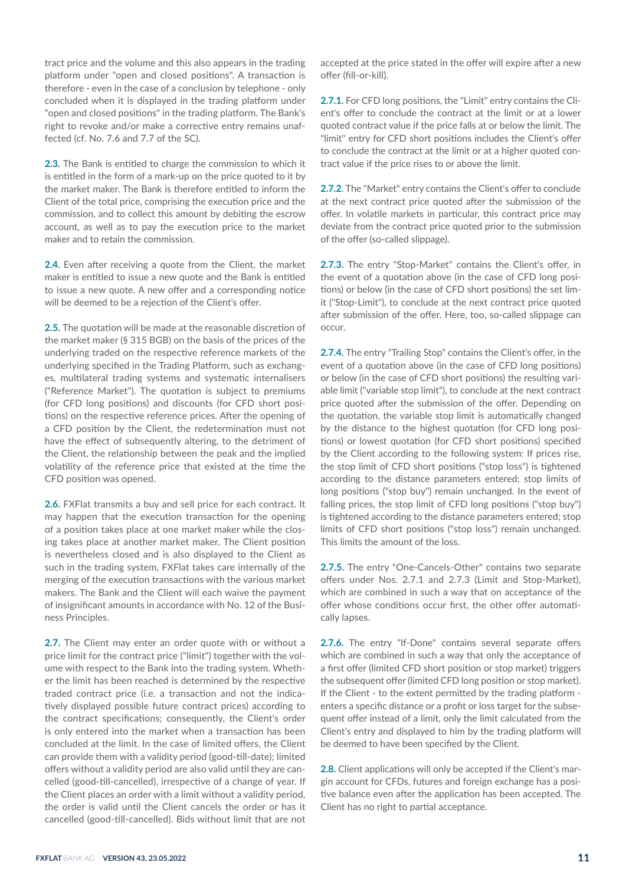tract price and the volume and this also appears in the trading platform under "open and closed positions". A transaction is therefore - even in the case of a conclusion by telephone - only concluded when it is displayed in the trading platform under "open and closed positions" in the trading platform. The Bank's right to revoke and/or make a corrective entry remains unaffected (cf. No. 7.6 and 7.7 of the SC).

**2.3.** The Bank is entitled to charge the commission to which it is entitled in the form of a mark-up on the price quoted to it by the market maker. The Bank is therefore entitled to inform the Client of the total price, comprising the execution price and the commission, and to collect this amount by debiting the escrow account, as well as to pay the execution price to the market maker and to retain the commission.

**2.4.** Even after receiving a quote from the Client, the market maker is entitled to issue a new quote and the Bank is entitled to issue a new quote. A new offer and a corresponding notice will be deemed to be a rejection of the Client's offer.

**2.5.** The quotation will be made at the reasonable discretion of the market maker (§ 315 BGB) on the basis of the prices of the underlying traded on the respective reference markets of the underlying specified in the Trading Platform, such as exchanges, multilateral trading systems and systematic internalisers ("Reference Market"). The quotation is subject to premiums (for CFD long positions) and discounts (for CFD short positions) on the respective reference prices. After the opening of a CFD position by the Client, the redetermination must not have the effect of subsequently altering, to the detriment of the Client, the relationship between the peak and the implied volatility of the reference price that existed at the time the CFD position was opened.

**2.6.** FXFlat transmits a buy and sell price for each contract. It may happen that the execution transaction for the opening of a position takes place at one market maker while the closing takes place at another market maker. The Client position is nevertheless closed and is also displayed to the Client as such in the trading system, FXFlat takes care internally of the merging of the execution transactions with the various market makers. The Bank and the Client will each waive the payment of insignificant amounts in accordance with No. 12 of the Business Principles.

**2.7.** The Client may enter an order quote with or without a price limit for the contract price ("limit") together with the volume with respect to the Bank into the trading system. Whether the limit has been reached is determined by the respective traded contract price (i.e. a transaction and not the indicatively displayed possible future contract prices) according to the contract specifications; consequently, the Client's order is only entered into the market when a transaction has been concluded at the limit. In the case of limited offers, the Client can provide them with a validity period (good-till-date); limited offers without a validity period are also valid until they are cancelled (good-till-cancelled), irrespective of a change of year. If the Client places an order with a limit without a validity period, the order is valid until the Client cancels the order or has it cancelled (good-till-cancelled). Bids without limit that are not

accepted at the price stated in the offer will expire after a new offer (fill-or-kill).

**2.7.1.** For CFD long positions, the "Limit" entry contains the Client's offer to conclude the contract at the limit or at a lower quoted contract value if the price falls at or below the limit. The "limit" entry for CFD short positions includes the Client's offer to conclude the contract at the limit or at a higher quoted contract value if the price rises to or above the limit.

**2.7.2**. The "Market" entry contains the Client's offer to conclude at the next contract price quoted after the submission of the offer. In volatile markets in particular, this contract price may deviate from the contract price quoted prior to the submission of the offer (so-called slippage).

**2.7.3.** The entry "Stop-Market" contains the Client's offer, in the event of a quotation above (in the case of CFD long positions) or below (in the case of CFD short positions) the set limit ("Stop-Limit"), to conclude at the next contract price quoted after submission of the offer. Here, too, so-called slippage can occur.

**2.7.4.** The entry "Trailing Stop" contains the Client's offer, in the event of a quotation above (in the case of CFD long positions) or below (in the case of CFD short positions) the resulting variable limit ("variable stop limit"), to conclude at the next contract price quoted after the submission of the offer. Depending on the quotation, the variable stop limit is automatically changed by the distance to the highest quotation (for CFD long positions) or lowest quotation (for CFD short positions) specified by the Client according to the following system: If prices rise, the stop limit of CFD short positions ("stop loss") is tightened according to the distance parameters entered; stop limits of long positions ("stop buy") remain unchanged. In the event of falling prices, the stop limit of CFD long positions ("stop buy") is tightened according to the distance parameters entered; stop limits of CFD short positions ("stop loss") remain unchanged. This limits the amount of the loss.

**2.7.5.** The entry "One-Cancels-Other" contains two separate offers under Nos. 2.7.1 and 2.7.3 (Limit and Stop-Market), which are combined in such a way that on acceptance of the offer whose conditions occur first, the other offer automatically lapses.

**2.7.6.** The entry "If-Done" contains several separate offers which are combined in such a way that only the acceptance of a first offer (limited CFD short position or stop market) triggers the subsequent offer (limited CFD long position or stop market). If the Client - to the extent permitted by the trading platform enters a specific distance or a profit or loss target for the subsequent offer instead of a limit, only the limit calculated from the Client's entry and displayed to him by the trading platform will be deemed to have been specified by the Client.

2.8. Client applications will only be accepted if the Client's margin account for CFDs, futures and foreign exchange has a positive balance even after the application has been accepted. The Client has no right to partial acceptance.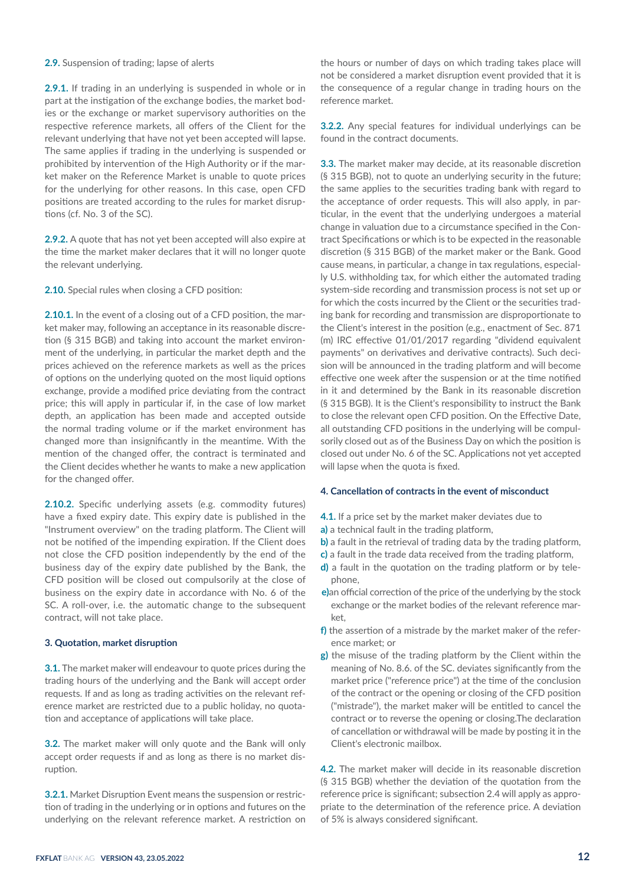## **2.9.** Suspension of trading; lapse of alerts

**2.9.1.** If trading in an underlying is suspended in whole or in part at the instigation of the exchange bodies, the market bodies or the exchange or market supervisory authorities on the respective reference markets, all offers of the Client for the relevant underlying that have not yet been accepted will lapse. The same applies if trading in the underlying is suspended or prohibited by intervention of the High Authority or if the market maker on the Reference Market is unable to quote prices for the underlying for other reasons. In this case, open CFD positions are treated according to the rules for market disruptions (cf. No. 3 of the SC).

**2.9.2.** A quote that has not yet been accepted will also expire at the time the market maker declares that it will no longer quote the relevant underlying.

**2.10.** Special rules when closing a CFD position:

**2.10.1.** In the event of a closing out of a CFD position, the market maker may, following an acceptance in its reasonable discretion (§ 315 BGB) and taking into account the market environment of the underlying, in particular the market depth and the prices achieved on the reference markets as well as the prices of options on the underlying quoted on the most liquid options exchange, provide a modified price deviating from the contract price; this will apply in particular if, in the case of low market depth, an application has been made and accepted outside the normal trading volume or if the market environment has changed more than insignificantly in the meantime. With the mention of the changed offer, the contract is terminated and the Client decides whether he wants to make a new application for the changed offer.

2.10.2. Specific underlying assets (e.g. commodity futures) have a fixed expiry date. This expiry date is published in the "Instrument overview" on the trading platform. The Client will not be notified of the impending expiration. If the Client does not close the CFD position independently by the end of the business day of the expiry date published by the Bank, the CFD position will be closed out compulsorily at the close of business on the expiry date in accordance with No. 6 of the SC. A roll-over, i.e. the automatic change to the subsequent contract, will not take place.

## **3. Quotation, market disruption**

**3.1.** The market maker will endeavour to quote prices during the trading hours of the underlying and the Bank will accept order requests. If and as long as trading activities on the relevant reference market are restricted due to a public holiday, no quotation and acceptance of applications will take place.

**3.2.** The market maker will only quote and the Bank will only accept order requests if and as long as there is no market disruption.

**3.2.1.** Market Disruption Event means the suspension or restriction of trading in the underlying or in options and futures on the underlying on the relevant reference market. A restriction on the hours or number of days on which trading takes place will not be considered a market disruption event provided that it is the consequence of a regular change in trading hours on the reference market.

**3.2.2.** Any special features for individual underlyings can be found in the contract documents.

**3.3.** The market maker may decide, at its reasonable discretion (§ 315 BGB), not to quote an underlying security in the future; the same applies to the securities trading bank with regard to the acceptance of order requests. This will also apply, in particular, in the event that the underlying undergoes a material change in valuation due to a circumstance specified in the Contract Specifications or which is to be expected in the reasonable discretion (§ 315 BGB) of the market maker or the Bank. Good cause means, in particular, a change in tax regulations, especially U.S. withholding tax, for which either the automated trading system-side recording and transmission process is not set up or for which the costs incurred by the Client or the securities trading bank for recording and transmission are disproportionate to the Client's interest in the position (e.g., enactment of Sec. 871 (m) IRC effective 01/01/2017 regarding "dividend equivalent payments" on derivatives and derivative contracts). Such decision will be announced in the trading platform and will become effective one week after the suspension or at the time notified in it and determined by the Bank in its reasonable discretion (§ 315 BGB). It is the Client's responsibility to instruct the Bank to close the relevant open CFD position. On the Effective Date, all outstanding CFD positions in the underlying will be compulsorily closed out as of the Business Day on which the position is closed out under No. 6 of the SC. Applications not yet accepted will lapse when the quota is fixed.

#### **4. Cancellation of contracts in the event of misconduct**

- **4.1.** If a price set by the market maker deviates due to
- **a)** a technical fault in the trading platform,
- **b)** a fault in the retrieval of trading data by the trading platform,
- **c)** a fault in the trade data received from the trading platform,
- **d)** a fault in the quotation on the trading platform or by telephone,
- **e)**an official correction of the price of the underlying by the stock exchange or the market bodies of the relevant reference market,
- **f)** the assertion of a mistrade by the market maker of the reference market; or
- **g)** the misuse of the trading platform by the Client within the meaning of No. 8.6. of the SC. deviates significantly from the market price ("reference price") at the time of the conclusion of the contract or the opening or closing of the CFD position ("mistrade"), the market maker will be entitled to cancel the contract or to reverse the opening or closing.The declaration of cancellation or withdrawal will be made by posting it in the Client's electronic mailbox.

**4.2.** The market maker will decide in its reasonable discretion (§ 315 BGB) whether the deviation of the quotation from the reference price is significant; subsection 2.4 will apply as appropriate to the determination of the reference price. A deviation of 5% is always considered significant.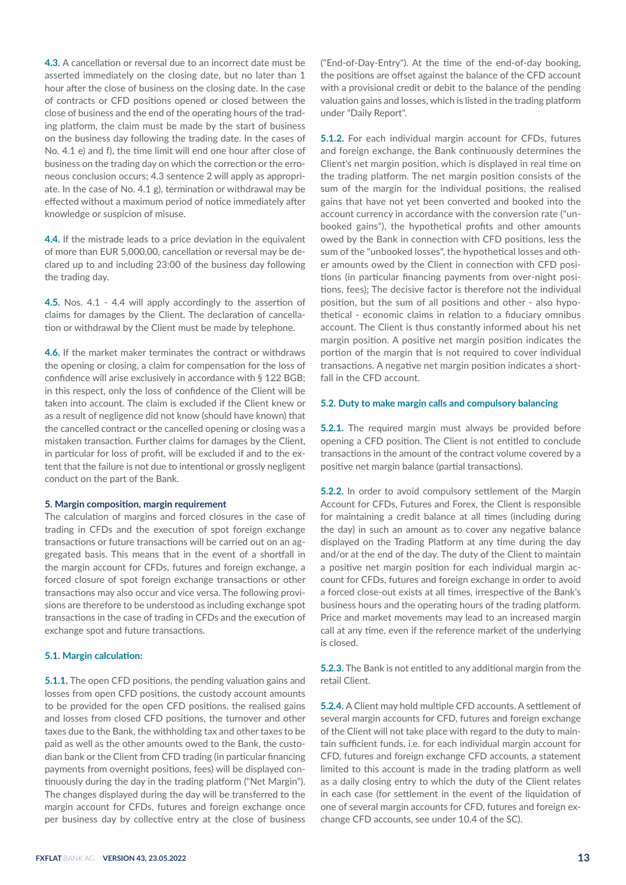**4.3.** A cancellation or reversal due to an incorrect date must be asserted immediately on the closing date, but no later than 1 hour after the close of business on the closing date. In the case of contracts or CFD positions opened or closed between the close of business and the end of the operating hours of the trading platform, the claim must be made by the start of business on the business day following the trading date. In the cases of No. 4.1 e) and f), the time limit will end one hour after close of business on the trading day on which the correction or the erroneous conclusion occurs; 4.3 sentence 2 will apply as appropriate. In the case of No. 4.1 g), termination or withdrawal may be effected without a maximum period of notice immediately after knowledge or suspicion of misuse.

**4.4.** If the mistrade leads to a price deviation in the equivalent of more than EUR 5,000.00, cancellation or reversal may be declared up to and including 23:00 of the business day following the trading day.

**4.5.** Nos. 4.1 - 4.4 will apply accordingly to the assertion of claims for damages by the Client. The declaration of cancellation or withdrawal by the Client must be made by telephone.

**4.6.** If the market maker terminates the contract or withdraws the opening or closing, a claim for compensation for the loss of confidence will arise exclusively in accordance with § 122 BGB; in this respect, only the loss of confidence of the Client will be taken into account. The claim is excluded if the Client knew or as a result of negligence did not know (should have known) that the cancelled contract or the cancelled opening or closing was a mistaken transaction. Further claims for damages by the Client, in particular for loss of profit, will be excluded if and to the extent that the failure is not due to intentional or grossly negligent conduct on the part of the Bank.

#### **5. Margin composition, margin requirement**

The calculation of margins and forced closures in the case of trading in CFDs and the execution of spot foreign exchange transactions or future transactions will be carried out on an aggregated basis. This means that in the event of a shortfall in the margin account for CFDs, futures and foreign exchange, a forced closure of spot foreign exchange transactions or other transactions may also occur and vice versa. The following provisions are therefore to be understood as including exchange spot transactions in the case of trading in CFDs and the execution of exchange spot and future transactions.

#### **5.1. Margin calculation:**

**5.1.1.** The open CFD positions, the pending valuation gains and losses from open CFD positions, the custody account amounts to be provided for the open CFD positions, the realised gains and losses from closed CFD positions, the turnover and other taxes due to the Bank, the withholding tax and other taxes to be paid as well as the other amounts owed to the Bank, the custodian bank or the Client from CFD trading (in particular financing payments from overnight positions, fees) will be displayed continuously during the day in the trading platform ("Net Margin"). The changes displayed during the day will be transferred to the margin account for CFDs, futures and foreign exchange once per business day by collective entry at the close of business ("End-of-Day-Entry"). At the time of the end-of-day booking, the positions are offset against the balance of the CFD account with a provisional credit or debit to the balance of the pending valuation gains and losses, which is listed in the trading platform under "Daily Report".

**5.1.2.** For each individual margin account for CFDs, futures and foreign exchange, the Bank continuously determines the Client's net margin position, which is displayed in real time on the trading platform. The net margin position consists of the sum of the margin for the individual positions, the realised gains that have not yet been converted and booked into the account currency in accordance with the conversion rate ("unbooked gains"), the hypothetical profits and other amounts owed by the Bank in connection with CFD positions, less the sum of the "unbooked losses", the hypothetical losses and other amounts owed by the Client in connection with CFD positions (in particular financing payments from over-night positions, fees); The decisive factor is therefore not the individual position, but the sum of all positions and other - also hypothetical - economic claims in relation to a fiduciary omnibus account. The Client is thus constantly informed about his net margin position. A positive net margin position indicates the portion of the margin that is not required to cover individual transactions. A negative net margin position indicates a shortfall in the CFD account.

#### **5.2. Duty to make margin calls and compulsory balancing**

**5.2.1.** The required margin must always be provided before opening a CFD position. The Client is not entitled to conclude transactions in the amount of the contract volume covered by a positive net margin balance (partial transactions).

**5.2.2.** In order to avoid compulsory settlement of the Margin Account for CFDs, Futures and Forex, the Client is responsible for maintaining a credit balance at all times (including during the day) in such an amount as to cover any negative balance displayed on the Trading Platform at any time during the day and/or at the end of the day. The duty of the Client to maintain a positive net margin position for each individual margin account for CFDs, futures and foreign exchange in order to avoid a forced close-out exists at all times, irrespective of the Bank's business hours and the operating hours of the trading platform. Price and market movements may lead to an increased margin call at any time, even if the reference market of the underlying is closed.

**5.2.3.** The Bank is not entitled to any additional margin from the retail Client.

**5.2.4.** A Client may hold multiple CFD accounts. A settlement of several margin accounts for CFD, futures and foreign exchange of the Client will not take place with regard to the duty to maintain sufficient funds, i.e. for each individual margin account for CFD, futures and foreign exchange CFD accounts, a statement limited to this account is made in the trading platform as well as a daily closing entry to which the duty of the Client relates in each case (for settlement in the event of the liquidation of one of several margin accounts for CFD, futures and foreign exchange CFD accounts, see under 10.4 of the SC).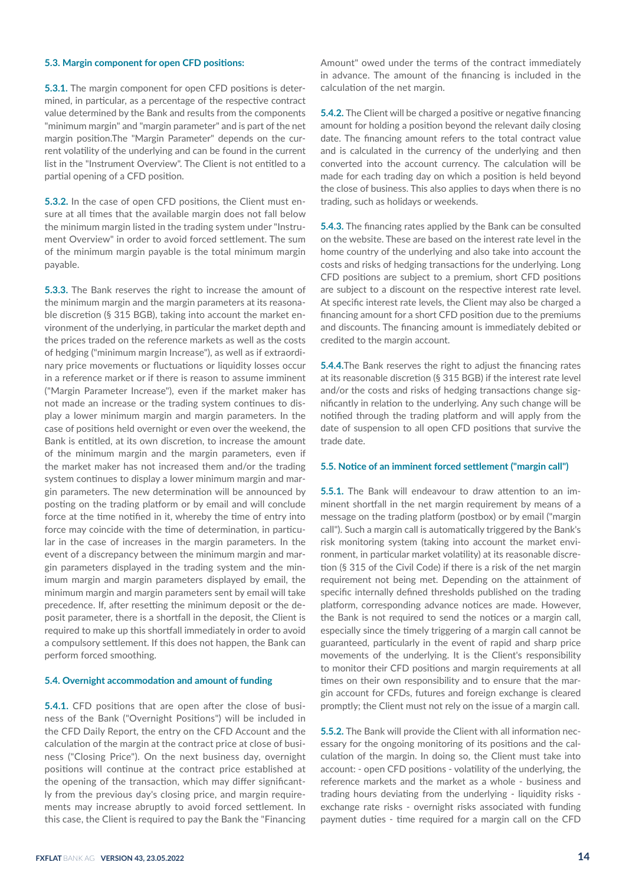## **5.3. Margin component for open CFD positions:**

**5.3.1.** The margin component for open CFD positions is determined, in particular, as a percentage of the respective contract value determined by the Bank and results from the components "minimum margin" and "margin parameter" and is part of the net margin position.The "Margin Parameter" depends on the current volatility of the underlying and can be found in the current list in the "Instrument Overview". The Client is not entitled to a partial opening of a CFD position.

**5.3.2.** In the case of open CFD positions, the Client must ensure at all times that the available margin does not fall below the minimum margin listed in the trading system under "Instrument Overview" in order to avoid forced settlement. The sum of the minimum margin payable is the total minimum margin payable.

**5.3.3.** The Bank reserves the right to increase the amount of the minimum margin and the margin parameters at its reasonable discretion (§ 315 BGB), taking into account the market environment of the underlying, in particular the market depth and the prices traded on the reference markets as well as the costs of hedging ("minimum margin Increase"), as well as if extraordinary price movements or fluctuations or liquidity losses occur in a reference market or if there is reason to assume imminent ("Margin Parameter Increase"), even if the market maker has not made an increase or the trading system continues to display a lower minimum margin and margin parameters. In the case of positions held overnight or even over the weekend, the Bank is entitled, at its own discretion, to increase the amount of the minimum margin and the margin parameters, even if the market maker has not increased them and/or the trading system continues to display a lower minimum margin and margin parameters. The new determination will be announced by posting on the trading platform or by email and will conclude force at the time notified in it, whereby the time of entry into force may coincide with the time of determination, in particular in the case of increases in the margin parameters. In the event of a discrepancy between the minimum margin and margin parameters displayed in the trading system and the minimum margin and margin parameters displayed by email, the minimum margin and margin parameters sent by email will take precedence. If, after resetting the minimum deposit or the deposit parameter, there is a shortfall in the deposit, the Client is required to make up this shortfall immediately in order to avoid a compulsory settlement. If this does not happen, the Bank can perform forced smoothing.

#### **5.4. Overnight accommodation and amount of funding**

**5.4.1.** CFD positions that are open after the close of business of the Bank ("Overnight Positions") will be included in the CFD Daily Report, the entry on the CFD Account and the calculation of the margin at the contract price at close of business ("Closing Price"). On the next business day, overnight positions will continue at the contract price established at the opening of the transaction, which may differ significantly from the previous day's closing price, and margin requirements may increase abruptly to avoid forced settlement. In this case, the Client is required to pay the Bank the "Financing

Amount" owed under the terms of the contract immediately in advance. The amount of the financing is included in the calculation of the net margin.

**5.4.2.** The Client will be charged a positive or negative financing amount for holding a position beyond the relevant daily closing date. The financing amount refers to the total contract value and is calculated in the currency of the underlying and then converted into the account currency. The calculation will be made for each trading day on which a position is held beyond the close of business. This also applies to days when there is no trading, such as holidays or weekends.

**5.4.3.** The financing rates applied by the Bank can be consulted on the website. These are based on the interest rate level in the home country of the underlying and also take into account the costs and risks of hedging transactions for the underlying. Long CFD positions are subject to a premium, short CFD positions are subject to a discount on the respective interest rate level. At specific interest rate levels, the Client may also be charged a financing amount for a short CFD position due to the premiums and discounts. The financing amount is immediately debited or credited to the margin account.

**5.4.4.**The Bank reserves the right to adjust the financing rates at its reasonable discretion (§ 315 BGB) if the interest rate level and/or the costs and risks of hedging transactions change significantly in relation to the underlying. Any such change will be notified through the trading platform and will apply from the date of suspension to all open CFD positions that survive the trade date.

## **5.5. Notice of an imminent forced settlement ("margin call")**

**5.5.1.** The Bank will endeavour to draw attention to an imminent shortfall in the net margin requirement by means of a message on the trading platform (postbox) or by email ("margin call"). Such a margin call is automatically triggered by the Bank's risk monitoring system (taking into account the market environment, in particular market volatility) at its reasonable discretion (§ 315 of the Civil Code) if there is a risk of the net margin requirement not being met. Depending on the attainment of specific internally defined thresholds published on the trading platform, corresponding advance notices are made. However, the Bank is not required to send the notices or a margin call, especially since the timely triggering of a margin call cannot be guaranteed, particularly in the event of rapid and sharp price movements of the underlying. It is the Client's responsibility to monitor their CFD positions and margin requirements at all times on their own responsibility and to ensure that the margin account for CFDs, futures and foreign exchange is cleared promptly; the Client must not rely on the issue of a margin call.

**5.5.2.** The Bank will provide the Client with all information necessary for the ongoing monitoring of its positions and the calculation of the margin. In doing so, the Client must take into account: - open CFD positions - volatility of the underlying, the reference markets and the market as a whole - business and trading hours deviating from the underlying - liquidity risks exchange rate risks - overnight risks associated with funding payment duties - time required for a margin call on the CFD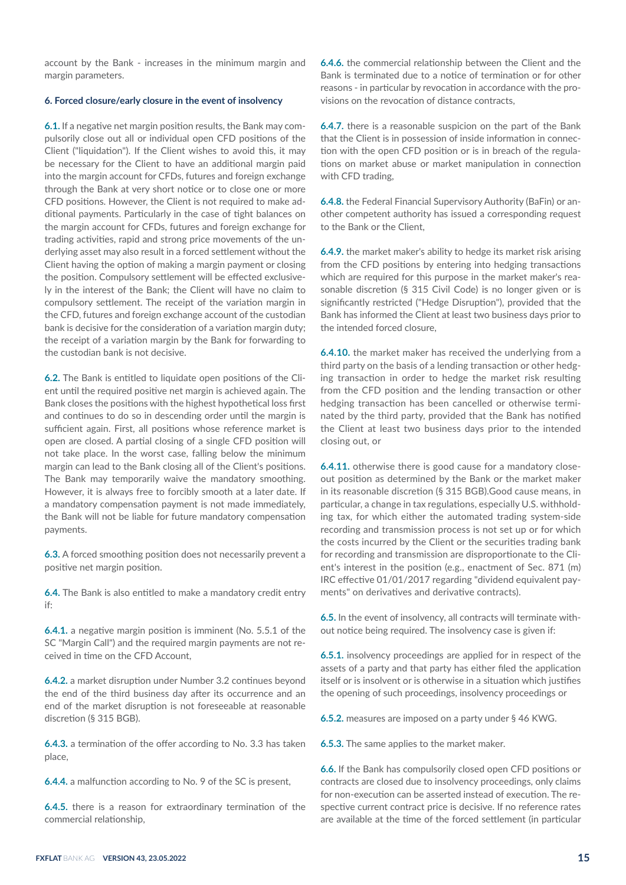account by the Bank - increases in the minimum margin and margin parameters.

#### **6. Forced closure/early closure in the event of insolvency**

**6.1.** If a negative net margin position results, the Bank may compulsorily close out all or individual open CFD positions of the Client ("liquidation"). If the Client wishes to avoid this, it may be necessary for the Client to have an additional margin paid into the margin account for CFDs, futures and foreign exchange through the Bank at very short notice or to close one or more CFD positions. However, the Client is not required to make additional payments. Particularly in the case of tight balances on the margin account for CFDs, futures and foreign exchange for trading activities, rapid and strong price movements of the underlying asset may also result in a forced settlement without the Client having the option of making a margin payment or closing the position. Compulsory settlement will be effected exclusively in the interest of the Bank; the Client will have no claim to compulsory settlement. The receipt of the variation margin in the CFD, futures and foreign exchange account of the custodian bank is decisive for the consideration of a variation margin duty; the receipt of a variation margin by the Bank for forwarding to the custodian bank is not decisive.

**6.2.** The Bank is entitled to liquidate open positions of the Client until the required positive net margin is achieved again. The Bank closes the positions with the highest hypothetical loss first and continues to do so in descending order until the margin is sufficient again. First, all positions whose reference market is open are closed. A partial closing of a single CFD position will not take place. In the worst case, falling below the minimum margin can lead to the Bank closing all of the Client's positions. The Bank may temporarily waive the mandatory smoothing. However, it is always free to forcibly smooth at a later date. If a mandatory compensation payment is not made immediately, the Bank will not be liable for future mandatory compensation payments.

**6.3.** A forced smoothing position does not necessarily prevent a positive net margin position.

**6.4.** The Bank is also entitled to make a mandatory credit entry if:

**6.4.1.** a negative margin position is imminent (No. 5.5.1 of the SC "Margin Call") and the required margin payments are not received in time on the CFD Account,

**6.4.2.** a market disruption under Number 3.2 continues beyond the end of the third business day after its occurrence and an end of the market disruption is not foreseeable at reasonable discretion (§ 315 BGB).

**6.4.3.** a termination of the offer according to No. 3.3 has taken place,

**6.4.4.** a malfunction according to No. 9 of the SC is present,

**6.4.5.** there is a reason for extraordinary termination of the commercial relationship,

**6.4.6.** the commercial relationship between the Client and the Bank is terminated due to a notice of termination or for other reasons - in particular by revocation in accordance with the provisions on the revocation of distance contracts,

**6.4.7.** there is a reasonable suspicion on the part of the Bank that the Client is in possession of inside information in connection with the open CFD position or is in breach of the regulations on market abuse or market manipulation in connection with CFD trading,

**6.4.8.** the Federal Financial Supervisory Authority (BaFin) or another competent authority has issued a corresponding request to the Bank or the Client,

**6.4.9.** the market maker's ability to hedge its market risk arising from the CFD positions by entering into hedging transactions which are required for this purpose in the market maker's reasonable discretion (§ 315 Civil Code) is no longer given or is significantly restricted ("Hedge Disruption"), provided that the Bank has informed the Client at least two business days prior to the intended forced closure,

**6.4.10.** the market maker has received the underlying from a third party on the basis of a lending transaction or other hedging transaction in order to hedge the market risk resulting from the CFD position and the lending transaction or other hedging transaction has been cancelled or otherwise terminated by the third party, provided that the Bank has notified the Client at least two business days prior to the intended closing out, or

**6.4.11.** otherwise there is good cause for a mandatory closeout position as determined by the Bank or the market maker in its reasonable discretion (§ 315 BGB).Good cause means, in particular, a change in tax regulations, especially U.S. withholding tax, for which either the automated trading system-side recording and transmission process is not set up or for which the costs incurred by the Client or the securities trading bank for recording and transmission are disproportionate to the Client's interest in the position (e.g., enactment of Sec. 871 (m) IRC effective 01/01/2017 regarding "dividend equivalent payments" on derivatives and derivative contracts).

**6.5.** In the event of insolvency, all contracts will terminate without notice being required. The insolvency case is given if:

**6.5.1.** insolvency proceedings are applied for in respect of the assets of a party and that party has either filed the application itself or is insolvent or is otherwise in a situation which justifies the opening of such proceedings, insolvency proceedings or

**6.5.2.** measures are imposed on a party under § 46 KWG.

**6.5.3.** The same applies to the market maker.

**6.6.** If the Bank has compulsorily closed open CFD positions or contracts are closed due to insolvency proceedings, only claims for non-execution can be asserted instead of execution. The respective current contract price is decisive. If no reference rates are available at the time of the forced settlement (in particular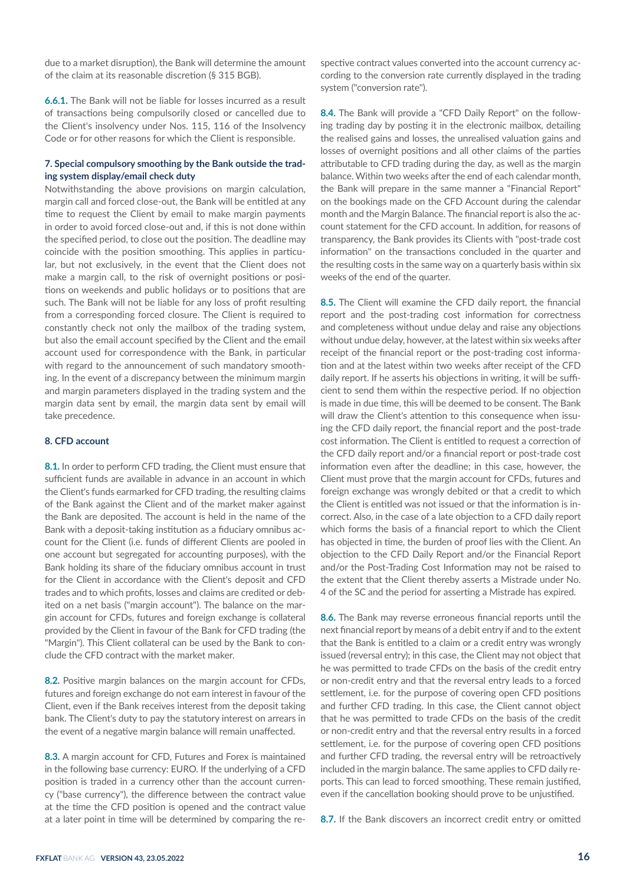due to a market disruption), the Bank will determine the amount of the claim at its reasonable discretion (§ 315 BGB).

**6.6.1.** The Bank will not be liable for losses incurred as a result of transactions being compulsorily closed or cancelled due to the Client's insolvency under Nos. 115, 116 of the Insolvency Code or for other reasons for which the Client is responsible.

# **7. Special compulsory smoothing by the Bank outside the trading system display/email check duty**

Notwithstanding the above provisions on margin calculation, margin call and forced close-out, the Bank will be entitled at any time to request the Client by email to make margin payments in order to avoid forced close-out and, if this is not done within the specified period, to close out the position. The deadline may coincide with the position smoothing. This applies in particular, but not exclusively, in the event that the Client does not make a margin call, to the risk of overnight positions or positions on weekends and public holidays or to positions that are such. The Bank will not be liable for any loss of profit resulting from a corresponding forced closure. The Client is required to constantly check not only the mailbox of the trading system, but also the email account specified by the Client and the email account used for correspondence with the Bank, in particular with regard to the announcement of such mandatory smoothing. In the event of a discrepancy between the minimum margin and margin parameters displayed in the trading system and the margin data sent by email, the margin data sent by email will take precedence.

# **8. CFD account**

**8.1.** In order to perform CFD trading, the Client must ensure that sufficient funds are available in advance in an account in which the Client's funds earmarked for CFD trading, the resulting claims of the Bank against the Client and of the market maker against the Bank are deposited. The account is held in the name of the Bank with a deposit-taking institution as a fiduciary omnibus account for the Client (i.e. funds of different Clients are pooled in one account but segregated for accounting purposes), with the Bank holding its share of the fiduciary omnibus account in trust for the Client in accordance with the Client's deposit and CFD trades and to which profits, losses and claims are credited or debited on a net basis ("margin account"). The balance on the margin account for CFDs, futures and foreign exchange is collateral provided by the Client in favour of the Bank for CFD trading (the "Margin"). This Client collateral can be used by the Bank to conclude the CFD contract with the market maker.

**8.2.** Positive margin balances on the margin account for CFDs, futures and foreign exchange do not earn interest in favour of the Client, even if the Bank receives interest from the deposit taking bank. The Client's duty to pay the statutory interest on arrears in the event of a negative margin balance will remain unaffected.

**8.3.** A margin account for CFD, Futures and Forex is maintained in the following base currency: EURO. If the underlying of a CFD position is traded in a currency other than the account currency ("base currency"), the difference between the contract value at the time the CFD position is opened and the contract value at a later point in time will be determined by comparing the respective contract values converted into the account currency according to the conversion rate currently displayed in the trading system ("conversion rate").

**8.4.** The Bank will provide a "CFD Daily Report" on the following trading day by posting it in the electronic mailbox, detailing the realised gains and losses, the unrealised valuation gains and losses of overnight positions and all other claims of the parties attributable to CFD trading during the day, as well as the margin balance. Within two weeks after the end of each calendar month, the Bank will prepare in the same manner a "Financial Report" on the bookings made on the CFD Account during the calendar month and the Margin Balance. The financial report is also the account statement for the CFD account. In addition, for reasons of transparency, the Bank provides its Clients with "post-trade cost information" on the transactions concluded in the quarter and the resulting costs in the same way on a quarterly basis within six weeks of the end of the quarter.

**8.5.** The Client will examine the CFD daily report, the financial report and the post-trading cost information for correctness and completeness without undue delay and raise any objections without undue delay, however, at the latest within six weeks after receipt of the financial report or the post-trading cost information and at the latest within two weeks after receipt of the CFD daily report. If he asserts his objections in writing, it will be sufficient to send them within the respective period. If no objection is made in due time, this will be deemed to be consent. The Bank will draw the Client's attention to this consequence when issuing the CFD daily report, the financial report and the post-trade cost information. The Client is entitled to request a correction of the CFD daily report and/or a financial report or post-trade cost information even after the deadline; in this case, however, the Client must prove that the margin account for CFDs, futures and foreign exchange was wrongly debited or that a credit to which the Client is entitled was not issued or that the information is incorrect. Also, in the case of a late objection to a CFD daily report which forms the basis of a financial report to which the Client has objected in time, the burden of proof lies with the Client. An objection to the CFD Daily Report and/or the Financial Report and/or the Post-Trading Cost Information may not be raised to the extent that the Client thereby asserts a Mistrade under No. 4 of the SC and the period for asserting a Mistrade has expired.

**8.6.** The Bank may reverse erroneous financial reports until the next financial report by means of a debit entry if and to the extent that the Bank is entitled to a claim or a credit entry was wrongly issued (reversal entry); in this case, the Client may not object that he was permitted to trade CFDs on the basis of the credit entry or non-credit entry and that the reversal entry leads to a forced settlement, i.e. for the purpose of covering open CFD positions and further CFD trading. In this case, the Client cannot object that he was permitted to trade CFDs on the basis of the credit or non-credit entry and that the reversal entry results in a forced settlement, i.e. for the purpose of covering open CFD positions and further CFD trading, the reversal entry will be retroactively included in the margin balance. The same applies to CFD daily reports. This can lead to forced smoothing. These remain justified, even if the cancellation booking should prove to be unjustified.

**8.7.** If the Bank discovers an incorrect credit entry or omitted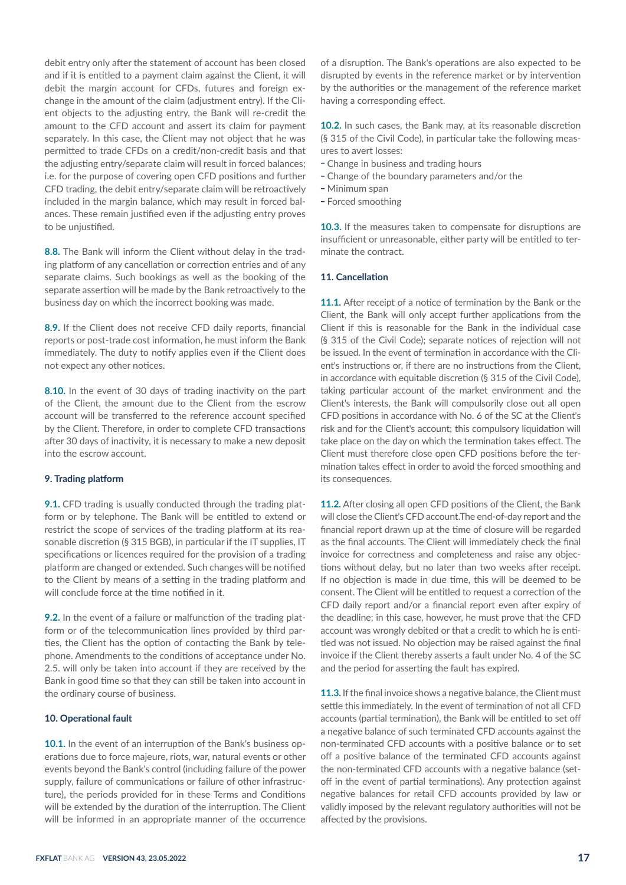debit entry only after the statement of account has been closed and if it is entitled to a payment claim against the Client, it will debit the margin account for CFDs, futures and foreign exchange in the amount of the claim (adjustment entry). If the Client objects to the adjusting entry, the Bank will re-credit the amount to the CFD account and assert its claim for payment separately. In this case, the Client may not object that he was permitted to trade CFDs on a credit/non-credit basis and that the adjusting entry/separate claim will result in forced balances; i.e. for the purpose of covering open CFD positions and further CFD trading, the debit entry/separate claim will be retroactively included in the margin balance, which may result in forced balances. These remain justified even if the adjusting entry proves to be unjustified.

**8.8.** The Bank will inform the Client without delay in the trading platform of any cancellation or correction entries and of any separate claims. Such bookings as well as the booking of the separate assertion will be made by the Bank retroactively to the business day on which the incorrect booking was made.

**8.9.** If the Client does not receive CFD daily reports, financial reports or post-trade cost information, he must inform the Bank immediately. The duty to notify applies even if the Client does not expect any other notices.

**8.10.** In the event of 30 days of trading inactivity on the part of the Client, the amount due to the Client from the escrow account will be transferred to the reference account specified by the Client. Therefore, in order to complete CFD transactions after 30 days of inactivity, it is necessary to make a new deposit into the escrow account.

## **9. Trading platform**

**9.1.** CFD trading is usually conducted through the trading platform or by telephone. The Bank will be entitled to extend or restrict the scope of services of the trading platform at its reasonable discretion (§ 315 BGB), in particular if the IT supplies, IT specifications or licences required for the provision of a trading platform are changed or extended. Such changes will be notified to the Client by means of a setting in the trading platform and will conclude force at the time notified in it.

**9.2.** In the event of a failure or malfunction of the trading platform or of the telecommunication lines provided by third parties, the Client has the option of contacting the Bank by telephone. Amendments to the conditions of acceptance under No. 2.5. will only be taken into account if they are received by the Bank in good time so that they can still be taken into account in the ordinary course of business.

# **10. Operational fault**

**10.1.** In the event of an interruption of the Bank's business operations due to force majeure, riots, war, natural events or other events beyond the Bank's control (including failure of the power supply, failure of communications or failure of other infrastructure), the periods provided for in these Terms and Conditions will be extended by the duration of the interruption. The Client will be informed in an appropriate manner of the occurrence

of a disruption. The Bank's operations are also expected to be disrupted by events in the reference market or by intervention by the authorities or the management of the reference market having a corresponding effect.

**10.2.** In such cases, the Bank may, at its reasonable discretion (§ 315 of the Civil Code), in particular take the following measures to avert losses:

- Change in business and trading hours
- Change of the boundary parameters and/or the
- \_ Minimum span
- Forced smoothing

**10.3.** If the measures taken to compensate for disruptions are insufficient or unreasonable, either party will be entitled to terminate the contract.

## **11. Cancellation**

**11.1.** After receipt of a notice of termination by the Bank or the Client, the Bank will only accept further applications from the Client if this is reasonable for the Bank in the individual case (§ 315 of the Civil Code); separate notices of rejection will not be issued. In the event of termination in accordance with the Client's instructions or, if there are no instructions from the Client, in accordance with equitable discretion (§ 315 of the Civil Code), taking particular account of the market environment and the Client's interests, the Bank will compulsorily close out all open CFD positions in accordance with No. 6 of the SC at the Client's risk and for the Client's account; this compulsory liquidation will take place on the day on which the termination takes effect. The Client must therefore close open CFD positions before the termination takes effect in order to avoid the forced smoothing and its consequences.

**11.2.** After closing all open CFD positions of the Client, the Bank will close the Client's CFD account.The end-of-day report and the financial report drawn up at the time of closure will be regarded as the final accounts. The Client will immediately check the final invoice for correctness and completeness and raise any objections without delay, but no later than two weeks after receipt. If no objection is made in due time, this will be deemed to be consent. The Client will be entitled to request a correction of the CFD daily report and/or a financial report even after expiry of the deadline; in this case, however, he must prove that the CFD account was wrongly debited or that a credit to which he is entitled was not issued. No objection may be raised against the final invoice if the Client thereby asserts a fault under No. 4 of the SC and the period for asserting the fault has expired.

**11.3.** If the final invoice shows a negative balance, the Client must settle this immediately. In the event of termination of not all CFD accounts (partial termination), the Bank will be entitled to set off a negative balance of such terminated CFD accounts against the non-terminated CFD accounts with a positive balance or to set off a positive balance of the terminated CFD accounts against the non-terminated CFD accounts with a negative balance (setoff in the event of partial terminations). Any protection against negative balances for retail CFD accounts provided by law or validly imposed by the relevant regulatory authorities will not be affected by the provisions.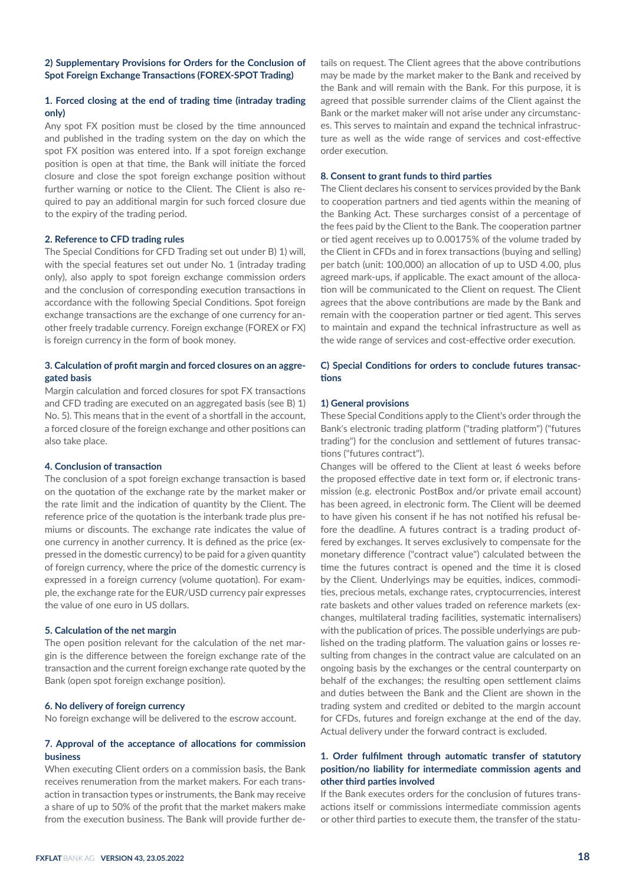# **2) Supplementary Provisions for Orders for the Conclusion of Spot Foreign Exchange Transactions (FOREX-SPOT Trading)**

# **1. Forced closing at the end of trading time (intraday trading only)**

Any spot FX position must be closed by the time announced and published in the trading system on the day on which the spot FX position was entered into. If a spot foreign exchange position is open at that time, the Bank will initiate the forced closure and close the spot foreign exchange position without further warning or notice to the Client. The Client is also required to pay an additional margin for such forced closure due to the expiry of the trading period.

#### **2. Reference to CFD trading rules**

The Special Conditions for CFD Trading set out under B) 1) will, with the special features set out under No. 1 (intraday trading only), also apply to spot foreign exchange commission orders and the conclusion of corresponding execution transactions in accordance with the following Special Conditions. Spot foreign exchange transactions are the exchange of one currency for another freely tradable currency. Foreign exchange (FOREX or FX) is foreign currency in the form of book money.

# **3. Calculation of profit margin and forced closures on an aggregated basis**

Margin calculation and forced closures for spot FX transactions and CFD trading are executed on an aggregated basis (see B) 1) No. 5). This means that in the event of a shortfall in the account, a forced closure of the foreign exchange and other positions can also take place.

## **4. Conclusion of transaction**

The conclusion of a spot foreign exchange transaction is based on the quotation of the exchange rate by the market maker or the rate limit and the indication of quantity by the Client. The reference price of the quotation is the interbank trade plus premiums or discounts. The exchange rate indicates the value of one currency in another currency. It is defined as the price (expressed in the domestic currency) to be paid for a given quantity of foreign currency, where the price of the domestic currency is expressed in a foreign currency (volume quotation). For example, the exchange rate for the EUR/USD currency pair expresses the value of one euro in US dollars.

## **5. Calculation of the net margin**

The open position relevant for the calculation of the net margin is the difference between the foreign exchange rate of the transaction and the current foreign exchange rate quoted by the Bank (open spot foreign exchange position).

## **6. No delivery of foreign currency**

No foreign exchange will be delivered to the escrow account.

# **7. Approval of the acceptance of allocations for commission business**

When executing Client orders on a commission basis, the Bank receives renumeration from the market makers. For each transaction in transaction types or instruments, the Bank may receive a share of up to 50% of the profit that the market makers make from the execution business. The Bank will provide further details on request. The Client agrees that the above contributions may be made by the market maker to the Bank and received by the Bank and will remain with the Bank. For this purpose, it is agreed that possible surrender claims of the Client against the Bank or the market maker will not arise under any circumstances. This serves to maintain and expand the technical infrastructure as well as the wide range of services and cost-effective order execution.

#### **8. Consent to grant funds to third parties**

The Client declares his consent to services provided by the Bank to cooperation partners and tied agents within the meaning of the Banking Act. These surcharges consist of a percentage of the fees paid by the Client to the Bank. The cooperation partner or tied agent receives up to 0.00175% of the volume traded by the Client in CFDs and in forex transactions (buying and selling) per batch (unit: 100,000) an allocation of up to USD 4.00, plus agreed mark-ups, if applicable. The exact amount of the allocation will be communicated to the Client on request. The Client agrees that the above contributions are made by the Bank and remain with the cooperation partner or tied agent. This serves to maintain and expand the technical infrastructure as well as the wide range of services and cost-effective order execution.

# **C) Special Conditions for orders to conclude futures transactions**

#### **1) General provisions**

These Special Conditions apply to the Client's order through the Bank's electronic trading platform ("trading platform") ("futures trading") for the conclusion and settlement of futures transactions ("futures contract").

Changes will be offered to the Client at least 6 weeks before the proposed effective date in text form or, if electronic transmission (e.g. electronic PostBox and/or private email account) has been agreed, in electronic form. The Client will be deemed to have given his consent if he has not notified his refusal before the deadline. A futures contract is a trading product offered by exchanges. It serves exclusively to compensate for the monetary difference ("contract value") calculated between the time the futures contract is opened and the time it is closed by the Client. Underlyings may be equities, indices, commodities, precious metals, exchange rates, cryptocurrencies, interest rate baskets and other values traded on reference markets (exchanges, multilateral trading facilities, systematic internalisers) with the publication of prices. The possible underlyings are published on the trading platform. The valuation gains or losses resulting from changes in the contract value are calculated on an ongoing basis by the exchanges or the central counterparty on behalf of the exchanges; the resulting open settlement claims and duties between the Bank and the Client are shown in the trading system and credited or debited to the margin account for CFDs, futures and foreign exchange at the end of the day. Actual delivery under the forward contract is excluded.

# **1. Order fulfilment through automatic transfer of statutory position/no liability for intermediate commission agents and other third parties involved**

If the Bank executes orders for the conclusion of futures transactions itself or commissions intermediate commission agents or other third parties to execute them, the transfer of the statu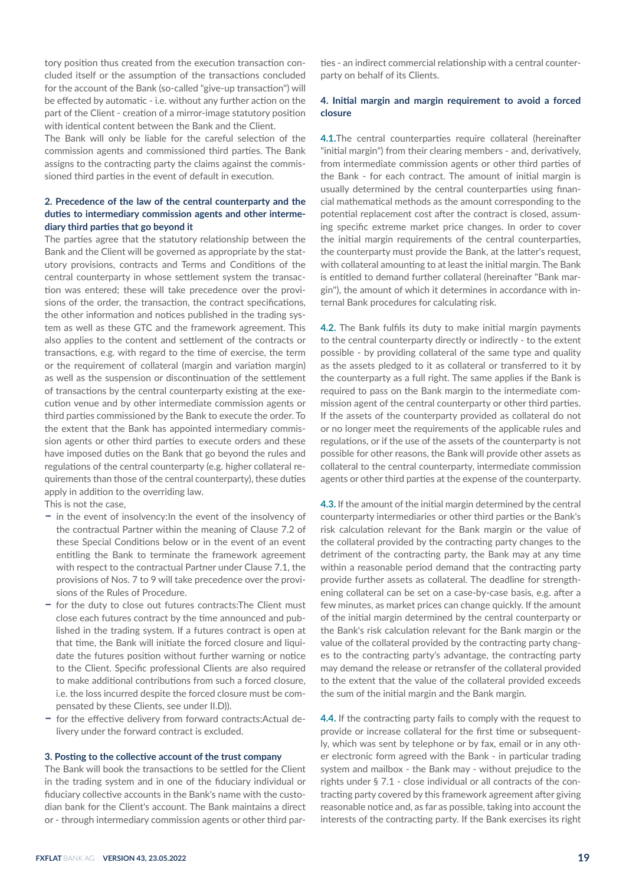tory position thus created from the execution transaction concluded itself or the assumption of the transactions concluded for the account of the Bank (so-called "give-up transaction") will be effected by automatic - i.e. without any further action on the part of the Client - creation of a mirror-image statutory position with identical content between the Bank and the Client.

The Bank will only be liable for the careful selection of the commission agents and commissioned third parties. The Bank assigns to the contracting party the claims against the commissioned third parties in the event of default in execution.

# **2. Precedence of the law of the central counterparty and the duties to intermediary commission agents and other intermediary third parties that go beyond it**

The parties agree that the statutory relationship between the Bank and the Client will be governed as appropriate by the statutory provisions, contracts and Terms and Conditions of the central counterparty in whose settlement system the transaction was entered; these will take precedence over the provisions of the order, the transaction, the contract specifications, the other information and notices published in the trading system as well as these GTC and the framework agreement. This also applies to the content and settlement of the contracts or transactions, e.g. with regard to the time of exercise, the term or the requirement of collateral (margin and variation margin) as well as the suspension or discontinuation of the settlement of transactions by the central counterparty existing at the execution venue and by other intermediate commission agents or third parties commissioned by the Bank to execute the order. To the extent that the Bank has appointed intermediary commission agents or other third parties to execute orders and these have imposed duties on the Bank that go beyond the rules and regulations of the central counterparty (e.g. higher collateral requirements than those of the central counterparty), these duties apply in addition to the overriding law.

This is not the case,

- **–** in the event of insolvency:In the event of the insolvency of the contractual Partner within the meaning of Clause 7.2 of these Special Conditions below or in the event of an event entitling the Bank to terminate the framework agreement with respect to the contractual Partner under Clause 7.1, the provisions of Nos. 7 to 9 will take precedence over the provisions of the Rules of Procedure.
- **–** for the duty to close out futures contracts:The Client must close each futures contract by the time announced and published in the trading system. If a futures contract is open at that time, the Bank will initiate the forced closure and liquidate the futures position without further warning or notice to the Client. Specific professional Clients are also required to make additional contributions from such a forced closure, i.e. the loss incurred despite the forced closure must be compensated by these Clients, see under II.D)).
- **–** for the effective delivery from forward contracts:Actual delivery under the forward contract is excluded.

#### **3. Posting to the collective account of the trust company**

The Bank will book the transactions to be settled for the Client in the trading system and in one of the fiduciary individual or fiduciary collective accounts in the Bank's name with the custodian bank for the Client's account. The Bank maintains a direct or - through intermediary commission agents or other third par-

ties - an indirect commercial relationship with a central counterparty on behalf of its Clients.

# **4. Initial margin and margin requirement to avoid a forced closure**

**4.1.**The central counterparties require collateral (hereinafter "initial margin") from their clearing members - and, derivatively, from intermediate commission agents or other third parties of the Bank - for each contract. The amount of initial margin is usually determined by the central counterparties using financial mathematical methods as the amount corresponding to the potential replacement cost after the contract is closed, assuming specific extreme market price changes. In order to cover the initial margin requirements of the central counterparties, the counterparty must provide the Bank, at the latter's request, with collateral amounting to at least the initial margin. The Bank is entitled to demand further collateral (hereinafter "Bank margin"), the amount of which it determines in accordance with internal Bank procedures for calculating risk.

**4.2.** The Bank fulfils its duty to make initial margin payments to the central counterparty directly or indirectly - to the extent possible - by providing collateral of the same type and quality as the assets pledged to it as collateral or transferred to it by the counterparty as a full right. The same applies if the Bank is required to pass on the Bank margin to the intermediate commission agent of the central counterparty or other third parties. If the assets of the counterparty provided as collateral do not or no longer meet the requirements of the applicable rules and regulations, or if the use of the assets of the counterparty is not possible for other reasons, the Bank will provide other assets as collateral to the central counterparty, intermediate commission agents or other third parties at the expense of the counterparty.

**4.3.** If the amount of the initial margin determined by the central counterparty intermediaries or other third parties or the Bank's risk calculation relevant for the Bank margin or the value of the collateral provided by the contracting party changes to the detriment of the contracting party, the Bank may at any time within a reasonable period demand that the contracting party provide further assets as collateral. The deadline for strengthening collateral can be set on a case-by-case basis, e.g. after a few minutes, as market prices can change quickly. If the amount of the initial margin determined by the central counterparty or the Bank's risk calculation relevant for the Bank margin or the value of the collateral provided by the contracting party changes to the contracting party's advantage, the contracting party may demand the release or retransfer of the collateral provided to the extent that the value of the collateral provided exceeds the sum of the initial margin and the Bank margin.

**4.4.** If the contracting party fails to comply with the request to provide or increase collateral for the first time or subsequently, which was sent by telephone or by fax, email or in any other electronic form agreed with the Bank - in particular trading system and mailbox - the Bank may - without prejudice to the rights under § 7.1 - close individual or all contracts of the contracting party covered by this framework agreement after giving reasonable notice and, as far as possible, taking into account the interests of the contracting party. If the Bank exercises its right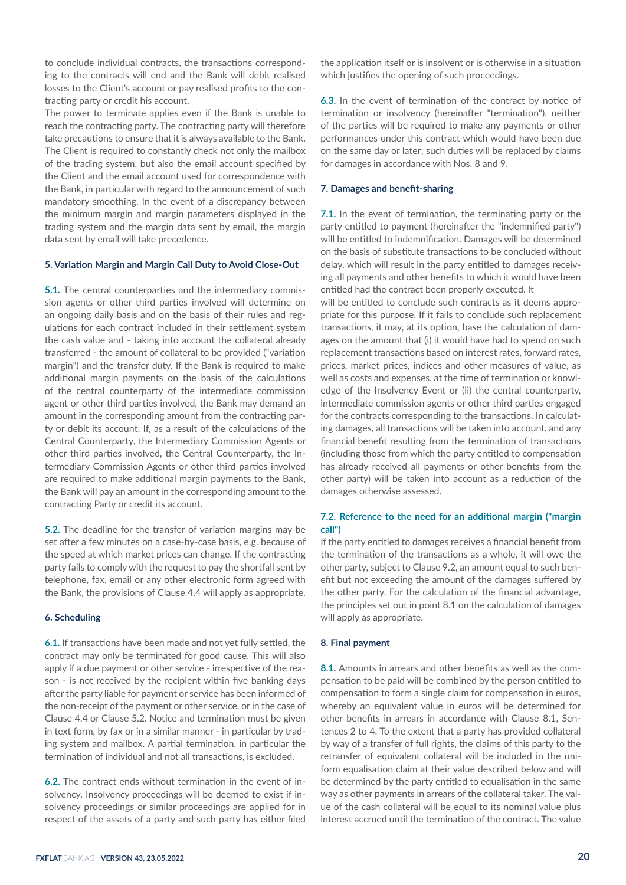to conclude individual contracts, the transactions corresponding to the contracts will end and the Bank will debit realised losses to the Client's account or pay realised profits to the contracting party or credit his account.

The power to terminate applies even if the Bank is unable to reach the contracting party. The contracting party will therefore take precautions to ensure that it is always available to the Bank. The Client is required to constantly check not only the mailbox of the trading system, but also the email account specified by the Client and the email account used for correspondence with the Bank, in particular with regard to the announcement of such mandatory smoothing. In the event of a discrepancy between the minimum margin and margin parameters displayed in the trading system and the margin data sent by email, the margin data sent by email will take precedence.

#### **5. Variation Margin and Margin Call Duty to Avoid Close-Out**

**5.1.** The central counterparties and the intermediary commission agents or other third parties involved will determine on an ongoing daily basis and on the basis of their rules and regulations for each contract included in their settlement system the cash value and - taking into account the collateral already transferred - the amount of collateral to be provided ("variation margin") and the transfer duty. If the Bank is required to make additional margin payments on the basis of the calculations of the central counterparty of the intermediate commission agent or other third parties involved, the Bank may demand an amount in the corresponding amount from the contracting party or debit its account. If, as a result of the calculations of the Central Counterparty, the Intermediary Commission Agents or other third parties involved, the Central Counterparty, the Intermediary Commission Agents or other third parties involved are required to make additional margin payments to the Bank, the Bank will pay an amount in the corresponding amount to the contracting Party or credit its account.

**5.2.** The deadline for the transfer of variation margins may be set after a few minutes on a case-by-case basis, e.g. because of the speed at which market prices can change. If the contracting party fails to comply with the request to pay the shortfall sent by telephone, fax, email or any other electronic form agreed with the Bank, the provisions of Clause 4.4 will apply as appropriate.

## **6. Scheduling**

**6.1.** If transactions have been made and not yet fully settled, the contract may only be terminated for good cause. This will also apply if a due payment or other service - irrespective of the reason - is not received by the recipient within five banking days after the party liable for payment or service has been informed of the non-receipt of the payment or other service, or in the case of Clause 4.4 or Clause 5.2. Notice and termination must be given in text form, by fax or in a similar manner - in particular by trading system and mailbox. A partial termination, in particular the termination of individual and not all transactions, is excluded.

**6.2.** The contract ends without termination in the event of insolvency. Insolvency proceedings will be deemed to exist if insolvency proceedings or similar proceedings are applied for in respect of the assets of a party and such party has either filed

the application itself or is insolvent or is otherwise in a situation which justifies the opening of such proceedings.

**6.3.** In the event of termination of the contract by notice of termination or insolvency (hereinafter "termination"), neither of the parties will be required to make any payments or other performances under this contract which would have been due on the same day or later; such duties will be replaced by claims for damages in accordance with Nos. 8 and 9.

## **7. Damages and benefit-sharing**

**7.1.** In the event of termination, the terminating party or the party entitled to payment (hereinafter the "indemnified party") will be entitled to indemnification. Damages will be determined on the basis of substitute transactions to be concluded without delay, which will result in the party entitled to damages receiving all payments and other benefits to which it would have been entitled had the contract been properly executed. It

will be entitled to conclude such contracts as it deems appropriate for this purpose. If it fails to conclude such replacement transactions, it may, at its option, base the calculation of damages on the amount that (i) it would have had to spend on such replacement transactions based on interest rates, forward rates, prices, market prices, indices and other measures of value, as well as costs and expenses, at the time of termination or knowledge of the Insolvency Event or (ii) the central counterparty, intermediate commission agents or other third parties engaged for the contracts corresponding to the transactions. In calculating damages, all transactions will be taken into account, and any financial benefit resulting from the termination of transactions (including those from which the party entitled to compensation has already received all payments or other benefits from the other party) will be taken into account as a reduction of the damages otherwise assessed.

# **7.2. Reference to the need for an additional margin ("margin call")**

If the party entitled to damages receives a financial benefit from the termination of the transactions as a whole, it will owe the other party, subject to Clause 9.2, an amount equal to such benefit but not exceeding the amount of the damages suffered by the other party. For the calculation of the financial advantage, the principles set out in point 8.1 on the calculation of damages will apply as appropriate.

#### **8. Final payment**

**8.1.** Amounts in arrears and other benefits as well as the compensation to be paid will be combined by the person entitled to compensation to form a single claim for compensation in euros, whereby an equivalent value in euros will be determined for other benefits in arrears in accordance with Clause 8.1, Sentences 2 to 4. To the extent that a party has provided collateral by way of a transfer of full rights, the claims of this party to the retransfer of equivalent collateral will be included in the uniform equalisation claim at their value described below and will be determined by the party entitled to equalisation in the same way as other payments in arrears of the collateral taker. The value of the cash collateral will be equal to its nominal value plus interest accrued until the termination of the contract. The value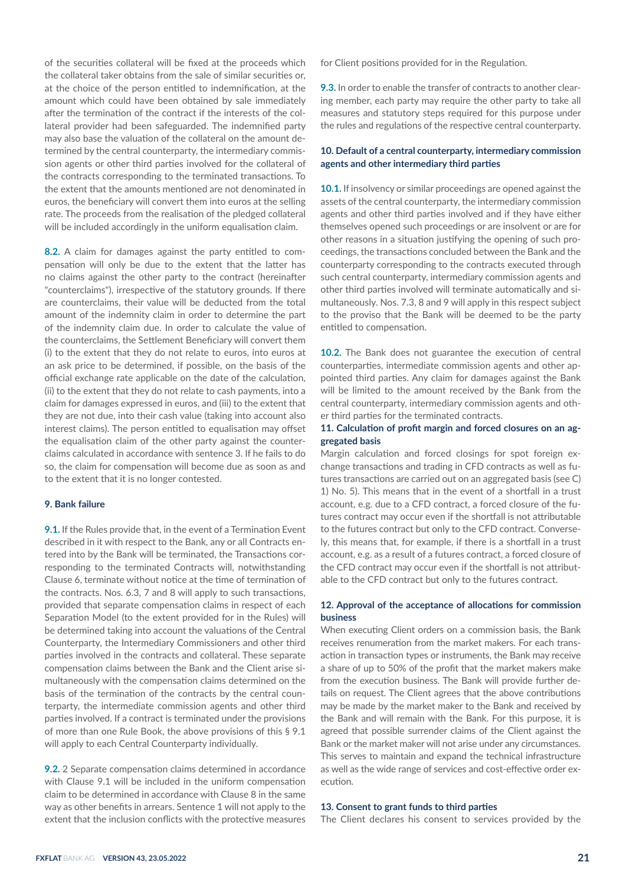of the securities collateral will be fixed at the proceeds which the collateral taker obtains from the sale of similar securities or, at the choice of the person entitled to indemnification, at the amount which could have been obtained by sale immediately after the termination of the contract if the interests of the collateral provider had been safeguarded. The indemnified party may also base the valuation of the collateral on the amount determined by the central counterparty, the intermediary commission agents or other third parties involved for the collateral of the contracts corresponding to the terminated transactions. To the extent that the amounts mentioned are not denominated in euros, the beneficiary will convert them into euros at the selling rate. The proceeds from the realisation of the pledged collateral will be included accordingly in the uniform equalisation claim.

**8.2.** A claim for damages against the party entitled to compensation will only be due to the extent that the latter has no claims against the other party to the contract (hereinafter "counterclaims"), irrespective of the statutory grounds. If there are counterclaims, their value will be deducted from the total amount of the indemnity claim in order to determine the part of the indemnity claim due. In order to calculate the value of the counterclaims, the Settlement Beneficiary will convert them (i) to the extent that they do not relate to euros, into euros at an ask price to be determined, if possible, on the basis of the official exchange rate applicable on the date of the calculation, (ii) to the extent that they do not relate to cash payments, into a claim for damages expressed in euros, and (iii) to the extent that they are not due, into their cash value (taking into account also interest claims). The person entitled to equalisation may offset the equalisation claim of the other party against the counterclaims calculated in accordance with sentence 3. If he fails to do so, the claim for compensation will become due as soon as and to the extent that it is no longer contested.

## **9. Bank failure**

**9.1.** If the Rules provide that, in the event of a Termination Event described in it with respect to the Bank, any or all Contracts entered into by the Bank will be terminated, the Transactions corresponding to the terminated Contracts will, notwithstanding Clause 6, terminate without notice at the time of termination of the contracts. Nos. 6.3, 7 and 8 will apply to such transactions, provided that separate compensation claims in respect of each Separation Model (to the extent provided for in the Rules) will be determined taking into account the valuations of the Central Counterparty, the Intermediary Commissioners and other third parties involved in the contracts and collateral. These separate compensation claims between the Bank and the Client arise simultaneously with the compensation claims determined on the basis of the termination of the contracts by the central counterparty, the intermediate commission agents and other third parties involved. If a contract is terminated under the provisions of more than one Rule Book, the above provisions of this § 9.1 will apply to each Central Counterparty individually.

**9.2.** 2 Separate compensation claims determined in accordance with Clause 9.1 will be included in the uniform compensation claim to be determined in accordance with Clause 8 in the same way as other benefits in arrears. Sentence 1 will not apply to the extent that the inclusion conflicts with the protective measures

for Client positions provided for in the Regulation.

**9.3.** In order to enable the transfer of contracts to another clearing member, each party may require the other party to take all measures and statutory steps required for this purpose under the rules and regulations of the respective central counterparty.

# **10. Default of a central counterparty, intermediary commission agents and other intermediary third parties**

**10.1.** If insolvency or similar proceedings are opened against the assets of the central counterparty, the intermediary commission agents and other third parties involved and if they have either themselves opened such proceedings or are insolvent or are for other reasons in a situation justifying the opening of such proceedings, the transactions concluded between the Bank and the counterparty corresponding to the contracts executed through such central counterparty, intermediary commission agents and other third parties involved will terminate automatically and simultaneously. Nos. 7.3, 8 and 9 will apply in this respect subject to the proviso that the Bank will be deemed to be the party entitled to compensation.

**10.2.** The Bank does not guarantee the execution of central counterparties, intermediate commission agents and other appointed third parties. Any claim for damages against the Bank will be limited to the amount received by the Bank from the central counterparty, intermediary commission agents and other third parties for the terminated contracts.

# **11. Calculation of profit margin and forced closures on an aggregated basis**

Margin calculation and forced closings for spot foreign exchange transactions and trading in CFD contracts as well as futures transactions are carried out on an aggregated basis (see C) 1) No. 5). This means that in the event of a shortfall in a trust account, e.g. due to a CFD contract, a forced closure of the futures contract may occur even if the shortfall is not attributable to the futures contract but only to the CFD contract. Conversely, this means that, for example, if there is a shortfall in a trust account, e.g. as a result of a futures contract, a forced closure of the CFD contract may occur even if the shortfall is not attributable to the CFD contract but only to the futures contract.

# **12. Approval of the acceptance of allocations for commission business**

When executing Client orders on a commission basis, the Bank receives renumeration from the market makers. For each transaction in transaction types or instruments, the Bank may receive a share of up to 50% of the profit that the market makers make from the execution business. The Bank will provide further details on request. The Client agrees that the above contributions may be made by the market maker to the Bank and received by the Bank and will remain with the Bank. For this purpose, it is agreed that possible surrender claims of the Client against the Bank or the market maker will not arise under any circumstances. This serves to maintain and expand the technical infrastructure as well as the wide range of services and cost-effective order execution.

#### **13. Consent to grant funds to third parties**

The Client declares his consent to services provided by the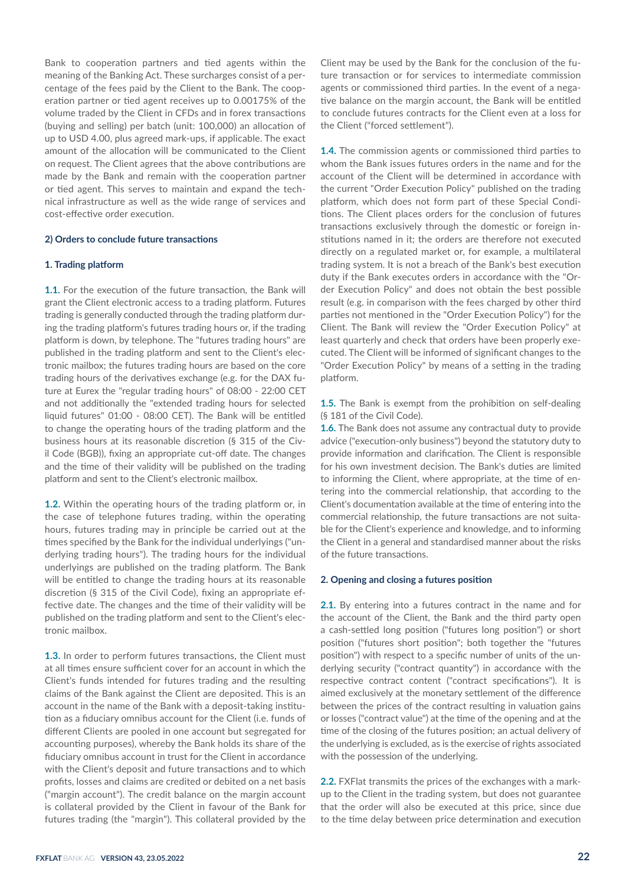Bank to cooperation partners and tied agents within the meaning of the Banking Act. These surcharges consist of a percentage of the fees paid by the Client to the Bank. The cooperation partner or tied agent receives up to 0.00175% of the volume traded by the Client in CFDs and in forex transactions (buying and selling) per batch (unit: 100,000) an allocation of up to USD 4.00, plus agreed mark-ups, if applicable. The exact amount of the allocation will be communicated to the Client on request. The Client agrees that the above contributions are made by the Bank and remain with the cooperation partner or tied agent. This serves to maintain and expand the technical infrastructure as well as the wide range of services and cost-effective order execution.

## **2) Orders to conclude future transactions**

#### **1. Trading platform**

**1.1.** For the execution of the future transaction, the Bank will grant the Client electronic access to a trading platform. Futures trading is generally conducted through the trading platform during the trading platform's futures trading hours or, if the trading platform is down, by telephone. The "futures trading hours" are published in the trading platform and sent to the Client's electronic mailbox; the futures trading hours are based on the core trading hours of the derivatives exchange (e.g. for the DAX future at Eurex the "regular trading hours" of 08:00 - 22:00 CET and not additionally the "extended trading hours for selected liquid futures" 01:00 - 08:00 CET). The Bank will be entitled to change the operating hours of the trading platform and the business hours at its reasonable discretion (§ 315 of the Civil Code (BGB)), fixing an appropriate cut-off date. The changes and the time of their validity will be published on the trading platform and sent to the Client's electronic mailbox.

**1.2.** Within the operating hours of the trading platform or, in the case of telephone futures trading, within the operating hours, futures trading may in principle be carried out at the times specified by the Bank for the individual underlyings ("underlying trading hours"). The trading hours for the individual underlyings are published on the trading platform. The Bank will be entitled to change the trading hours at its reasonable discretion (§ 315 of the Civil Code), fixing an appropriate effective date. The changes and the time of their validity will be published on the trading platform and sent to the Client's electronic mailbox.

**1.3.** In order to perform futures transactions, the Client must at all times ensure sufficient cover for an account in which the Client's funds intended for futures trading and the resulting claims of the Bank against the Client are deposited. This is an account in the name of the Bank with a deposit-taking institution as a fiduciary omnibus account for the Client (i.e. funds of different Clients are pooled in one account but segregated for accounting purposes), whereby the Bank holds its share of the fiduciary omnibus account in trust for the Client in accordance with the Client's deposit and future transactions and to which profits, losses and claims are credited or debited on a net basis ("margin account"). The credit balance on the margin account is collateral provided by the Client in favour of the Bank for futures trading (the "margin"). This collateral provided by the

Client may be used by the Bank for the conclusion of the future transaction or for services to intermediate commission agents or commissioned third parties. In the event of a negative balance on the margin account, the Bank will be entitled to conclude futures contracts for the Client even at a loss for the Client ("forced settlement").

**1.4.** The commission agents or commissioned third parties to whom the Bank issues futures orders in the name and for the account of the Client will be determined in accordance with the current "Order Execution Policy" published on the trading platform, which does not form part of these Special Conditions. The Client places orders for the conclusion of futures transactions exclusively through the domestic or foreign institutions named in it; the orders are therefore not executed directly on a regulated market or, for example, a multilateral trading system. It is not a breach of the Bank's best execution duty if the Bank executes orders in accordance with the "Order Execution Policy" and does not obtain the best possible result (e.g. in comparison with the fees charged by other third parties not mentioned in the "Order Execution Policy") for the Client. The Bank will review the "Order Execution Policy" at least quarterly and check that orders have been properly executed. The Client will be informed of significant changes to the "Order Execution Policy" by means of a setting in the trading platform.

**1.5.** The Bank is exempt from the prohibition on self-dealing (§ 181 of the Civil Code).

**1.6.** The Bank does not assume any contractual duty to provide advice ("execution-only business") beyond the statutory duty to provide information and clarification. The Client is responsible for his own investment decision. The Bank's duties are limited to informing the Client, where appropriate, at the time of entering into the commercial relationship, that according to the Client's documentation available at the time of entering into the commercial relationship, the future transactions are not suitable for the Client's experience and knowledge, and to informing the Client in a general and standardised manner about the risks of the future transactions.

## **2. Opening and closing a futures position**

**2.1.** By entering into a futures contract in the name and for the account of the Client, the Bank and the third party open a cash-settled long position ("futures long position") or short position ("futures short position"; both together the "futures position") with respect to a specific number of units of the underlying security ("contract quantity") in accordance with the respective contract content ("contract specifications"). It is aimed exclusively at the monetary settlement of the difference between the prices of the contract resulting in valuation gains or losses ("contract value") at the time of the opening and at the time of the closing of the futures position; an actual delivery of the underlying is excluded, as is the exercise of rights associated with the possession of the underlying.

**2.2.** FXFlat transmits the prices of the exchanges with a markup to the Client in the trading system, but does not guarantee that the order will also be executed at this price, since due to the time delay between price determination and execution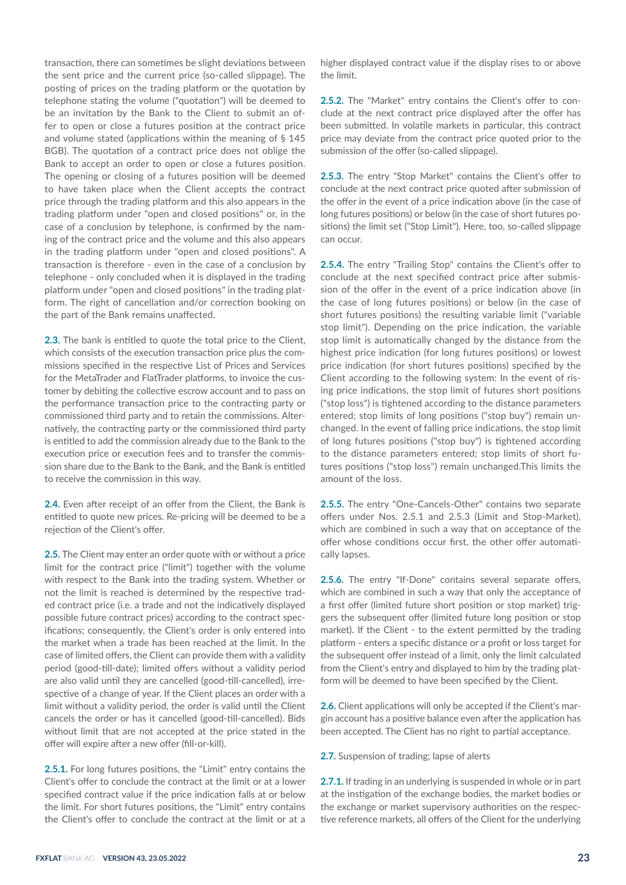transaction, there can sometimes be slight deviations between the sent price and the current price (so-called slippage). The posting of prices on the trading platform or the quotation by telephone stating the volume ("quotation") will be deemed to be an invitation by the Bank to the Client to submit an offer to open or close a futures position at the contract price and volume stated (applications within the meaning of § 145 BGB). The quotation of a contract price does not oblige the Bank to accept an order to open or close a futures position. The opening or closing of a futures position will be deemed to have taken place when the Client accepts the contract price through the trading platform and this also appears in the trading platform under "open and closed positions" or, in the case of a conclusion by telephone, is confirmed by the naming of the contract price and the volume and this also appears in the trading platform under "open and closed positions". A transaction is therefore - even in the case of a conclusion by telephone - only concluded when it is displayed in the trading platform under "open and closed positions" in the trading platform. The right of cancellation and/or correction booking on the part of the Bank remains unaffected.

**2.3.** The bank is entitled to quote the total price to the Client, which consists of the execution transaction price plus the commissions specified in the respective List of Prices and Services for the MetaTrader and FlatTrader platforms, to invoice the customer by debiting the collective escrow account and to pass on the performance transaction price to the contracting party or commissioned third party and to retain the commissions. Alternatively, the contracting party or the commissioned third party is entitled to add the commission already due to the Bank to the execution price or execution fees and to transfer the commission share due to the Bank to the Bank, and the Bank is entitled to receive the commission in this way.

**2.4.** Even after receipt of an offer from the Client, the Bank is entitled to quote new prices. Re-pricing will be deemed to be a rejection of the Client's offer.

**2.5.** The Client may enter an order quote with or without a price limit for the contract price ("limit") together with the volume with respect to the Bank into the trading system. Whether or not the limit is reached is determined by the respective traded contract price (i.e. a trade and not the indicatively displayed possible future contract prices) according to the contract specifications; consequently, the Client's order is only entered into the market when a trade has been reached at the limit. In the case of limited offers, the Client can provide them with a validity period (good-till-date); limited offers without a validity period are also valid until they are cancelled (good-till-cancelled), irrespective of a change of year. If the Client places an order with a limit without a validity period, the order is valid until the Client cancels the order or has it cancelled (good-till-cancelled). Bids without limit that are not accepted at the price stated in the offer will expire after a new offer (fill-or-kill).

**2.5.1.** For long futures positions, the "Limit" entry contains the Client's offer to conclude the contract at the limit or at a lower specified contract value if the price indication falls at or below the limit. For short futures positions, the "Limit" entry contains the Client's offer to conclude the contract at the limit or at a higher displayed contract value if the display rises to or above the limit.

**2.5.2.** The "Market" entry contains the Client's offer to conclude at the next contract price displayed after the offer has been submitted. In volatile markets in particular, this contract price may deviate from the contract price quoted prior to the submission of the offer (so-called slippage).

**2.5.3.** The entry "Stop Market" contains the Client's offer to conclude at the next contract price quoted after submission of the offer in the event of a price indication above (in the case of long futures positions) or below (in the case of short futures positions) the limit set ("Stop Limit"). Here, too, so-called slippage can occur.

**2.5.4.** The entry "Trailing Stop" contains the Client's offer to conclude at the next specified contract price after submission of the offer in the event of a price indication above (in the case of long futures positions) or below (in the case of short futures positions) the resulting variable limit ("variable stop limit"). Depending on the price indication, the variable stop limit is automatically changed by the distance from the highest price indication (for long futures positions) or lowest price indication (for short futures positions) specified by the Client according to the following system: In the event of rising price indications, the stop limit of futures short positions ("stop loss") is tightened according to the distance parameters entered; stop limits of long positions ("stop buy") remain unchanged. In the event of falling price indications, the stop limit of long futures positions ("stop buy") is tightened according to the distance parameters entered; stop limits of short futures positions ("stop loss") remain unchanged.This limits the amount of the loss.

**2.5.5.** The entry "One-Cancels-Other" contains two separate offers under Nos. 2.5.1 and 2.5.3 (Limit and Stop-Market), which are combined in such a way that on acceptance of the offer whose conditions occur first, the other offer automatically lapses.

**2.5.6.** The entry "If-Done" contains several separate offers, which are combined in such a way that only the acceptance of a first offer (limited future short position or stop market) triggers the subsequent offer (limited future long position or stop market). If the Client - to the extent permitted by the trading platform - enters a specific distance or a profit or loss target for the subsequent offer instead of a limit, only the limit calculated from the Client's entry and displayed to him by the trading platform will be deemed to have been specified by the Client.

**2.6.** Client applications will only be accepted if the Client's margin account has a positive balance even after the application has been accepted. The Client has no right to partial acceptance.

**2.7.** Suspension of trading; lapse of alerts

**2.7.1.** If trading in an underlying is suspended in whole or in part at the instigation of the exchange bodies, the market bodies or the exchange or market supervisory authorities on the respective reference markets, all offers of the Client for the underlying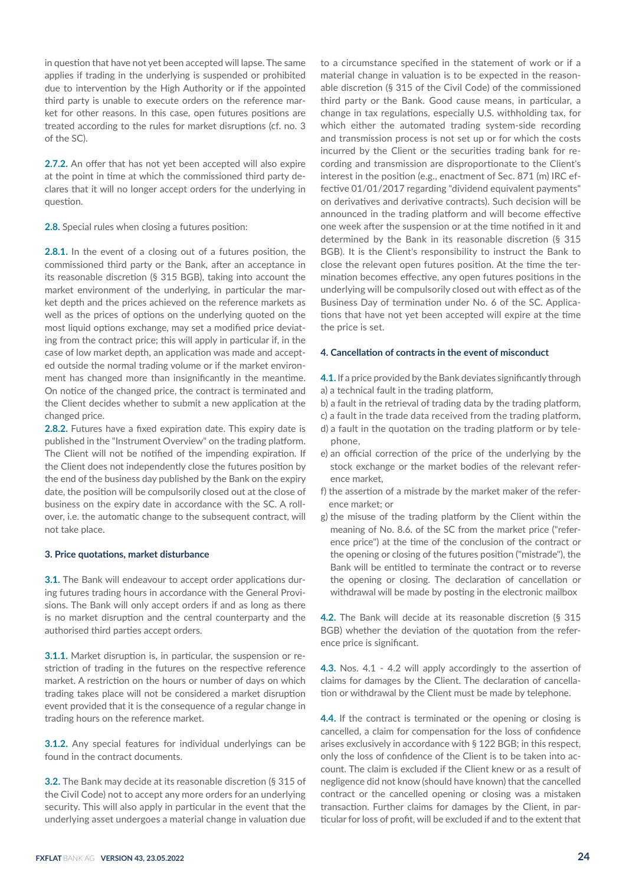in question that have not yet been accepted will lapse. The same applies if trading in the underlying is suspended or prohibited due to intervention by the High Authority or if the appointed third party is unable to execute orders on the reference market for other reasons. In this case, open futures positions are treated according to the rules for market disruptions (cf. no. 3 of the SC).

**2.7.2.** An offer that has not yet been accepted will also expire at the point in time at which the commissioned third party declares that it will no longer accept orders for the underlying in question.

**2.8.** Special rules when closing a futures position:

**2.8.1.** In the event of a closing out of a futures position, the commissioned third party or the Bank, after an acceptance in its reasonable discretion (§ 315 BGB), taking into account the market environment of the underlying, in particular the market depth and the prices achieved on the reference markets as well as the prices of options on the underlying quoted on the most liquid options exchange, may set a modified price deviating from the contract price; this will apply in particular if, in the case of low market depth, an application was made and accepted outside the normal trading volume or if the market environment has changed more than insignificantly in the meantime. On notice of the changed price, the contract is terminated and the Client decides whether to submit a new application at the changed price.

**2.8.2.** Futures have a fixed expiration date. This expiry date is published in the "Instrument Overview" on the trading platform. The Client will not be notified of the impending expiration. If the Client does not independently close the futures position by the end of the business day published by the Bank on the expiry date, the position will be compulsorily closed out at the close of business on the expiry date in accordance with the SC. A rollover, i.e. the automatic change to the subsequent contract, will not take place.

#### **3. Price quotations, market disturbance**

**3.1.** The Bank will endeavour to accept order applications during futures trading hours in accordance with the General Provisions. The Bank will only accept orders if and as long as there is no market disruption and the central counterparty and the authorised third parties accept orders.

**3.1.1.** Market disruption is, in particular, the suspension or restriction of trading in the futures on the respective reference market. A restriction on the hours or number of days on which trading takes place will not be considered a market disruption event provided that it is the consequence of a regular change in trading hours on the reference market.

**3.1.2.** Any special features for individual underlyings can be found in the contract documents.

**3.2.** The Bank may decide at its reasonable discretion (§ 315 of the Civil Code) not to accept any more orders for an underlying security. This will also apply in particular in the event that the underlying asset undergoes a material change in valuation due

to a circumstance specified in the statement of work or if a material change in valuation is to be expected in the reasonable discretion (§ 315 of the Civil Code) of the commissioned third party or the Bank. Good cause means, in particular, a change in tax regulations, especially U.S. withholding tax, for which either the automated trading system-side recording and transmission process is not set up or for which the costs incurred by the Client or the securities trading bank for recording and transmission are disproportionate to the Client's interest in the position (e.g., enactment of Sec. 871 (m) IRC effective 01/01/2017 regarding "dividend equivalent payments" on derivatives and derivative contracts). Such decision will be announced in the trading platform and will become effective one week after the suspension or at the time notified in it and determined by the Bank in its reasonable discretion (§ 315 BGB). It is the Client's responsibility to instruct the Bank to close the relevant open futures position. At the time the termination becomes effective, any open futures positions in the underlying will be compulsorily closed out with effect as of the Business Day of termination under No. 6 of the SC. Applications that have not yet been accepted will expire at the time the price is set.

#### **4. Cancellation of contracts in the event of misconduct**

**4.1.** If a price provided by the Bank deviates significantly through a) a technical fault in the trading platform,

- b) a fault in the retrieval of trading data by the trading platform,
- c) a fault in the trade data received from the trading platform,
- d) a fault in the quotation on the trading platform or by telephone,
- e) an official correction of the price of the underlying by the stock exchange or the market bodies of the relevant reference market,
- f) the assertion of a mistrade by the market maker of the reference market; or
- g) the misuse of the trading platform by the Client within the meaning of No. 8.6. of the SC from the market price ("reference price") at the time of the conclusion of the contract or the opening or closing of the futures position ("mistrade"), the Bank will be entitled to terminate the contract or to reverse the opening or closing. The declaration of cancellation or withdrawal will be made by posting in the electronic mailbox

**4.2.** The Bank will decide at its reasonable discretion (§ 315 BGB) whether the deviation of the quotation from the reference price is significant.

**4.3.** Nos. 4.1 - 4.2 will apply accordingly to the assertion of claims for damages by the Client. The declaration of cancellation or withdrawal by the Client must be made by telephone.

**4.4.** If the contract is terminated or the opening or closing is cancelled, a claim for compensation for the loss of confidence arises exclusively in accordance with § 122 BGB; in this respect, only the loss of confidence of the Client is to be taken into account. The claim is excluded if the Client knew or as a result of negligence did not know (should have known) that the cancelled contract or the cancelled opening or closing was a mistaken transaction. Further claims for damages by the Client, in particular for loss of profit, will be excluded if and to the extent that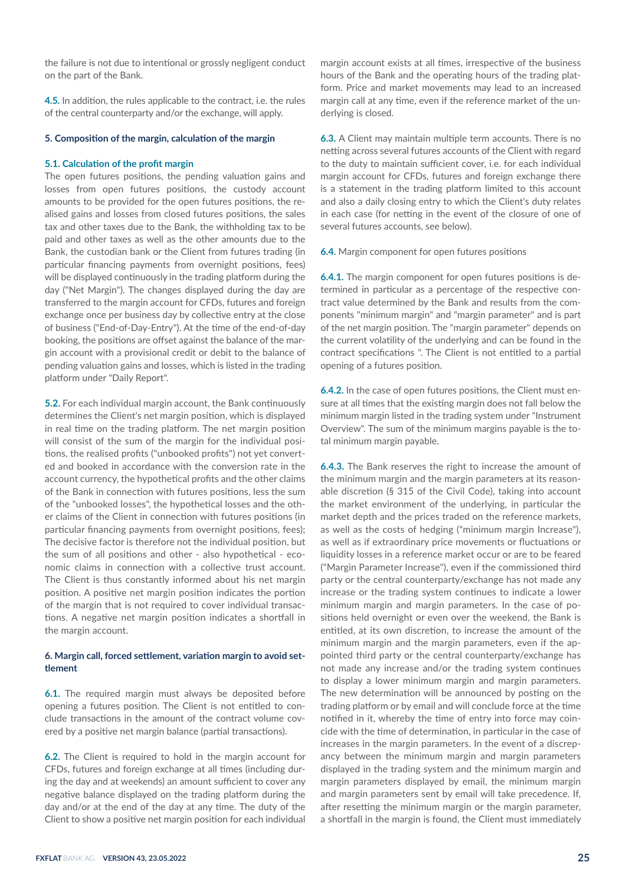the failure is not due to intentional or grossly negligent conduct on the part of the Bank.

**4.5.** In addition, the rules applicable to the contract, i.e. the rules of the central counterparty and/or the exchange, will apply.

#### **5. Composition of the margin, calculation of the margin**

#### **5.1. Calculation of the profit margin**

The open futures positions, the pending valuation gains and losses from open futures positions, the custody account amounts to be provided for the open futures positions, the realised gains and losses from closed futures positions, the sales tax and other taxes due to the Bank, the withholding tax to be paid and other taxes as well as the other amounts due to the Bank, the custodian bank or the Client from futures trading (in particular financing payments from overnight positions, fees) will be displayed continuously in the trading platform during the day ("Net Margin"). The changes displayed during the day are transferred to the margin account for CFDs, futures and foreign exchange once per business day by collective entry at the close of business ("End-of-Day-Entry"). At the time of the end-of-day booking, the positions are offset against the balance of the margin account with a provisional credit or debit to the balance of pending valuation gains and losses, which is listed in the trading platform under "Daily Report".

**5.2.** For each individual margin account, the Bank continuously determines the Client's net margin position, which is displayed in real time on the trading platform. The net margin position will consist of the sum of the margin for the individual positions, the realised profits ("unbooked profits") not yet converted and booked in accordance with the conversion rate in the account currency, the hypothetical profits and the other claims of the Bank in connection with futures positions, less the sum of the "unbooked losses", the hypothetical losses and the other claims of the Client in connection with futures positions (in particular financing payments from overnight positions, fees); The decisive factor is therefore not the individual position, but the sum of all positions and other - also hypothetical - economic claims in connection with a collective trust account. The Client is thus constantly informed about his net margin position. A positive net margin position indicates the portion of the margin that is not required to cover individual transactions. A negative net margin position indicates a shortfall in the margin account.

# **6. Margin call, forced settlement, variation margin to avoid settlement**

**6.1.** The required margin must always be deposited before opening a futures position. The Client is not entitled to conclude transactions in the amount of the contract volume covered by a positive net margin balance (partial transactions).

**6.2.** The Client is required to hold in the margin account for CFDs, futures and foreign exchange at all times (including during the day and at weekends) an amount sufficient to cover any negative balance displayed on the trading platform during the day and/or at the end of the day at any time. The duty of the Client to show a positive net margin position for each individual

margin account exists at all times, irrespective of the business hours of the Bank and the operating hours of the trading platform. Price and market movements may lead to an increased margin call at any time, even if the reference market of the underlying is closed.

**6.3.** A Client may maintain multiple term accounts. There is no netting across several futures accounts of the Client with regard to the duty to maintain sufficient cover, i.e. for each individual margin account for CFDs, futures and foreign exchange there is a statement in the trading platform limited to this account and also a daily closing entry to which the Client's duty relates in each case (for netting in the event of the closure of one of several futures accounts, see below).

**6.4.** Margin component for open futures positions

**6.4.1.** The margin component for open futures positions is determined in particular as a percentage of the respective contract value determined by the Bank and results from the components "minimum margin" and "margin parameter" and is part of the net margin position. The "margin parameter" depends on the current volatility of the underlying and can be found in the contract specifications ". The Client is not entitled to a partial opening of a futures position.

**6.4.2.** In the case of open futures positions, the Client must ensure at all times that the existing margin does not fall below the minimum margin listed in the trading system under "Instrument Overview". The sum of the minimum margins payable is the total minimum margin payable.

**6.4.3.** The Bank reserves the right to increase the amount of the minimum margin and the margin parameters at its reasonable discretion (§ 315 of the Civil Code), taking into account the market environment of the underlying, in particular the market depth and the prices traded on the reference markets, as well as the costs of hedging ("minimum margin Increase"), as well as if extraordinary price movements or fluctuations or liquidity losses in a reference market occur or are to be feared ("Margin Parameter Increase"), even if the commissioned third party or the central counterparty/exchange has not made any increase or the trading system continues to indicate a lower minimum margin and margin parameters. In the case of positions held overnight or even over the weekend, the Bank is entitled, at its own discretion, to increase the amount of the minimum margin and the margin parameters, even if the appointed third party or the central counterparty/exchange has not made any increase and/or the trading system continues to display a lower minimum margin and margin parameters. The new determination will be announced by posting on the trading platform or by email and will conclude force at the time notified in it, whereby the time of entry into force may coincide with the time of determination, in particular in the case of increases in the margin parameters. In the event of a discrepancy between the minimum margin and margin parameters displayed in the trading system and the minimum margin and margin parameters displayed by email, the minimum margin and margin parameters sent by email will take precedence. If, after resetting the minimum margin or the margin parameter, a shortfall in the margin is found, the Client must immediately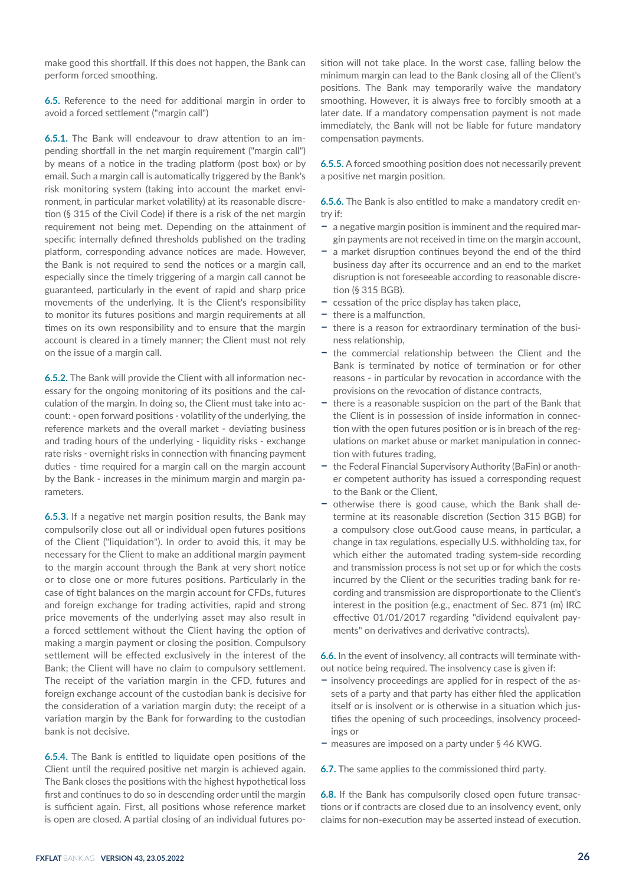make good this shortfall. If this does not happen, the Bank can perform forced smoothing.

**6.5.** Reference to the need for additional margin in order to avoid a forced settlement ("margin call")

**6.5.1.** The Bank will endeavour to draw attention to an impending shortfall in the net margin requirement ("margin call") by means of a notice in the trading platform (post box) or by email. Such a margin call is automatically triggered by the Bank's risk monitoring system (taking into account the market environment, in particular market volatility) at its reasonable discretion (§ 315 of the Civil Code) if there is a risk of the net margin requirement not being met. Depending on the attainment of specific internally defined thresholds published on the trading platform, corresponding advance notices are made. However, the Bank is not required to send the notices or a margin call, especially since the timely triggering of a margin call cannot be guaranteed, particularly in the event of rapid and sharp price movements of the underlying. It is the Client's responsibility to monitor its futures positions and margin requirements at all times on its own responsibility and to ensure that the margin account is cleared in a timely manner; the Client must not rely on the issue of a margin call.

**6.5.2.** The Bank will provide the Client with all information necessary for the ongoing monitoring of its positions and the calculation of the margin. In doing so, the Client must take into account: - open forward positions - volatility of the underlying, the reference markets and the overall market - deviating business and trading hours of the underlying - liquidity risks - exchange rate risks - overnight risks in connection with financing payment duties - time required for a margin call on the margin account by the Bank - increases in the minimum margin and margin parameters.

**6.5.3.** If a negative net margin position results, the Bank may compulsorily close out all or individual open futures positions of the Client ("liquidation"). In order to avoid this, it may be necessary for the Client to make an additional margin payment to the margin account through the Bank at very short notice or to close one or more futures positions. Particularly in the case of tight balances on the margin account for CFDs, futures and foreign exchange for trading activities, rapid and strong price movements of the underlying asset may also result in a forced settlement without the Client having the option of making a margin payment or closing the position. Compulsory settlement will be effected exclusively in the interest of the Bank; the Client will have no claim to compulsory settlement. The receipt of the variation margin in the CFD, futures and foreign exchange account of the custodian bank is decisive for the consideration of a variation margin duty; the receipt of a variation margin by the Bank for forwarding to the custodian bank is not decisive.

**6.5.4.** The Bank is entitled to liquidate open positions of the Client until the required positive net margin is achieved again. The Bank closes the positions with the highest hypothetical loss first and continues to do so in descending order until the margin is sufficient again. First, all positions whose reference market is open are closed. A partial closing of an individual futures position will not take place. In the worst case, falling below the minimum margin can lead to the Bank closing all of the Client's positions. The Bank may temporarily waive the mandatory smoothing. However, it is always free to forcibly smooth at a later date. If a mandatory compensation payment is not made immediately, the Bank will not be liable for future mandatory compensation payments.

**6.5.5.** A forced smoothing position does not necessarily prevent a positive net margin position.

**6.5.6.** The Bank is also entitled to make a mandatory credit entry if:

- **–** a negative margin position is imminent and the required margin payments are not received in time on the margin account,
- **–** a market disruption continues beyond the end of the third business day after its occurrence and an end to the market disruption is not foreseeable according to reasonable discretion (§ 315 BGB).
- **–** cessation of the price display has taken place,
- **–** there is a malfunction,
- **–** there is a reason for extraordinary termination of the business relationship,
- **–** the commercial relationship between the Client and the Bank is terminated by notice of termination or for other reasons - in particular by revocation in accordance with the provisions on the revocation of distance contracts,
- **–** there is a reasonable suspicion on the part of the Bank that the Client is in possession of inside information in connection with the open futures position or is in breach of the regulations on market abuse or market manipulation in connection with futures trading,
- **–** the Federal Financial Supervisory Authority (BaFin) or another competent authority has issued a corresponding request to the Bank or the Client,
- **–** otherwise there is good cause, which the Bank shall determine at its reasonable discretion (Section 315 BGB) for a compulsory close out.Good cause means, in particular, a change in tax regulations, especially U.S. withholding tax, for which either the automated trading system-side recording and transmission process is not set up or for which the costs incurred by the Client or the securities trading bank for recording and transmission are disproportionate to the Client's interest in the position (e.g., enactment of Sec. 871 (m) IRC effective 01/01/2017 regarding "dividend equivalent payments" on derivatives and derivative contracts).

**6.6.** In the event of insolvency, all contracts will terminate without notice being required. The insolvency case is given if:

- **–** insolvency proceedings are applied for in respect of the assets of a party and that party has either filed the application itself or is insolvent or is otherwise in a situation which justifies the opening of such proceedings, insolvency proceedings or
- **–** measures are imposed on a party under § 46 KWG.

**6.7.** The same applies to the commissioned third party.

**6.8.** If the Bank has compulsorily closed open future transactions or if contracts are closed due to an insolvency event, only claims for non-execution may be asserted instead of execution.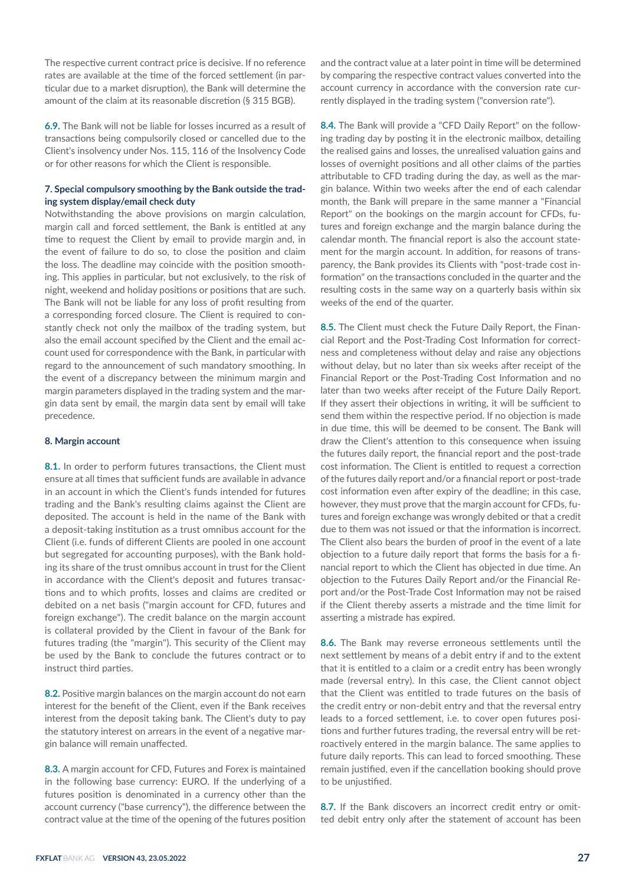The respective current contract price is decisive. If no reference rates are available at the time of the forced settlement (in particular due to a market disruption), the Bank will determine the amount of the claim at its reasonable discretion (§ 315 BGB).

**6.9.** The Bank will not be liable for losses incurred as a result of transactions being compulsorily closed or cancelled due to the Client's insolvency under Nos. 115, 116 of the Insolvency Code or for other reasons for which the Client is responsible.

# **7. Special compulsory smoothing by the Bank outside the trading system display/email check duty**

Notwithstanding the above provisions on margin calculation, margin call and forced settlement, the Bank is entitled at any time to request the Client by email to provide margin and, in the event of failure to do so, to close the position and claim the loss. The deadline may coincide with the position smoothing. This applies in particular, but not exclusively, to the risk of night, weekend and holiday positions or positions that are such. The Bank will not be liable for any loss of profit resulting from a corresponding forced closure. The Client is required to constantly check not only the mailbox of the trading system, but also the email account specified by the Client and the email account used for correspondence with the Bank, in particular with regard to the announcement of such mandatory smoothing. In the event of a discrepancy between the minimum margin and margin parameters displayed in the trading system and the margin data sent by email, the margin data sent by email will take precedence.

## **8. Margin account**

**8.1.** In order to perform futures transactions, the Client must ensure at all times that sufficient funds are available in advance in an account in which the Client's funds intended for futures trading and the Bank's resulting claims against the Client are deposited. The account is held in the name of the Bank with a deposit-taking institution as a trust omnibus account for the Client (i.e. funds of different Clients are pooled in one account but segregated for accounting purposes), with the Bank holding its share of the trust omnibus account in trust for the Client in accordance with the Client's deposit and futures transactions and to which profits, losses and claims are credited or debited on a net basis ("margin account for CFD, futures and foreign exchange"). The credit balance on the margin account is collateral provided by the Client in favour of the Bank for futures trading (the "margin"). This security of the Client may be used by the Bank to conclude the futures contract or to instruct third parties.

**8.2.** Positive margin balances on the margin account do not earn interest for the benefit of the Client, even if the Bank receives interest from the deposit taking bank. The Client's duty to pay the statutory interest on arrears in the event of a negative margin balance will remain unaffected.

**8.3.** A margin account for CFD, Futures and Forex is maintained in the following base currency: EURO. If the underlying of a futures position is denominated in a currency other than the account currency ("base currency"), the difference between the contract value at the time of the opening of the futures position

and the contract value at a later point in time will be determined by comparing the respective contract values converted into the account currency in accordance with the conversion rate currently displayed in the trading system ("conversion rate").

**8.4.** The Bank will provide a "CFD Daily Report" on the following trading day by posting it in the electronic mailbox, detailing the realised gains and losses, the unrealised valuation gains and losses of overnight positions and all other claims of the parties attributable to CFD trading during the day, as well as the margin balance. Within two weeks after the end of each calendar month, the Bank will prepare in the same manner a "Financial Report" on the bookings on the margin account for CFDs, futures and foreign exchange and the margin balance during the calendar month. The financial report is also the account statement for the margin account. In addition, for reasons of transparency, the Bank provides its Clients with "post-trade cost information" on the transactions concluded in the quarter and the resulting costs in the same way on a quarterly basis within six weeks of the end of the quarter.

**8.5.** The Client must check the Future Daily Report, the Financial Report and the Post-Trading Cost Information for correctness and completeness without delay and raise any objections without delay, but no later than six weeks after receipt of the Financial Report or the Post-Trading Cost Information and no later than two weeks after receipt of the Future Daily Report. If they assert their objections in writing, it will be sufficient to send them within the respective period. If no objection is made in due time, this will be deemed to be consent. The Bank will draw the Client's attention to this consequence when issuing the futures daily report, the financial report and the post-trade cost information. The Client is entitled to request a correction of the futures daily report and/or a financial report or post-trade cost information even after expiry of the deadline; in this case, however, they must prove that the margin account for CFDs, futures and foreign exchange was wrongly debited or that a credit due to them was not issued or that the information is incorrect. The Client also bears the burden of proof in the event of a late objection to a future daily report that forms the basis for a financial report to which the Client has objected in due time. An objection to the Futures Daily Report and/or the Financial Report and/or the Post-Trade Cost Information may not be raised if the Client thereby asserts a mistrade and the time limit for asserting a mistrade has expired.

**8.6.** The Bank may reverse erroneous settlements until the next settlement by means of a debit entry if and to the extent that it is entitled to a claim or a credit entry has been wrongly made (reversal entry). In this case, the Client cannot object that the Client was entitled to trade futures on the basis of the credit entry or non-debit entry and that the reversal entry leads to a forced settlement, i.e. to cover open futures positions and further futures trading, the reversal entry will be retroactively entered in the margin balance. The same applies to future daily reports. This can lead to forced smoothing. These remain justified, even if the cancellation booking should prove to be unjustified.

**8.7.** If the Bank discovers an incorrect credit entry or omitted debit entry only after the statement of account has been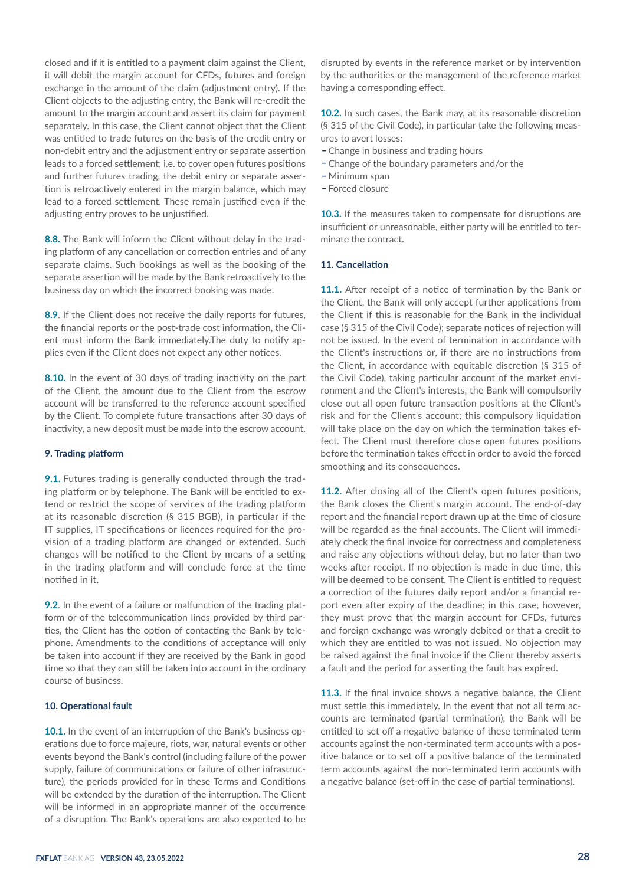closed and if it is entitled to a payment claim against the Client, it will debit the margin account for CFDs, futures and foreign exchange in the amount of the claim (adjustment entry). If the Client objects to the adjusting entry, the Bank will re-credit the amount to the margin account and assert its claim for payment separately. In this case, the Client cannot object that the Client was entitled to trade futures on the basis of the credit entry or non-debit entry and the adjustment entry or separate assertion leads to a forced settlement; i.e. to cover open futures positions and further futures trading, the debit entry or separate assertion is retroactively entered in the margin balance, which may lead to a forced settlement. These remain justified even if the adjusting entry proves to be unjustified.

**8.8.** The Bank will inform the Client without delay in the trading platform of any cancellation or correction entries and of any separate claims. Such bookings as well as the booking of the separate assertion will be made by the Bank retroactively to the business day on which the incorrect booking was made.

**8.9**. If the Client does not receive the daily reports for futures, the financial reports or the post-trade cost information, the Client must inform the Bank immediately.The duty to notify applies even if the Client does not expect any other notices.

**8.10.** In the event of 30 days of trading inactivity on the part of the Client, the amount due to the Client from the escrow account will be transferred to the reference account specified by the Client. To complete future transactions after 30 days of inactivity, a new deposit must be made into the escrow account.

## **9. Trading platform**

**9.1.** Futures trading is generally conducted through the trading platform or by telephone. The Bank will be entitled to extend or restrict the scope of services of the trading platform at its reasonable discretion (§ 315 BGB), in particular if the IT supplies, IT specifications or licences required for the provision of a trading platform are changed or extended. Such changes will be notified to the Client by means of a setting in the trading platform and will conclude force at the time notified in it.

**9.2**. In the event of a failure or malfunction of the trading platform or of the telecommunication lines provided by third parties, the Client has the option of contacting the Bank by telephone. Amendments to the conditions of acceptance will only be taken into account if they are received by the Bank in good time so that they can still be taken into account in the ordinary course of business.

# **10. Operational fault**

**10.1.** In the event of an interruption of the Bank's business operations due to force majeure, riots, war, natural events or other events beyond the Bank's control (including failure of the power supply, failure of communications or failure of other infrastructure), the periods provided for in these Terms and Conditions will be extended by the duration of the interruption. The Client will be informed in an appropriate manner of the occurrence of a disruption. The Bank's operations are also expected to be

disrupted by events in the reference market or by intervention by the authorities or the management of the reference market having a corresponding effect.

**10.2.** In such cases, the Bank may, at its reasonable discretion (§ 315 of the Civil Code), in particular take the following measures to avert losses:

- Change in business and trading hours
- Change of the boundary parameters and/or the
- \_ Minimum span
- Forced closure

**10.3.** If the measures taken to compensate for disruptions are insufficient or unreasonable, either party will be entitled to terminate the contract.

#### **11. Cancellation**

**11.1.** After receipt of a notice of termination by the Bank or the Client, the Bank will only accept further applications from the Client if this is reasonable for the Bank in the individual case (§ 315 of the Civil Code); separate notices of rejection will not be issued. In the event of termination in accordance with the Client's instructions or, if there are no instructions from the Client, in accordance with equitable discretion (§ 315 of the Civil Code), taking particular account of the market environment and the Client's interests, the Bank will compulsorily close out all open future transaction positions at the Client's risk and for the Client's account; this compulsory liquidation will take place on the day on which the termination takes effect. The Client must therefore close open futures positions before the termination takes effect in order to avoid the forced smoothing and its consequences.

**11.2.** After closing all of the Client's open futures positions, the Bank closes the Client's margin account. The end-of-day report and the financial report drawn up at the time of closure will be regarded as the final accounts. The Client will immediately check the final invoice for correctness and completeness and raise any objections without delay, but no later than two weeks after receipt. If no objection is made in due time, this will be deemed to be consent. The Client is entitled to request a correction of the futures daily report and/or a financial report even after expiry of the deadline; in this case, however, they must prove that the margin account for CFDs, futures and foreign exchange was wrongly debited or that a credit to which they are entitled to was not issued. No objection may be raised against the final invoice if the Client thereby asserts a fault and the period for asserting the fault has expired.

**11.3.** If the final invoice shows a negative balance, the Client must settle this immediately. In the event that not all term accounts are terminated (partial termination), the Bank will be entitled to set off a negative balance of these terminated term accounts against the non-terminated term accounts with a positive balance or to set off a positive balance of the terminated term accounts against the non-terminated term accounts with a negative balance (set-off in the case of partial terminations).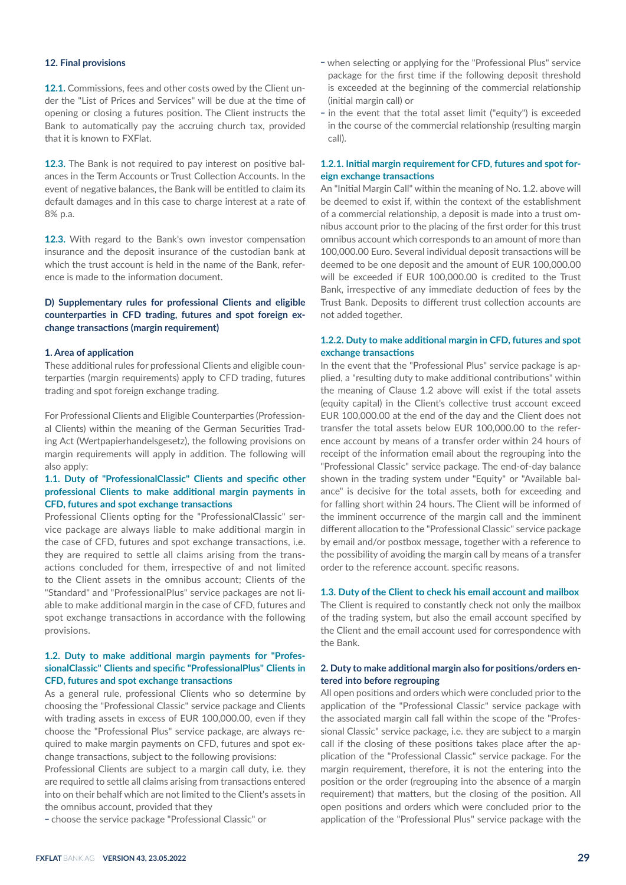# **12. Final provisions**

**12.1.** Commissions, fees and other costs owed by the Client under the "List of Prices and Services" will be due at the time of opening or closing a futures position. The Client instructs the Bank to automatically pay the accruing church tax, provided that it is known to FXFlat.

**12.3.** The Bank is not required to pay interest on positive balances in the Term Accounts or Trust Collection Accounts. In the event of negative balances, the Bank will be entitled to claim its default damages and in this case to charge interest at a rate of 8% p.a.

**12.3.** With regard to the Bank's own investor compensation insurance and the deposit insurance of the custodian bank at which the trust account is held in the name of the Bank, reference is made to the information document.

# **D) Supplementary rules for professional Clients and eligible counterparties in CFD trading, futures and spot foreign exchange transactions (margin requirement)**

## **1. Area of application**

These additional rules for professional Clients and eligible counterparties (margin requirements) apply to CFD trading, futures trading and spot foreign exchange trading.

For Professional Clients and Eligible Counterparties (Professional Clients) within the meaning of the German Securities Trading Act (Wertpapierhandelsgesetz), the following provisions on margin requirements will apply in addition. The following will also apply:

# **1.1. Duty of "ProfessionalClassic" Clients and specific other professional Clients to make additional margin payments in CFD, futures and spot exchange transactions**

Professional Clients opting for the "ProfessionalClassic" service package are always liable to make additional margin in the case of CFD, futures and spot exchange transactions, i.e. they are required to settle all claims arising from the transactions concluded for them, irrespective of and not limited to the Client assets in the omnibus account; Clients of the "Standard" and "ProfessionalPlus" service packages are not liable to make additional margin in the case of CFD, futures and spot exchange transactions in accordance with the following provisions.

# **1.2. Duty to make additional margin payments for "ProfessionalClassic" Clients and specific "ProfessionalPlus" Clients in CFD, futures and spot exchange transactions**

As a general rule, professional Clients who so determine by choosing the "Professional Classic" service package and Clients with trading assets in excess of EUR 100,000.00, even if they choose the "Professional Plus" service package, are always required to make margin payments on CFD, futures and spot exchange transactions, subject to the following provisions:

Professional Clients are subject to a margin call duty, i.e. they are required to settle all claims arising from transactions entered into on their behalf which are not limited to the Client's assets in the omnibus account, provided that they

- choose the service package "Professional Classic" or

- when selecting or applying for the "Professional Plus" service package for the first time if the following deposit threshold is exceeded at the beginning of the commercial relationship (initial margin call) or
- in the event that the total asset limit ("equity") is exceeded in the course of the commercial relationship (resulting margin call).

## **1.2.1. Initial margin requirement for CFD, futures and spot foreign exchange transactions**

An "Initial Margin Call" within the meaning of No. 1.2. above will be deemed to exist if, within the context of the establishment of a commercial relationship, a deposit is made into a trust omnibus account prior to the placing of the first order for this trust omnibus account which corresponds to an amount of more than 100,000.00 Euro. Several individual deposit transactions will be deemed to be one deposit and the amount of EUR 100,000.00 will be exceeded if EUR 100,000.00 is credited to the Trust Bank, irrespective of any immediate deduction of fees by the Trust Bank. Deposits to different trust collection accounts are not added together.

# **1.2.2. Duty to make additional margin in CFD, futures and spot exchange transactions**

In the event that the "Professional Plus" service package is applied, a "resulting duty to make additional contributions" within the meaning of Clause 1.2 above will exist if the total assets (equity capital) in the Client's collective trust account exceed EUR 100,000.00 at the end of the day and the Client does not transfer the total assets below EUR 100,000.00 to the reference account by means of a transfer order within 24 hours of receipt of the information email about the regrouping into the "Professional Classic" service package. The end-of-day balance shown in the trading system under "Equity" or "Available balance" is decisive for the total assets, both for exceeding and for falling short within 24 hours. The Client will be informed of the imminent occurrence of the margin call and the imminent different allocation to the "Professional Classic" service package by email and/or postbox message, together with a reference to the possibility of avoiding the margin call by means of a transfer order to the reference account. specific reasons.

## **1.3. Duty of the Client to check his email account and mailbox**

The Client is required to constantly check not only the mailbox of the trading system, but also the email account specified by the Client and the email account used for correspondence with the Bank.

## **2. Duty to make additional margin also for positions/orders entered into before regrouping**

All open positions and orders which were concluded prior to the application of the "Professional Classic" service package with the associated margin call fall within the scope of the "Professional Classic" service package, i.e. they are subject to a margin call if the closing of these positions takes place after the application of the "Professional Classic" service package. For the margin requirement, therefore, it is not the entering into the position or the order (regrouping into the absence of a margin requirement) that matters, but the closing of the position. All open positions and orders which were concluded prior to the application of the "Professional Plus" service package with the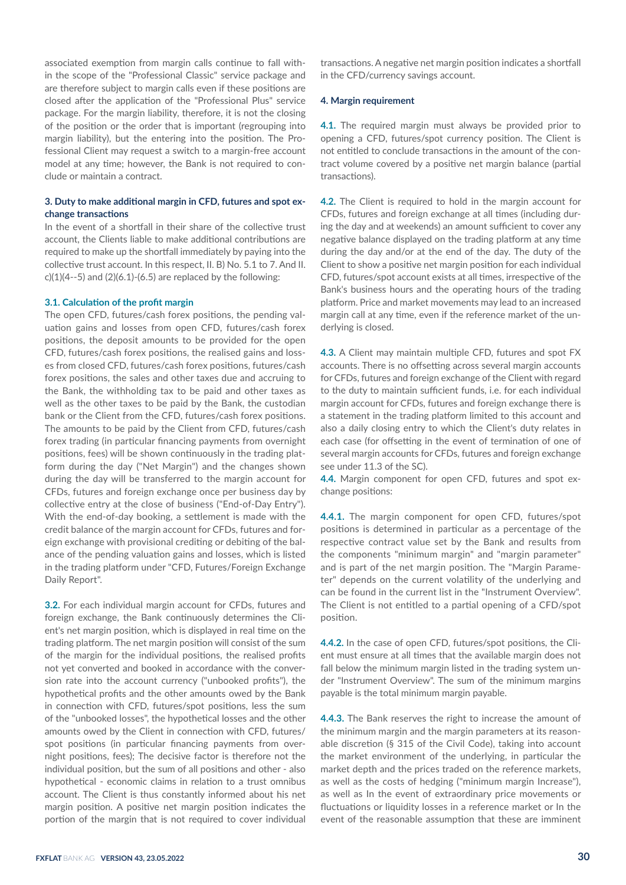associated exemption from margin calls continue to fall within the scope of the "Professional Classic" service package and are therefore subject to margin calls even if these positions are closed after the application of the "Professional Plus" service package. For the margin liability, therefore, it is not the closing of the position or the order that is important (regrouping into margin liability), but the entering into the position. The Professional Client may request a switch to a margin-free account model at any time; however, the Bank is not required to conclude or maintain a contract.

# **3. Duty to make additional margin in CFD, futures and spot exchange transactions**

In the event of a shortfall in their share of the collective trust account, the Clients liable to make additional contributions are required to make up the shortfall immediately by paying into the collective trust account. In this respect, II. B) No. 5.1 to 7. And II.  $c$ )(1)(4--5) and (2)(6.1)-(6.5) are replaced by the following:

#### **3.1. Calculation of the profit margin**

The open CFD, futures/cash forex positions, the pending valuation gains and losses from open CFD, futures/cash forex positions, the deposit amounts to be provided for the open CFD, futures/cash forex positions, the realised gains and losses from closed CFD, futures/cash forex positions, futures/cash forex positions, the sales and other taxes due and accruing to the Bank, the withholding tax to be paid and other taxes as well as the other taxes to be paid by the Bank, the custodian bank or the Client from the CFD, futures/cash forex positions. The amounts to be paid by the Client from CFD, futures/cash forex trading (in particular financing payments from overnight positions, fees) will be shown continuously in the trading platform during the day ("Net Margin") and the changes shown during the day will be transferred to the margin account for CFDs, futures and foreign exchange once per business day by collective entry at the close of business ("End-of-Day Entry"). With the end-of-day booking, a settlement is made with the credit balance of the margin account for CFDs, futures and foreign exchange with provisional crediting or debiting of the balance of the pending valuation gains and losses, which is listed in the trading platform under "CFD, Futures/Foreign Exchange Daily Report".

**3.2.** For each individual margin account for CFDs, futures and foreign exchange, the Bank continuously determines the Client's net margin position, which is displayed in real time on the trading platform. The net margin position will consist of the sum of the margin for the individual positions, the realised profits not yet converted and booked in accordance with the conversion rate into the account currency ("unbooked profits"), the hypothetical profits and the other amounts owed by the Bank in connection with CFD, futures/spot positions, less the sum of the "unbooked losses", the hypothetical losses and the other amounts owed by the Client in connection with CFD, futures/ spot positions (in particular financing payments from overnight positions, fees); The decisive factor is therefore not the individual position, but the sum of all positions and other - also hypothetical - economic claims in relation to a trust omnibus account. The Client is thus constantly informed about his net margin position. A positive net margin position indicates the portion of the margin that is not required to cover individual

transactions. A negative net margin position indicates a shortfall in the CFD/currency savings account.

## **4. Margin requirement**

**4.1.** The required margin must always be provided prior to opening a CFD, futures/spot currency position. The Client is not entitled to conclude transactions in the amount of the contract volume covered by a positive net margin balance (partial transactions).

**4.2.** The Client is required to hold in the margin account for CFDs, futures and foreign exchange at all times (including during the day and at weekends) an amount sufficient to cover any negative balance displayed on the trading platform at any time during the day and/or at the end of the day. The duty of the Client to show a positive net margin position for each individual CFD, futures/spot account exists at all times, irrespective of the Bank's business hours and the operating hours of the trading platform. Price and market movements may lead to an increased margin call at any time, even if the reference market of the underlying is closed.

**4.3.** A Client may maintain multiple CFD, futures and spot FX accounts. There is no offsetting across several margin accounts for CFDs, futures and foreign exchange of the Client with regard to the duty to maintain sufficient funds, i.e. for each individual margin account for CFDs, futures and foreign exchange there is a statement in the trading platform limited to this account and also a daily closing entry to which the Client's duty relates in each case (for offsetting in the event of termination of one of several margin accounts for CFDs, futures and foreign exchange see under 11.3 of the SC).

**4.4.** Margin component for open CFD, futures and spot exchange positions:

**4.4.1.** The margin component for open CFD, futures/spot positions is determined in particular as a percentage of the respective contract value set by the Bank and results from the components "minimum margin" and "margin parameter" and is part of the net margin position. The "Margin Parameter" depends on the current volatility of the underlying and can be found in the current list in the "Instrument Overview". The Client is not entitled to a partial opening of a CFD/spot position.

**4.4.2.** In the case of open CFD, futures/spot positions, the Client must ensure at all times that the available margin does not fall below the minimum margin listed in the trading system under "Instrument Overview". The sum of the minimum margins payable is the total minimum margin payable.

**4.4.3.** The Bank reserves the right to increase the amount of the minimum margin and the margin parameters at its reasonable discretion (§ 315 of the Civil Code), taking into account the market environment of the underlying, in particular the market depth and the prices traded on the reference markets, as well as the costs of hedging ("minimum margin Increase"), as well as In the event of extraordinary price movements or fluctuations or liquidity losses in a reference market or In the event of the reasonable assumption that these are imminent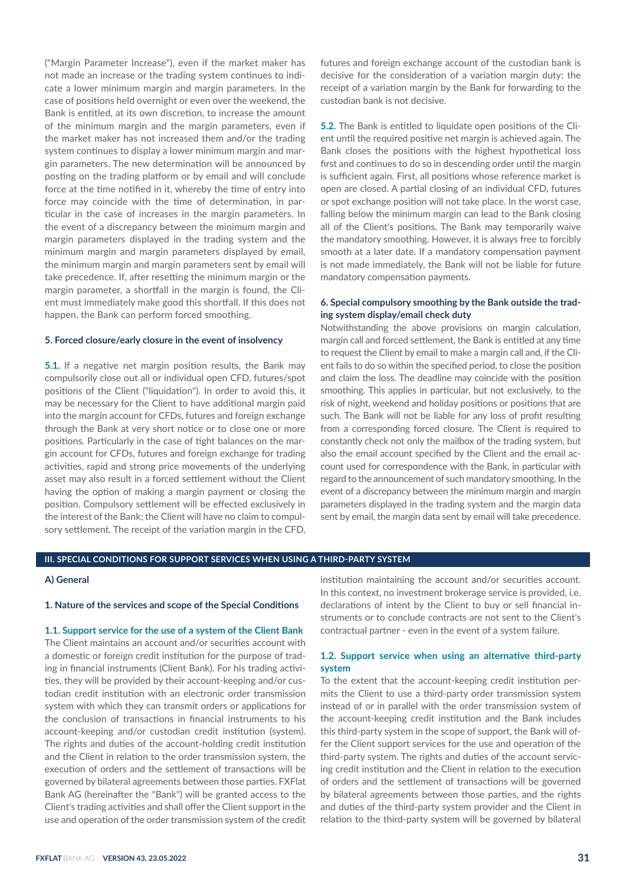("Margin Parameter Increase"), even if the market maker has not made an increase or the trading system continues to indicate a lower minimum margin and margin parameters. In the case of positions held overnight or even over the weekend, the Bank is entitled, at its own discretion, to increase the amount of the minimum margin and the margin parameters, even if the market maker has not increased them and/or the trading system continues to display a lower minimum margin and margin parameters. The new determination will be announced by posting on the trading platform or by email and will conclude force at the time notified in it, whereby the time of entry into force may coincide with the time of determination, in particular in the case of increases in the margin parameters. In the event of a discrepancy between the minimum margin and margin parameters displayed in the trading system and the minimum margin and margin parameters displayed by email, the minimum margin and margin parameters sent by email will take precedence. If, after resetting the minimum margin or the margin parameter, a shortfall in the margin is found, the Client must immediately make good this shortfall. If this does not happen, the Bank can perform forced smoothing.

## **5. Forced closure/early closure in the event of insolvency**

**5.1.** If a negative net margin position results, the Bank may compulsorily close out all or individual open CFD, futures/spot positions of the Client ("liquidation"). In order to avoid this, it may be necessary for the Client to have additional margin paid into the margin account for CFDs, futures and foreign exchange through the Bank at very short notice or to close one or more positions. Particularly in the case of tight balances on the margin account for CFDs, futures and foreign exchange for trading activities, rapid and strong price movements of the underlying asset may also result in a forced settlement without the Client having the option of making a margin payment or closing the position. Compulsory settlement will be effected exclusively in the interest of the Bank; the Client will have no claim to compulsory settlement. The receipt of the variation margin in the CFD, futures and foreign exchange account of the custodian bank is decisive for the consideration of a variation margin duty; the receipt of a variation margin by the Bank for forwarding to the custodian bank is not decisive.

**5.2.** The Bank is entitled to liquidate open positions of the Client until the required positive net margin is achieved again. The Bank closes the positions with the highest hypothetical loss first and continues to do so in descending order until the margin is sufficient again. First, all positions whose reference market is open are closed. A partial closing of an individual CFD, futures or spot exchange position will not take place. In the worst case, falling below the minimum margin can lead to the Bank closing all of the Client's positions. The Bank may temporarily waive the mandatory smoothing. However, it is always free to forcibly smooth at a later date. If a mandatory compensation payment is not made immediately, the Bank will not be liable for future mandatory compensation payments.

# **6. Special compulsory smoothing by the Bank outside the trading system display/email check duty**

Notwithstanding the above provisions on margin calculation, margin call and forced settlement, the Bank is entitled at any time to request the Client by email to make a margin call and, if the Client fails to do so within the specified period, to close the position and claim the loss. The deadline may coincide with the position smoothing. This applies in particular, but not exclusively, to the risk of night, weekend and holiday positions or positions that are such. The Bank will not be liable for any loss of profit resulting from a corresponding forced closure. The Client is required to constantly check not only the mailbox of the trading system, but also the email account specified by the Client and the email account used for correspondence with the Bank, in particular with regard to the announcement of such mandatory smoothing. In the event of a discrepancy between the minimum margin and margin parameters displayed in the trading system and the margin data sent by email, the margin data sent by email will take precedence.

# **III. SPECIAL CONDITIONS FOR SUPPORT SERVICES WHEN USING A THIRD-PARTY SYSTEM**

# **A) General**

## **1. Nature of the services and scope of the Special Conditions**

## **1.1. Support service for the use of a system of the Client Bank**

The Client maintains an account and/or securities account with a domestic or foreign credit institution for the purpose of trading in financial instruments (Client Bank). For his trading activities, they will be provided by their account-keeping and/or custodian credit institution with an electronic order transmission system with which they can transmit orders or applications for the conclusion of transactions in financial instruments to his account-keeping and/or custodian credit institution (system). The rights and duties of the account-holding credit institution and the Client in relation to the order transmission system, the execution of orders and the settlement of transactions will be governed by bilateral agreements between those parties. FXFlat Bank AG (hereinafter the "Bank") will be granted access to the Client's trading activities and shall offer the Client support in the use and operation of the order transmission system of the credit

institution maintaining the account and/or securities account. In this context, no investment brokerage service is provided, i.e. declarations of intent by the Client to buy or sell financial instruments or to conclude contracts are not sent to the Client's contractual partner - even in the event of a system failure.

# **1.2. Support service when using an alternative third-party system**

To the extent that the account-keeping credit institution permits the Client to use a third-party order transmission system instead of or in parallel with the order transmission system of the account-keeping credit institution and the Bank includes this third-party system in the scope of support, the Bank will offer the Client support services for the use and operation of the third-party system. The rights and duties of the account servicing credit institution and the Client in relation to the execution of orders and the settlement of transactions will be governed by bilateral agreements between those parties, and the rights and duties of the third-party system provider and the Client in relation to the third-party system will be governed by bilateral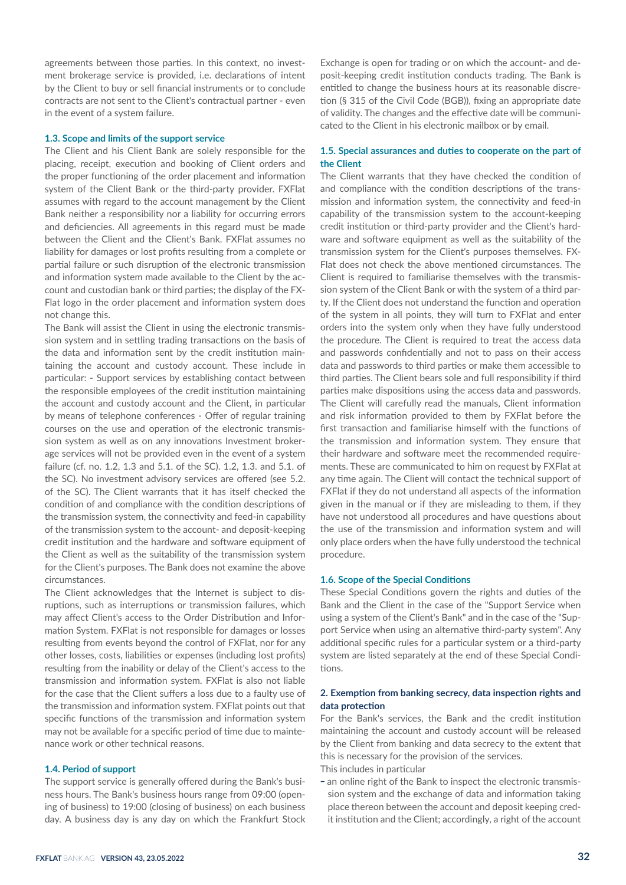agreements between those parties. In this context, no investment brokerage service is provided, i.e. declarations of intent by the Client to buy or sell financial instruments or to conclude contracts are not sent to the Client's contractual partner - even in the event of a system failure.

#### **1.3. Scope and limits of the support service**

The Client and his Client Bank are solely responsible for the placing, receipt, execution and booking of Client orders and the proper functioning of the order placement and information system of the Client Bank or the third-party provider. FXFlat assumes with regard to the account management by the Client Bank neither a responsibility nor a liability for occurring errors and deficiencies. All agreements in this regard must be made between the Client and the Client's Bank. FXFlat assumes no liability for damages or lost profits resulting from a complete or partial failure or such disruption of the electronic transmission and information system made available to the Client by the account and custodian bank or third parties; the display of the FX-Flat logo in the order placement and information system does not change this.

The Bank will assist the Client in using the electronic transmission system and in settling trading transactions on the basis of the data and information sent by the credit institution maintaining the account and custody account. These include in particular: - Support services by establishing contact between the responsible employees of the credit institution maintaining the account and custody account and the Client, in particular by means of telephone conferences - Offer of regular training courses on the use and operation of the electronic transmission system as well as on any innovations Investment brokerage services will not be provided even in the event of a system failure (cf. no. 1.2, 1.3 and 5.1. of the SC). 1.2, 1.3. and 5.1. of the SC). No investment advisory services are offered (see 5.2. of the SC). The Client warrants that it has itself checked the condition of and compliance with the condition descriptions of the transmission system, the connectivity and feed-in capability of the transmission system to the account- and deposit-keeping credit institution and the hardware and software equipment of the Client as well as the suitability of the transmission system for the Client's purposes. The Bank does not examine the above circumstances.

The Client acknowledges that the Internet is subject to disruptions, such as interruptions or transmission failures, which may affect Client's access to the Order Distribution and Information System. FXFlat is not responsible for damages or losses resulting from events beyond the control of FXFlat, nor for any other losses, costs, liabilities or expenses (including lost profits) resulting from the inability or delay of the Client's access to the transmission and information system. FXFlat is also not liable for the case that the Client suffers a loss due to a faulty use of the transmission and information system. FXFlat points out that specific functions of the transmission and information system may not be available for a specific period of time due to maintenance work or other technical reasons.

#### **1.4. Period of support**

The support service is generally offered during the Bank's business hours. The Bank's business hours range from 09:00 (opening of business) to 19:00 (closing of business) on each business day. A business day is any day on which the Frankfurt Stock

Exchange is open for trading or on which the account- and deposit-keeping credit institution conducts trading. The Bank is entitled to change the business hours at its reasonable discretion (§ 315 of the Civil Code (BGB)), fixing an appropriate date of validity. The changes and the effective date will be communicated to the Client in his electronic mailbox or by email.

# **1.5. Special assurances and duties to cooperate on the part of the Client**

The Client warrants that they have checked the condition of and compliance with the condition descriptions of the transmission and information system, the connectivity and feed-in capability of the transmission system to the account-keeping credit institution or third-party provider and the Client's hardware and software equipment as well as the suitability of the transmission system for the Client's purposes themselves. FX-Flat does not check the above mentioned circumstances. The Client is required to familiarise themselves with the transmission system of the Client Bank or with the system of a third party. If the Client does not understand the function and operation of the system in all points, they will turn to FXFlat and enter orders into the system only when they have fully understood the procedure. The Client is required to treat the access data and passwords confidentially and not to pass on their access data and passwords to third parties or make them accessible to third parties. The Client bears sole and full responsibility if third parties make dispositions using the access data and passwords. The Client will carefully read the manuals, Client information and risk information provided to them by FXFlat before the first transaction and familiarise himself with the functions of the transmission and information system. They ensure that their hardware and software meet the recommended requirements. These are communicated to him on request by FXFlat at any time again. The Client will contact the technical support of FXFlat if they do not understand all aspects of the information given in the manual or if they are misleading to them, if they have not understood all procedures and have questions about the use of the transmission and information system and will only place orders when the have fully understood the technical procedure.

#### **1.6. Scope of the Special Conditions**

These Special Conditions govern the rights and duties of the Bank and the Client in the case of the "Support Service when using a system of the Client's Bank" and in the case of the "Support Service when using an alternative third-party system". Any additional specific rules for a particular system or a third-party system are listed separately at the end of these Special Conditions.

## **2. Exemption from banking secrecy, data inspection rights and data protection**

For the Bank's services, the Bank and the credit institution maintaining the account and custody account will be released by the Client from banking and data secrecy to the extent that this is necessary for the provision of the services. This includes in particular

- an online right of the Bank to inspect the electronic transmission system and the exchange of data and information taking place thereon between the account and deposit keeping credit institution and the Client; accordingly, a right of the account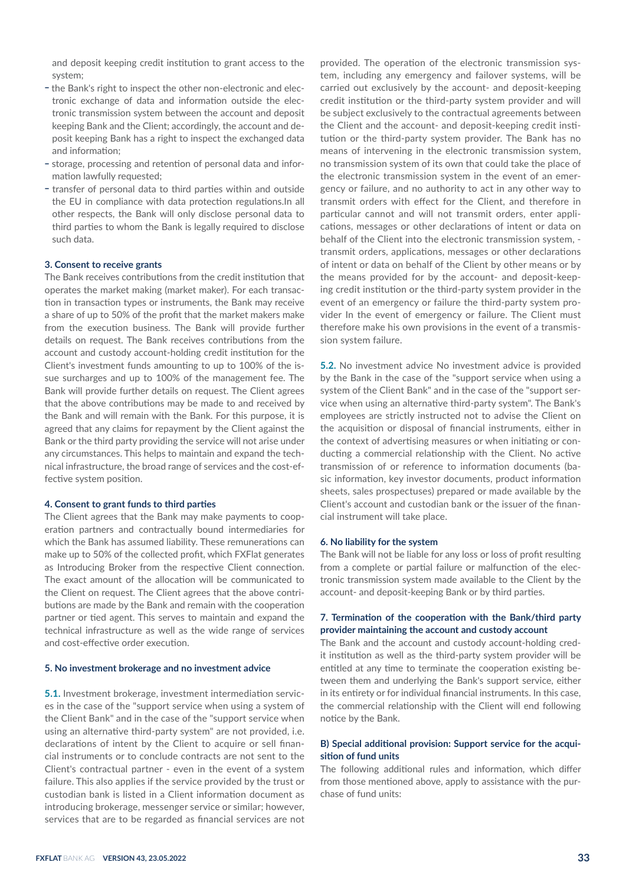and deposit keeping credit institution to grant access to the system;

- the Bank's right to inspect the other non-electronic and electronic exchange of data and information outside the electronic transmission system between the account and deposit keeping Bank and the Client; accordingly, the account and deposit keeping Bank has a right to inspect the exchanged data and information;
- storage, processing and retention of personal data and information lawfully requested;
- transfer of personal data to third parties within and outside the EU in compliance with data protection regulations.In all other respects, the Bank will only disclose personal data to third parties to whom the Bank is legally required to disclose such data.

#### **3. Consent to receive grants**

The Bank receives contributions from the credit institution that operates the market making (market maker). For each transaction in transaction types or instruments, the Bank may receive a share of up to 50% of the profit that the market makers make from the execution business. The Bank will provide further details on request. The Bank receives contributions from the account and custody account-holding credit institution for the Client's investment funds amounting to up to 100% of the issue surcharges and up to 100% of the management fee. The Bank will provide further details on request. The Client agrees that the above contributions may be made to and received by the Bank and will remain with the Bank. For this purpose, it is agreed that any claims for repayment by the Client against the Bank or the third party providing the service will not arise under any circumstances. This helps to maintain and expand the technical infrastructure, the broad range of services and the cost-effective system position.

#### **4. Consent to grant funds to third parties**

The Client agrees that the Bank may make payments to cooperation partners and contractually bound intermediaries for which the Bank has assumed liability. These remunerations can make up to 50% of the collected profit, which FXFlat generates as Introducing Broker from the respective Client connection. The exact amount of the allocation will be communicated to the Client on request. The Client agrees that the above contributions are made by the Bank and remain with the cooperation partner or tied agent. This serves to maintain and expand the technical infrastructure as well as the wide range of services and cost-effective order execution.

#### **5. No investment brokerage and no investment advice**

**5.1.** Investment brokerage, investment intermediation services in the case of the "support service when using a system of the Client Bank" and in the case of the "support service when using an alternative third-party system" are not provided, i.e. declarations of intent by the Client to acquire or sell financial instruments or to conclude contracts are not sent to the Client's contractual partner - even in the event of a system failure. This also applies if the service provided by the trust or custodian bank is listed in a Client information document as introducing brokerage, messenger service or similar; however, services that are to be regarded as financial services are not

provided. The operation of the electronic transmission system, including any emergency and failover systems, will be carried out exclusively by the account- and deposit-keeping credit institution or the third-party system provider and will be subject exclusively to the contractual agreements between the Client and the account- and deposit-keeping credit institution or the third-party system provider. The Bank has no means of intervening in the electronic transmission system, no transmission system of its own that could take the place of the electronic transmission system in the event of an emergency or failure, and no authority to act in any other way to transmit orders with effect for the Client, and therefore in particular cannot and will not transmit orders, enter applications, messages or other declarations of intent or data on behalf of the Client into the electronic transmission system, transmit orders, applications, messages or other declarations of intent or data on behalf of the Client by other means or by the means provided for by the account- and deposit-keeping credit institution or the third-party system provider in the event of an emergency or failure the third-party system provider In the event of emergency or failure. The Client must therefore make his own provisions in the event of a transmission system failure.

**5.2.** No investment advice No investment advice is provided by the Bank in the case of the "support service when using a system of the Client Bank" and in the case of the "support service when using an alternative third-party system". The Bank's employees are strictly instructed not to advise the Client on the acquisition or disposal of financial instruments, either in the context of advertising measures or when initiating or conducting a commercial relationship with the Client. No active transmission of or reference to information documents (basic information, key investor documents, product information sheets, sales prospectuses) prepared or made available by the Client's account and custodian bank or the issuer of the financial instrument will take place.

#### **6. No liability for the system**

The Bank will not be liable for any loss or loss of profit resulting from a complete or partial failure or malfunction of the electronic transmission system made available to the Client by the account- and deposit-keeping Bank or by third parties.

# **7. Termination of the cooperation with the Bank/third party provider maintaining the account and custody account**

The Bank and the account and custody account-holding credit institution as well as the third-party system provider will be entitled at any time to terminate the cooperation existing between them and underlying the Bank's support service, either in its entirety or for individual financial instruments. In this case, the commercial relationship with the Client will end following notice by the Bank.

# **B) Special additional provision: Support service for the acquisition of fund units**

The following additional rules and information, which differ from those mentioned above, apply to assistance with the purchase of fund units: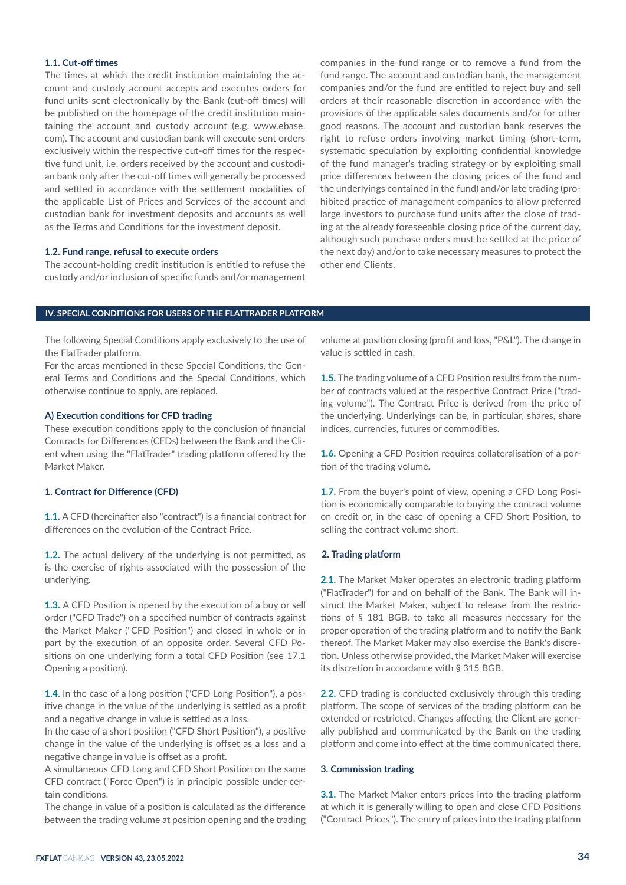# **1.1. Cut-off times**

The times at which the credit institution maintaining the account and custody account accepts and executes orders for fund units sent electronically by the Bank (cut-off times) will be published on the homepage of the credit institution maintaining the account and custody account (e.g. www.ebase. com). The account and custodian bank will execute sent orders exclusively within the respective cut-off times for the respective fund unit, i.e. orders received by the account and custodian bank only after the cut-off times will generally be processed and settled in accordance with the settlement modalities of the applicable List of Prices and Services of the account and custodian bank for investment deposits and accounts as well as the Terms and Conditions for the investment deposit.

## **1.2. Fund range, refusal to execute orders**

The account-holding credit institution is entitled to refuse the custody and/or inclusion of specific funds and/or management companies in the fund range or to remove a fund from the fund range. The account and custodian bank, the management companies and/or the fund are entitled to reject buy and sell orders at their reasonable discretion in accordance with the provisions of the applicable sales documents and/or for other good reasons. The account and custodian bank reserves the right to refuse orders involving market timing (short-term, systematic speculation by exploiting confidential knowledge of the fund manager's trading strategy or by exploiting small price differences between the closing prices of the fund and the underlyings contained in the fund) and/or late trading (prohibited practice of management companies to allow preferred large investors to purchase fund units after the close of trading at the already foreseeable closing price of the current day, although such purchase orders must be settled at the price of the next day) and/or to take necessary measures to protect the other end Clients.

## **IV. SPECIAL CONDITIONS FOR USERS OF THE FLATTRADER PLATFORM**

The following Special Conditions apply exclusively to the use of the FlatTrader platform.

For the areas mentioned in these Special Conditions, the General Terms and Conditions and the Special Conditions, which otherwise continue to apply, are replaced.

## **A) Execution conditions for CFD trading**

These execution conditions apply to the conclusion of financial Contracts for Differences (CFDs) between the Bank and the Client when using the "FlatTrader" trading platform offered by the Market Maker.

#### **1. Contract for Difference (CFD)**

**1.1.** A CFD (hereinafter also "contract") is a financial contract for differences on the evolution of the Contract Price.

**1.2.** The actual delivery of the underlying is not permitted, as is the exercise of rights associated with the possession of the underlying.

**1.3.** A CFD Position is opened by the execution of a buy or sell order ("CFD Trade") on a specified number of contracts against the Market Maker ("CFD Position") and closed in whole or in part by the execution of an opposite order. Several CFD Positions on one underlying form a total CFD Position (see 17.1 Opening a position).

**1.4.** In the case of a long position ("CFD Long Position"), a positive change in the value of the underlying is settled as a profit and a negative change in value is settled as a loss.

In the case of a short position ("CFD Short Position"), a positive change in the value of the underlying is offset as a loss and a negative change in value is offset as a profit.

A simultaneous CFD Long and CFD Short Position on the same CFD contract ("Force Open") is in principle possible under certain conditions.

The change in value of a position is calculated as the difference between the trading volume at position opening and the trading

volume at position closing (profit and loss, "P&L"). The change in value is settled in cash.

**1.5.** The trading volume of a CFD Position results from the number of contracts valued at the respective Contract Price ("trading volume"). The Contract Price is derived from the price of the underlying. Underlyings can be, in particular, shares, share indices, currencies, futures or commodities.

**1.6.** Opening a CFD Position requires collateralisation of a portion of the trading volume.

**1.7.** From the buyer's point of view, opening a CFD Long Position is economically comparable to buying the contract volume on credit or, in the case of opening a CFD Short Position, to selling the contract volume short.

#### **2. Trading platform**

**2.1.** The Market Maker operates an electronic trading platform ("FlatTrader") for and on behalf of the Bank. The Bank will instruct the Market Maker, subject to release from the restrictions of § 181 BGB, to take all measures necessary for the proper operation of the trading platform and to notify the Bank thereof. The Market Maker may also exercise the Bank's discretion. Unless otherwise provided, the Market Maker will exercise its discretion in accordance with § 315 BGB.

**2.2.** CFD trading is conducted exclusively through this trading platform. The scope of services of the trading platform can be extended or restricted. Changes affecting the Client are generally published and communicated by the Bank on the trading platform and come into effect at the time communicated there.

#### **3. Commission trading**

**3.1.** The Market Maker enters prices into the trading platform at which it is generally willing to open and close CFD Positions ("Contract Prices"). The entry of prices into the trading platform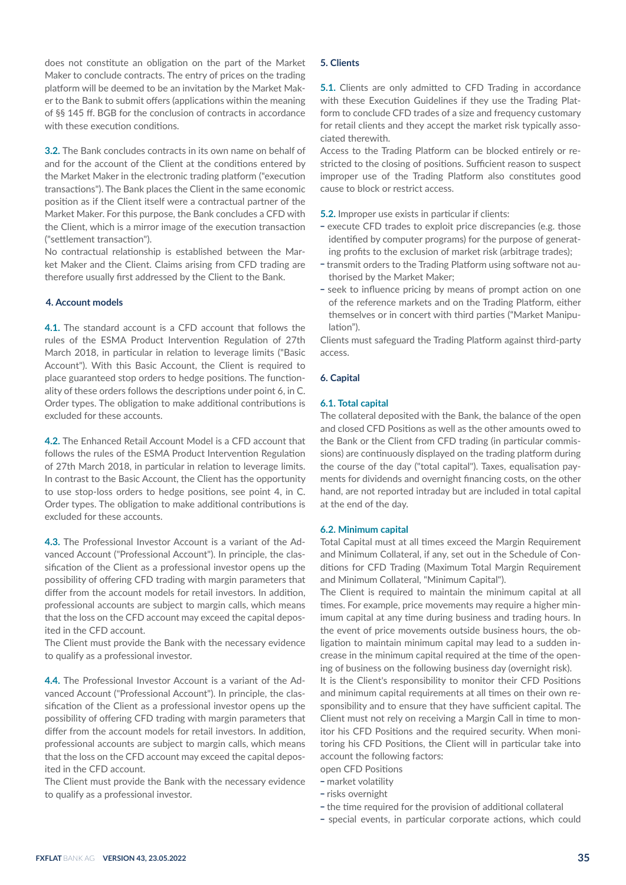does not constitute an obligation on the part of the Market Maker to conclude contracts. The entry of prices on the trading platform will be deemed to be an invitation by the Market Maker to the Bank to submit offers (applications within the meaning of §§ 145 ff. BGB for the conclusion of contracts in accordance with these execution conditions.

**3.2.** The Bank concludes contracts in its own name on behalf of and for the account of the Client at the conditions entered by the Market Maker in the electronic trading platform ("execution transactions"). The Bank places the Client in the same economic position as if the Client itself were a contractual partner of the Market Maker. For this purpose, the Bank concludes a CFD with the Client, which is a mirror image of the execution transaction ("settlement transaction").

No contractual relationship is established between the Market Maker and the Client. Claims arising from CFD trading are therefore usually first addressed by the Client to the Bank.

# **4. Account models**

**4.1.** The standard account is a CFD account that follows the rules of the ESMA Product Intervention Regulation of 27th March 2018, in particular in relation to leverage limits ("Basic Account"). With this Basic Account, the Client is required to place guaranteed stop orders to hedge positions. The functionality of these orders follows the descriptions under point 6, in C. Order types. The obligation to make additional contributions is excluded for these accounts.

**4.2.** The Enhanced Retail Account Model is a CFD account that follows the rules of the ESMA Product Intervention Regulation of 27th March 2018, in particular in relation to leverage limits. In contrast to the Basic Account, the Client has the opportunity to use stop-loss orders to hedge positions, see point 4, in C. Order types. The obligation to make additional contributions is excluded for these accounts.

**4.3.** The Professional Investor Account is a variant of the Advanced Account ("Professional Account"). In principle, the classification of the Client as a professional investor opens up the possibility of offering CFD trading with margin parameters that differ from the account models for retail investors. In addition, professional accounts are subject to margin calls, which means that the loss on the CFD account may exceed the capital deposited in the CFD account.

The Client must provide the Bank with the necessary evidence to qualify as a professional investor.

**4.4.** The Professional Investor Account is a variant of the Advanced Account ("Professional Account"). In principle, the classification of the Client as a professional investor opens up the possibility of offering CFD trading with margin parameters that differ from the account models for retail investors. In addition, professional accounts are subject to margin calls, which means that the loss on the CFD account may exceed the capital deposited in the CFD account.

The Client must provide the Bank with the necessary evidence to qualify as a professional investor.

# **5. Clients**

**5.1.** Clients are only admitted to CFD Trading in accordance with these Execution Guidelines if they use the Trading Platform to conclude CFD trades of a size and frequency customary for retail clients and they accept the market risk typically associated therewith.

Access to the Trading Platform can be blocked entirely or restricted to the closing of positions. Sufficient reason to suspect improper use of the Trading Platform also constitutes good cause to block or restrict access.

- **5.2.** Improper use exists in particular if clients:<br>- execute CFD trades to exploit price discrepancies (e.g. those identified by computer programs) for the purpose of generat-
- ing profits to the exclusion of market risk (arbitrage trades);<br>- transmit orders to the Trading Platform using software not authorised by the Market Maker;
- seek to influence pricing by means of prompt action on one of the reference markets and on the Trading Platform, either themselves or in concert with third parties ("Market Manipulation").

Clients must safeguard the Trading Platform against third-party access.

## **6. Capital**

#### **6.1. Total capital**

The collateral deposited with the Bank, the balance of the open and closed CFD Positions as well as the other amounts owed to the Bank or the Client from CFD trading (in particular commissions) are continuously displayed on the trading platform during the course of the day ("total capital"). Taxes, equalisation payments for dividends and overnight financing costs, on the other hand, are not reported intraday but are included in total capital at the end of the day.

#### **6.2. Minimum capital**

Total Capital must at all times exceed the Margin Requirement and Minimum Collateral, if any, set out in the Schedule of Conditions for CFD Trading (Maximum Total Margin Requirement and Minimum Collateral, "Minimum Capital").

The Client is required to maintain the minimum capital at all times. For example, price movements may require a higher minimum capital at any time during business and trading hours. In the event of price movements outside business hours, the obligation to maintain minimum capital may lead to a sudden increase in the minimum capital required at the time of the opening of business on the following business day (overnight risk).

It is the Client's responsibility to monitor their CFD Positions and minimum capital requirements at all times on their own responsibility and to ensure that they have sufficient capital. The Client must not rely on receiving a Margin Call in time to monitor his CFD Positions and the required security. When monitoring his CFD Positions, the Client will in particular take into account the following factors:

open CFD Positions

- market volatility
- risks overnight
- the time required for the provision of additional collateral
- special events, in particular corporate actions, which could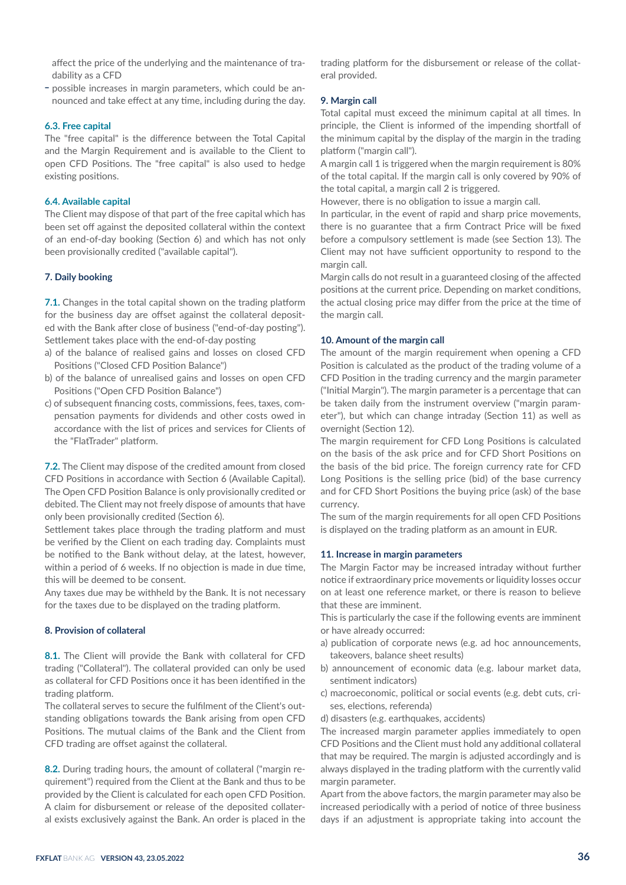affect the price of the underlying and the maintenance of tradability as a CFD

- possible increases in margin parameters, which could be announced and take effect at any time, including during the day.

#### **6.3. Free capital**

The "free capital" is the difference between the Total Capital and the Margin Requirement and is available to the Client to open CFD Positions. The "free capital" is also used to hedge existing positions.

# **6.4. Available capital**

The Client may dispose of that part of the free capital which has been set off against the deposited collateral within the context of an end-of-day booking (Section 6) and which has not only been provisionally credited ("available capital").

## **7. Daily booking**

**7.1.** Changes in the total capital shown on the trading platform for the business day are offset against the collateral deposited with the Bank after close of business ("end-of-day posting"). Settlement takes place with the end-of-day posting

- a) of the balance of realised gains and losses on closed CFD Positions ("Closed CFD Position Balance")
- b) of the balance of unrealised gains and losses on open CFD Positions ("Open CFD Position Balance")
- c) of subsequent financing costs, commissions, fees, taxes, compensation payments for dividends and other costs owed in accordance with the list of prices and services for Clients of the "FlatTrader" platform.

**7.2.** The Client may dispose of the credited amount from closed CFD Positions in accordance with Section 6 (Available Capital). The Open CFD Position Balance is only provisionally credited or debited. The Client may not freely dispose of amounts that have only been provisionally credited (Section 6).

Settlement takes place through the trading platform and must be verified by the Client on each trading day. Complaints must be notified to the Bank without delay, at the latest, however, within a period of 6 weeks. If no objection is made in due time, this will be deemed to be consent.

Any taxes due may be withheld by the Bank. It is not necessary for the taxes due to be displayed on the trading platform.

#### **8. Provision of collateral**

**8.1.** The Client will provide the Bank with collateral for CFD trading ("Collateral"). The collateral provided can only be used as collateral for CFD Positions once it has been identified in the trading platform.

The collateral serves to secure the fulfilment of the Client's outstanding obligations towards the Bank arising from open CFD Positions. The mutual claims of the Bank and the Client from CFD trading are offset against the collateral.

**8.2.** During trading hours, the amount of collateral ("margin requirement") required from the Client at the Bank and thus to be provided by the Client is calculated for each open CFD Position. A claim for disbursement or release of the deposited collateral exists exclusively against the Bank. An order is placed in the trading platform for the disbursement or release of the collateral provided.

## **9. Margin call**

Total capital must exceed the minimum capital at all times. In principle, the Client is informed of the impending shortfall of the minimum capital by the display of the margin in the trading platform ("margin call").

A margin call 1 is triggered when the margin requirement is 80% of the total capital. If the margin call is only covered by 90% of the total capital, a margin call 2 is triggered.

However, there is no obligation to issue a margin call.

In particular, in the event of rapid and sharp price movements, there is no guarantee that a firm Contract Price will be fixed before a compulsory settlement is made (see Section 13). The Client may not have sufficient opportunity to respond to the margin call.

Margin calls do not result in a guaranteed closing of the affected positions at the current price. Depending on market conditions, the actual closing price may differ from the price at the time of the margin call.

## **10. Amount of the margin call**

The amount of the margin requirement when opening a CFD Position is calculated as the product of the trading volume of a CFD Position in the trading currency and the margin parameter ("Initial Margin"). The margin parameter is a percentage that can be taken daily from the instrument overview ("margin parameter"), but which can change intraday (Section 11) as well as overnight (Section 12).

The margin requirement for CFD Long Positions is calculated on the basis of the ask price and for CFD Short Positions on the basis of the bid price. The foreign currency rate for CFD Long Positions is the selling price (bid) of the base currency and for CFD Short Positions the buying price (ask) of the base currency.

The sum of the margin requirements for all open CFD Positions is displayed on the trading platform as an amount in EUR.

#### **11. Increase in margin parameters**

The Margin Factor may be increased intraday without further notice if extraordinary price movements or liquidity losses occur on at least one reference market, or there is reason to believe that these are imminent.

This is particularly the case if the following events are imminent or have already occurred:

- a) publication of corporate news (e.g. ad hoc announcements, takeovers, balance sheet results)
- b) announcement of economic data (e.g. labour market data, sentiment indicators)
- c) macroeconomic, political or social events (e.g. debt cuts, crises, elections, referenda)

d) disasters (e.g. earthquakes, accidents)

The increased margin parameter applies immediately to open CFD Positions and the Client must hold any additional collateral that may be required. The margin is adjusted accordingly and is always displayed in the trading platform with the currently valid margin parameter.

Apart from the above factors, the margin parameter may also be increased periodically with a period of notice of three business days if an adjustment is appropriate taking into account the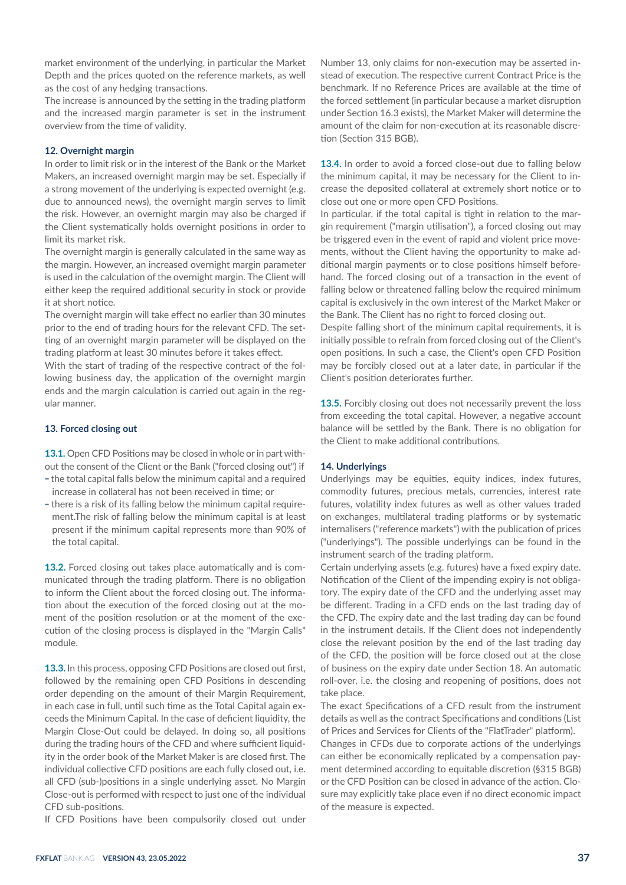market environment of the underlying, in particular the Market Depth and the prices quoted on the reference markets, as well as the cost of any hedging transactions.

The increase is announced by the setting in the trading platform and the increased margin parameter is set in the instrument overview from the time of validity.

## **12. Overnight margin**

In order to limit risk or in the interest of the Bank or the Market Makers, an increased overnight margin may be set. Especially if a strong movement of the underlying is expected overnight (e.g. due to announced news), the overnight margin serves to limit the risk. However, an overnight margin may also be charged if the Client systematically holds overnight positions in order to limit its market risk.

The overnight margin is generally calculated in the same way as the margin. However, an increased overnight margin parameter is used in the calculation of the overnight margin. The Client will either keep the required additional security in stock or provide it at short notice.

The overnight margin will take effect no earlier than 30 minutes prior to the end of trading hours for the relevant CFD. The setting of an overnight margin parameter will be displayed on the trading platform at least 30 minutes before it takes effect.

With the start of trading of the respective contract of the following business day, the application of the overnight margin ends and the margin calculation is carried out again in the regular manner.

# **13. Forced closing out**

**13.1.** Open CFD Positions may be closed in whole or in part without the consent of the Client or the Bank ("forced closing out") if

- the total capital falls below the minimum capital and a required increase in collateral has not been received in time; or
- there is a risk of its falling below the minimum capital requirement.The risk of falling below the minimum capital is at least present if the minimum capital represents more than 90% of the total capital.

**13.2.** Forced closing out takes place automatically and is communicated through the trading platform. There is no obligation to inform the Client about the forced closing out. The information about the execution of the forced closing out at the moment of the position resolution or at the moment of the execution of the closing process is displayed in the "Margin Calls" module.

**13.3.** In this process, opposing CFD Positions are closed out first, followed by the remaining open CFD Positions in descending order depending on the amount of their Margin Requirement, in each case in full, until such time as the Total Capital again exceeds the Minimum Capital. In the case of deficient liquidity, the Margin Close-Out could be delayed. In doing so, all positions during the trading hours of the CFD and where sufficient liquidity in the order book of the Market Maker is are closed first. The individual collective CFD positions are each fully closed out, i.e. all CFD (sub-)positions in a single underlying asset. No Margin Close-out is performed with respect to just one of the individual CFD sub-positions.

If CFD Positions have been compulsorily closed out under

Number 13, only claims for non-execution may be asserted instead of execution. The respective current Contract Price is the benchmark. If no Reference Prices are available at the time of the forced settlement (in particular because a market disruption under Section 16.3 exists), the Market Maker will determine the amount of the claim for non-execution at its reasonable discretion (Section 315 BGB).

**13.4.** In order to avoid a forced close-out due to falling below the minimum capital, it may be necessary for the Client to increase the deposited collateral at extremely short notice or to close out one or more open CFD Positions.

In particular, if the total capital is tight in relation to the margin requirement ("margin utilisation"), a forced closing out may be triggered even in the event of rapid and violent price movements, without the Client having the opportunity to make additional margin payments or to close positions himself beforehand. The forced closing out of a transaction in the event of falling below or threatened falling below the required minimum capital is exclusively in the own interest of the Market Maker or the Bank. The Client has no right to forced closing out.

Despite falling short of the minimum capital requirements, it is initially possible to refrain from forced closing out of the Client's open positions. In such a case, the Client's open CFD Position may be forcibly closed out at a later date, in particular if the Client's position deteriorates further.

**13.5.** Forcibly closing out does not necessarily prevent the loss from exceeding the total capital. However, a negative account balance will be settled by the Bank. There is no obligation for the Client to make additional contributions.

# **14. Underlyings**

Underlyings may be equities, equity indices, index futures, commodity futures, precious metals, currencies, interest rate futures, volatility index futures as well as other values traded on exchanges, multilateral trading platforms or by systematic internalisers ("reference markets") with the publication of prices ("underlyings"). The possible underlyings can be found in the instrument search of the trading platform.

Certain underlying assets (e.g. futures) have a fixed expiry date. Notification of the Client of the impending expiry is not obligatory. The expiry date of the CFD and the underlying asset may be different. Trading in a CFD ends on the last trading day of the CFD. The expiry date and the last trading day can be found in the instrument details. If the Client does not independently close the relevant position by the end of the last trading day of the CFD, the position will be force closed out at the close of business on the expiry date under Section 18. An automatic roll-over, i.e. the closing and reopening of positions, does not take place.

The exact Specifications of a CFD result from the instrument details as well as the contract Specifications and conditions (List of Prices and Services for Clients of the "FlatTrader" platform). Changes in CFDs due to corporate actions of the underlyings can either be economically replicated by a compensation payment determined according to equitable discretion (§315 BGB) or the CFD Position can be closed in advance of the action. Closure may explicitly take place even if no direct economic impact of the measure is expected.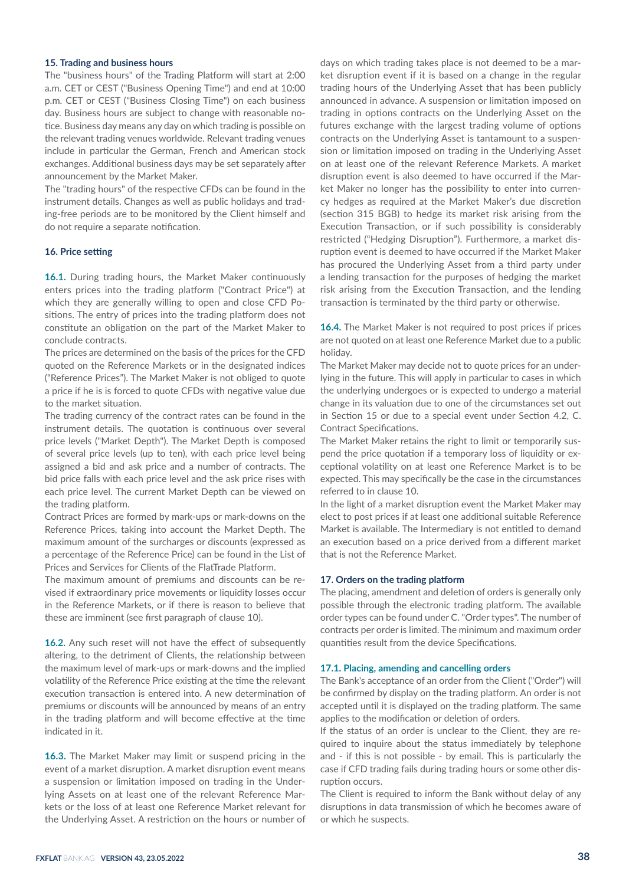# **15. Trading and business hours**

The "business hours" of the Trading Platform will start at 2:00 a.m. CET or CEST ("Business Opening Time") and end at 10:00 p.m. CET or CEST ("Business Closing Time") on each business day. Business hours are subject to change with reasonable notice. Business day means any day on which trading is possible on the relevant trading venues worldwide. Relevant trading venues include in particular the German, French and American stock exchanges. Additional business days may be set separately after announcement by the Market Maker.

The "trading hours" of the respective CFDs can be found in the instrument details. Changes as well as public holidays and trading-free periods are to be monitored by the Client himself and do not require a separate notification.

#### **16. Price setting**

**16.1.** During trading hours, the Market Maker continuously enters prices into the trading platform ("Contract Price") at which they are generally willing to open and close CFD Positions. The entry of prices into the trading platform does not constitute an obligation on the part of the Market Maker to conclude contracts.

The prices are determined on the basis of the prices for the CFD quoted on the Reference Markets or in the designated indices ("Reference Prices"). The Market Maker is not obliged to quote a price if he is is forced to quote CFDs with negative value due to the market situation.

The trading currency of the contract rates can be found in the instrument details. The quotation is continuous over several price levels ("Market Depth"). The Market Depth is composed of several price levels (up to ten), with each price level being assigned a bid and ask price and a number of contracts. The bid price falls with each price level and the ask price rises with each price level. The current Market Depth can be viewed on the trading platform.

Contract Prices are formed by mark-ups or mark-downs on the Reference Prices, taking into account the Market Depth. The maximum amount of the surcharges or discounts (expressed as a percentage of the Reference Price) can be found in the List of Prices and Services for Clients of the FlatTrade Platform.

The maximum amount of premiums and discounts can be revised if extraordinary price movements or liquidity losses occur in the Reference Markets, or if there is reason to believe that these are imminent (see first paragraph of clause 10).

**16.2.** Any such reset will not have the effect of subsequently altering, to the detriment of Clients, the relationship between the maximum level of mark-ups or mark-downs and the implied volatility of the Reference Price existing at the time the relevant execution transaction is entered into. A new determination of premiums or discounts will be announced by means of an entry in the trading platform and will become effective at the time indicated in it.

**16.3.** The Market Maker may limit or suspend pricing in the event of a market disruption. A market disruption event means a suspension or limitation imposed on trading in the Underlying Assets on at least one of the relevant Reference Markets or the loss of at least one Reference Market relevant for the Underlying Asset. A restriction on the hours or number of

days on which trading takes place is not deemed to be a market disruption event if it is based on a change in the regular trading hours of the Underlying Asset that has been publicly announced in advance. A suspension or limitation imposed on trading in options contracts on the Underlying Asset on the futures exchange with the largest trading volume of options contracts on the Underlying Asset is tantamount to a suspension or limitation imposed on trading in the Underlying Asset on at least one of the relevant Reference Markets. A market disruption event is also deemed to have occurred if the Market Maker no longer has the possibility to enter into currency hedges as required at the Market Maker's due discretion (section 315 BGB) to hedge its market risk arising from the Execution Transaction, or if such possibility is considerably restricted ("Hedging Disruption"). Furthermore, a market disruption event is deemed to have occurred if the Market Maker has procured the Underlying Asset from a third party under a lending transaction for the purposes of hedging the market risk arising from the Execution Transaction, and the lending transaction is terminated by the third party or otherwise.

**16.4.** The Market Maker is not required to post prices if prices are not quoted on at least one Reference Market due to a public holiday.

The Market Maker may decide not to quote prices for an underlying in the future. This will apply in particular to cases in which the underlying undergoes or is expected to undergo a material change in its valuation due to one of the circumstances set out in Section 15 or due to a special event under Section 4.2, C. Contract Specifications.

The Market Maker retains the right to limit or temporarily suspend the price quotation if a temporary loss of liquidity or exceptional volatility on at least one Reference Market is to be expected. This may specifically be the case in the circumstances referred to in clause 10.

In the light of a market disruption event the Market Maker may elect to post prices if at least one additional suitable Reference Market is available. The Intermediary is not entitled to demand an execution based on a price derived from a different market that is not the Reference Market.

## **17. Orders on the trading platform**

The placing, amendment and deletion of orders is generally only possible through the electronic trading platform. The available order types can be found under C. "Order types". The number of contracts per order is limited. The minimum and maximum order quantities result from the device Specifications.

#### **17.1. Placing, amending and cancelling orders**

The Bank's acceptance of an order from the Client ("Order") will be confirmed by display on the trading platform. An order is not accepted until it is displayed on the trading platform. The same applies to the modification or deletion of orders.

If the status of an order is unclear to the Client, they are required to inquire about the status immediately by telephone and - if this is not possible - by email. This is particularly the case if CFD trading fails during trading hours or some other disruption occurs.

The Client is required to inform the Bank without delay of any disruptions in data transmission of which he becomes aware of or which he suspects.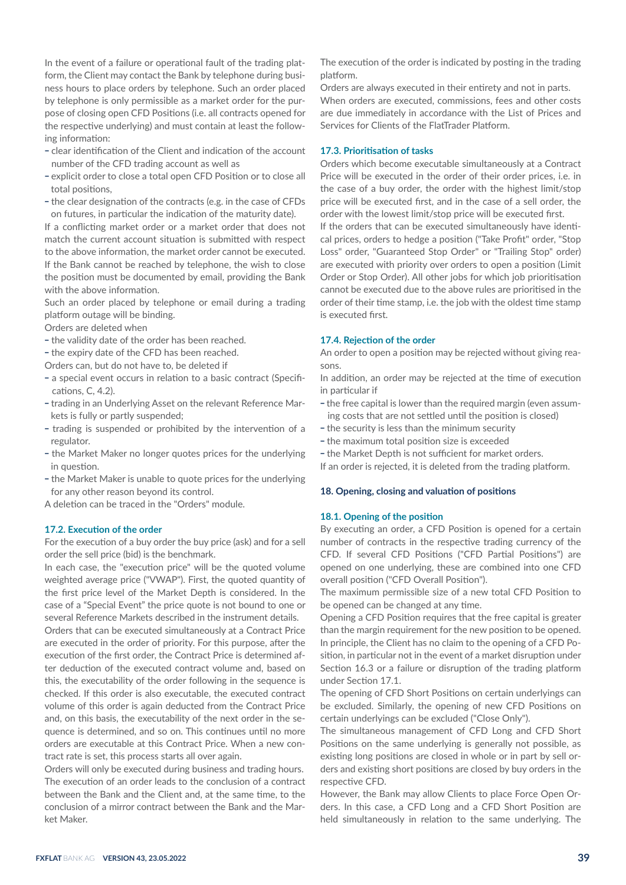In the event of a failure or operational fault of the trading platform, the Client may contact the Bank by telephone during business hours to place orders by telephone. Such an order placed by telephone is only permissible as a market order for the purpose of closing open CFD Positions (i.e. all contracts opened for the respective underlying) and must contain at least the following information:

- clear identification of the Client and indication of the account number of the CFD trading account as well as
- explicit order to close a total open CFD Position or to close all total positions,
- the clear designation of the contracts (e.g. in the case of CFDs on futures, in particular the indication of the maturity date).

If a conflicting market order or a market order that does not match the current account situation is submitted with respect to the above information, the market order cannot be executed. If the Bank cannot be reached by telephone, the wish to close the position must be documented by email, providing the Bank with the above information.

Such an order placed by telephone or email during a trading platform outage will be binding.

Orders are deleted when

- the validity date of the order has been reached.
- the expiry date of the CFD has been reached.
- Orders can, but do not have to, be deleted if
- a special event occurs in relation to a basic contract (Specifications, C, 4.2).
- trading in an Underlying Asset on the relevant Reference Markets is fully or partly suspended;
- trading is suspended or prohibited by the intervention of a regulator.
- the Market Maker no longer quotes prices for the underlying in question.
- the Market Maker is unable to quote prices for the underlying for any other reason beyond its control.

A deletion can be traced in the "Orders" module.

## **17.2. Execution of the order**

For the execution of a buy order the buy price (ask) and for a sell order the sell price (bid) is the benchmark.

In each case, the "execution price" will be the quoted volume weighted average price ("VWAP"). First, the quoted quantity of the first price level of the Market Depth is considered. In the case of a "Special Event" the price quote is not bound to one or several Reference Markets described in the instrument details.

Orders that can be executed simultaneously at a Contract Price are executed in the order of priority. For this purpose, after the execution of the first order, the Contract Price is determined after deduction of the executed contract volume and, based on this, the executability of the order following in the sequence is checked. If this order is also executable, the executed contract volume of this order is again deducted from the Contract Price and, on this basis, the executability of the next order in the sequence is determined, and so on. This continues until no more orders are executable at this Contract Price. When a new contract rate is set, this process starts all over again.

Orders will only be executed during business and trading hours. The execution of an order leads to the conclusion of a contract between the Bank and the Client and, at the same time, to the conclusion of a mirror contract between the Bank and the Market Maker.

The execution of the order is indicated by posting in the trading platform.

Orders are always executed in their entirety and not in parts. When orders are executed, commissions, fees and other costs are due immediately in accordance with the List of Prices and Services for Clients of the FlatTrader Platform.

## **17.3. Prioritisation of tasks**

Orders which become executable simultaneously at a Contract Price will be executed in the order of their order prices, i.e. in the case of a buy order, the order with the highest limit/stop price will be executed first, and in the case of a sell order, the order with the lowest limit/stop price will be executed first.

If the orders that can be executed simultaneously have identical prices, orders to hedge a position ("Take Profit" order, "Stop Loss" order, "Guaranteed Stop Order" or "Trailing Stop" order) are executed with priority over orders to open a position (Limit Order or Stop Order). All other jobs for which job prioritisation cannot be executed due to the above rules are prioritised in the order of their time stamp, i.e. the job with the oldest time stamp is executed first.

#### **17.4. Rejection of the order**

An order to open a position may be rejected without giving reasons.

In addition, an order may be rejected at the time of execution in particular if

- the free capital is lower than the required margin (even assuming costs that are not settled until the position is closed)
- the security is less than the minimum security
- the maximum total position size is exceeded
- the Market Depth is not sufficient for market orders.

If an order is rejected, it is deleted from the trading platform.

## **18. Opening, closing and valuation of positions**

## **18.1. Opening of the position**

By executing an order, a CFD Position is opened for a certain number of contracts in the respective trading currency of the CFD. If several CFD Positions ("CFD Partial Positions") are opened on one underlying, these are combined into one CFD overall position ("CFD Overall Position").

The maximum permissible size of a new total CFD Position to be opened can be changed at any time.

Opening a CFD Position requires that the free capital is greater than the margin requirement for the new position to be opened. In principle, the Client has no claim to the opening of a CFD Position, in particular not in the event of a market disruption under Section 16.3 or a failure or disruption of the trading platform under Section 17.1.

The opening of CFD Short Positions on certain underlyings can be excluded. Similarly, the opening of new CFD Positions on certain underlyings can be excluded ("Close Only").

The simultaneous management of CFD Long and CFD Short Positions on the same underlying is generally not possible, as existing long positions are closed in whole or in part by sell orders and existing short positions are closed by buy orders in the respective CFD.

However, the Bank may allow Clients to place Force Open Orders. In this case, a CFD Long and a CFD Short Position are held simultaneously in relation to the same underlying. The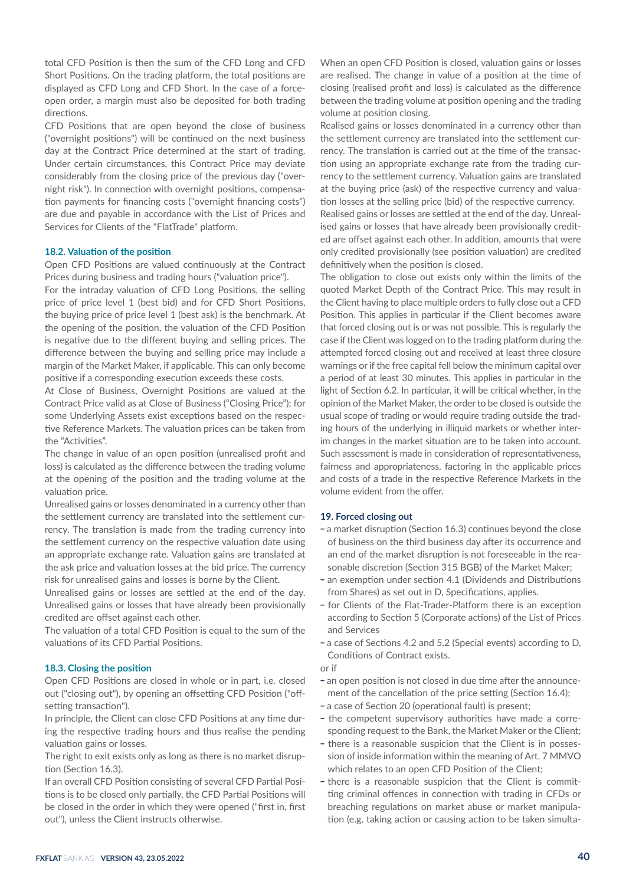total CFD Position is then the sum of the CFD Long and CFD Short Positions. On the trading platform, the total positions are displayed as CFD Long and CFD Short. In the case of a forceopen order, a margin must also be deposited for both trading directions.

CFD Positions that are open beyond the close of business ("overnight positions") will be continued on the next business day at the Contract Price determined at the start of trading. Under certain circumstances, this Contract Price may deviate considerably from the closing price of the previous day ("overnight risk"). In connection with overnight positions, compensation payments for financing costs ("overnight financing costs") are due and payable in accordance with the List of Prices and Services for Clients of the "FlatTrade" platform.

#### **18.2. Valuation of the position**

Open CFD Positions are valued continuously at the Contract Prices during business and trading hours ("valuation price").

For the intraday valuation of CFD Long Positions, the selling price of price level 1 (best bid) and for CFD Short Positions, the buying price of price level 1 (best ask) is the benchmark. At the opening of the position, the valuation of the CFD Position is negative due to the different buying and selling prices. The difference between the buying and selling price may include a margin of the Market Maker, if applicable. This can only become positive if a corresponding execution exceeds these costs.

At Close of Business, Overnight Positions are valued at the Contract Price valid as at Close of Business ("Closing Price"); for some Underlying Assets exist exceptions based on the respective Reference Markets. The valuation prices can be taken from the "Activities".

The change in value of an open position (unrealised profit and loss) is calculated as the difference between the trading volume at the opening of the position and the trading volume at the valuation price.

Unrealised gains or losses denominated in a currency other than the settlement currency are translated into the settlement currency. The translation is made from the trading currency into the settlement currency on the respective valuation date using an appropriate exchange rate. Valuation gains are translated at the ask price and valuation losses at the bid price. The currency risk for unrealised gains and losses is borne by the Client.

Unrealised gains or losses are settled at the end of the day. Unrealised gains or losses that have already been provisionally credited are offset against each other.

The valuation of a total CFD Position is equal to the sum of the valuations of its CFD Partial Positions.

# **18.3. Closing the position**

Open CFD Positions are closed in whole or in part, i.e. closed out ("closing out"), by opening an offsetting CFD Position ("offsetting transaction").

In principle, the Client can close CFD Positions at any time during the respective trading hours and thus realise the pending valuation gains or losses.

The right to exit exists only as long as there is no market disruption (Section 16.3).

If an overall CFD Position consisting of several CFD Partial Positions is to be closed only partially, the CFD Partial Positions will be closed in the order in which they were opened ("first in, first out"), unless the Client instructs otherwise.

When an open CFD Position is closed, valuation gains or losses are realised. The change in value of a position at the time of closing (realised profit and loss) is calculated as the difference between the trading volume at position opening and the trading volume at position closing.

Realised gains or losses denominated in a currency other than the settlement currency are translated into the settlement currency. The translation is carried out at the time of the transaction using an appropriate exchange rate from the trading currency to the settlement currency. Valuation gains are translated at the buying price (ask) of the respective currency and valuation losses at the selling price (bid) of the respective currency.

Realised gains or losses are settled at the end of the day. Unrealised gains or losses that have already been provisionally credited are offset against each other. In addition, amounts that were only credited provisionally (see position valuation) are credited definitively when the position is closed.

The obligation to close out exists only within the limits of the quoted Market Depth of the Contract Price. This may result in the Client having to place multiple orders to fully close out a CFD Position. This applies in particular if the Client becomes aware that forced closing out is or was not possible. This is regularly the case if the Client was logged on to the trading platform during the attempted forced closing out and received at least three closure warnings or if the free capital fell below the minimum capital over a period of at least 30 minutes. This applies in particular in the light of Section 6.2. In particular, it will be critical whether, in the opinion of the Market Maker, the order to be closed is outside the usual scope of trading or would require trading outside the trading hours of the underlying in illiquid markets or whether interim changes in the market situation are to be taken into account. Such assessment is made in consideration of representativeness, fairness and appropriateness, factoring in the applicable prices and costs of a trade in the respective Reference Markets in the volume evident from the offer.

## **19. Forced closing out**

- a market disruption (Section 16.3) continues beyond the close of business on the third business day after its occurrence and an end of the market disruption is not foreseeable in the reasonable discretion (Section 315 BGB) of the Market Maker;
- an exemption under section 4.1 (Dividends and Distributions from Shares) as set out in D, Specifications, applies.
- \_ for Clients of the Flat-Trader-Platform there is an exception according to Section 5 (Corporate actions) of the List of Prices and Services
- a case of Sections 4.2 and 5.2 (Special events) according to D, Conditions of Contract exists.
- or if
- an open position is not closed in due time after the announcement of the cancellation of the price setting (Section 16.4);
- a case of Section 20 (operational fault) is present;
- the competent supervisory authorities have made a corresponding request to the Bank, the Market Maker or the Client;
- there is a reasonable suspicion that the Client is in possession of inside information within the meaning of Art. 7 MMVO which relates to an open CFD Position of the Client;
- there is a reasonable suspicion that the Client is committing criminal offences in connection with trading in CFDs or breaching regulations on market abuse or market manipulation (e.g. taking action or causing action to be taken simulta-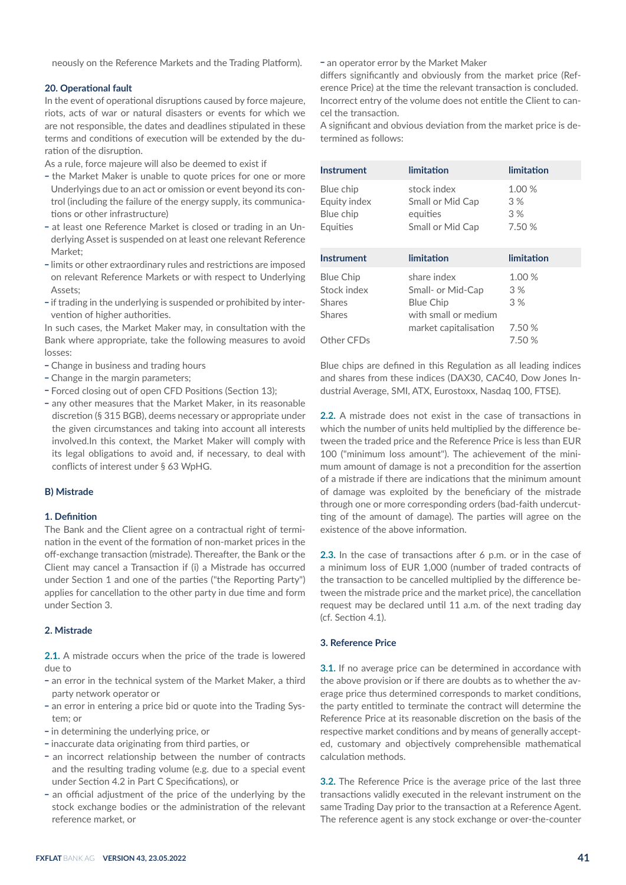neously on the Reference Markets and the Trading Platform).

## **20. Operational fault**

In the event of operational disruptions caused by force majeure, riots, acts of war or natural disasters or events for which we are not responsible, the dates and deadlines stipulated in these terms and conditions of execution will be extended by the duration of the disruption.

As a rule, force majeure will also be deemed to exist if

- the Market Maker is unable to quote prices for one or more Underlyings due to an act or omission or event beyond its control (including the failure of the energy supply, its communications or other infrastructure)
- at least one Reference Market is closed or trading in an Underlying Asset is suspended on at least one relevant Reference Market<sup>,</sup>
- \_ limits or other extraordinary rules and restrictions are imposed on relevant Reference Markets or with respect to Underlying Assets;
- if trading in the underlying is suspended or prohibited by intervention of higher authorities.

In such cases, the Market Maker may, in consultation with the Bank where appropriate, take the following measures to avoid losses:

- Change in business and trading hours
- Change in the margin parameters;
- Forced closing out of open CFD Positions (Section 13);
- any other measures that the Market Maker, in its reasonable discretion (§ 315 BGB), deems necessary or appropriate under the given circumstances and taking into account all interests involved.In this context, the Market Maker will comply with its legal obligations to avoid and, if necessary, to deal with conflicts of interest under § 63 WpHG.

#### **B) Mistrade**

## **1. Definition**

The Bank and the Client agree on a contractual right of termination in the event of the formation of non-market prices in the off-exchange transaction (mistrade). Thereafter, the Bank or the Client may cancel a Transaction if (i) a Mistrade has occurred under Section 1 and one of the parties ("the Reporting Party") applies for cancellation to the other party in due time and form under Section 3.

## **2. Mistrade**

**2.1.** A mistrade occurs when the price of the trade is lowered due to

- an error in the technical system of the Market Maker, a third party network operator or
- an error in entering a price bid or quote into the Trading System; or
- \_ in determining the underlying price, or
- \_ inaccurate data originating from third parties, or
- an incorrect relationship between the number of contracts and the resulting trading volume (e.g. due to a special event under Section 4.2 in Part C Specifications), or
- an official adjustment of the price of the underlying by the stock exchange bodies or the administration of the relevant reference market, or

- an operator error by the Market Maker

differs significantly and obviously from the market price (Reference Price) at the time the relevant transaction is concluded. Incorrect entry of the volume does not entitle the Client to cancel the transaction.

A significant and obvious deviation from the market price is determined as follows:

| Instrument                                                        | limitation                                                                                            | limitation                   |
|-------------------------------------------------------------------|-------------------------------------------------------------------------------------------------------|------------------------------|
| Blue chip<br>Equity index<br>Blue chip<br>Equities                | stock index<br>Small or Mid Cap<br>equities<br>Small or Mid Cap                                       | 1.00 %<br>3%<br>3%<br>7.50 % |
| Instrument                                                        | limitation                                                                                            | limitation                   |
| <b>Blue Chip</b><br>Stock index<br><b>Shares</b><br><b>Shares</b> | share index<br>Small- or Mid-Cap<br><b>Blue Chip</b><br>with small or medium<br>market capitalisation | 1.00 %<br>3%<br>3%<br>7.50 % |
| Other CFDs                                                        |                                                                                                       | 7.50 %                       |

Blue chips are defined in this Regulation as all leading indices and shares from these indices (DAX30, CAC40, Dow Jones Industrial Average, SMI, ATX, Eurostoxx, Nasdaq 100, FTSE).

**2.2.** A mistrade does not exist in the case of transactions in which the number of units held multiplied by the difference between the traded price and the Reference Price is less than EUR 100 ("minimum loss amount"). The achievement of the minimum amount of damage is not a precondition for the assertion of a mistrade if there are indications that the minimum amount of damage was exploited by the beneficiary of the mistrade through one or more corresponding orders (bad-faith undercutting of the amount of damage). The parties will agree on the existence of the above information.

**2.3.** In the case of transactions after 6 p.m. or in the case of a minimum loss of EUR 1,000 (number of traded contracts of the transaction to be cancelled multiplied by the difference between the mistrade price and the market price), the cancellation request may be declared until 11 a.m. of the next trading day (cf. Section 4.1).

# **3. Reference Price**

**3.1.** If no average price can be determined in accordance with the above provision or if there are doubts as to whether the average price thus determined corresponds to market conditions, the party entitled to terminate the contract will determine the Reference Price at its reasonable discretion on the basis of the respective market conditions and by means of generally accepted, customary and objectively comprehensible mathematical calculation methods.

**3.2.** The Reference Price is the average price of the last three transactions validly executed in the relevant instrument on the same Trading Day prior to the transaction at a Reference Agent. The reference agent is any stock exchange or over-the-counter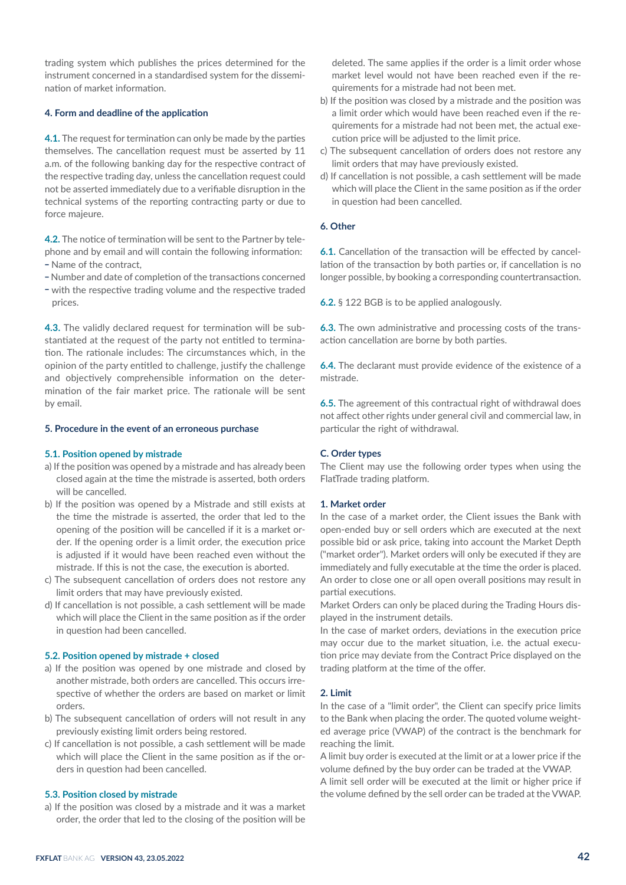trading system which publishes the prices determined for the instrument concerned in a standardised system for the dissemination of market information.

# **4. Form and deadline of the application**

**4.1.** The request for termination can only be made by the parties themselves. The cancellation request must be asserted by 11 a.m. of the following banking day for the respective contract of the respective trading day, unless the cancellation request could not be asserted immediately due to a verifiable disruption in the technical systems of the reporting contracting party or due to force majeure.

**4.2.** The notice of termination will be sent to the Partner by telephone and by email and will contain the following information:

- \_ Name of the contract,
- \_ Number and date of completion of the transactions concerned
- with the respective trading volume and the respective traded prices.

**4.3.** The validly declared request for termination will be substantiated at the request of the party not entitled to termination. The rationale includes: The circumstances which, in the opinion of the party entitled to challenge, justify the challenge and objectively comprehensible information on the determination of the fair market price. The rationale will be sent by email.

## **5. Procedure in the event of an erroneous purchase**

## **5.1. Position opened by mistrade**

- a) If the position was opened by a mistrade and has already been closed again at the time the mistrade is asserted, both orders will be cancelled.
- b) If the position was opened by a Mistrade and still exists at the time the mistrade is asserted, the order that led to the opening of the position will be cancelled if it is a market order. If the opening order is a limit order, the execution price is adjusted if it would have been reached even without the mistrade. If this is not the case, the execution is aborted.
- c) The subsequent cancellation of orders does not restore any limit orders that may have previously existed.
- d) If cancellation is not possible, a cash settlement will be made which will place the Client in the same position as if the order in question had been cancelled.

## **5.2. Position opened by mistrade + closed**

- a) If the position was opened by one mistrade and closed by another mistrade, both orders are cancelled. This occurs irrespective of whether the orders are based on market or limit orders.
- b) The subsequent cancellation of orders will not result in any previously existing limit orders being restored.
- c) If cancellation is not possible, a cash settlement will be made which will place the Client in the same position as if the orders in question had been cancelled.

#### **5.3. Position closed by mistrade**

a) If the position was closed by a mistrade and it was a market order, the order that led to the closing of the position will be deleted. The same applies if the order is a limit order whose market level would not have been reached even if the requirements for a mistrade had not been met.

- b) If the position was closed by a mistrade and the position was a limit order which would have been reached even if the requirements for a mistrade had not been met, the actual execution price will be adjusted to the limit price.
- c) The subsequent cancellation of orders does not restore any limit orders that may have previously existed.
- d) If cancellation is not possible, a cash settlement will be made which will place the Client in the same position as if the order in question had been cancelled.

#### **6. Other**

**6.1.** Cancellation of the transaction will be effected by cancellation of the transaction by both parties or, if cancellation is no longer possible, by booking a corresponding countertransaction.

**6.2.** § 122 BGB is to be applied analogously.

**6.3.** The own administrative and processing costs of the transaction cancellation are borne by both parties.

**6.4.** The declarant must provide evidence of the existence of a mistrade.

**6.5.** The agreement of this contractual right of withdrawal does not affect other rights under general civil and commercial law, in particular the right of withdrawal.

## **C. Order types**

The Client may use the following order types when using the FlatTrade trading platform.

#### **1. Market order**

In the case of a market order, the Client issues the Bank with open-ended buy or sell orders which are executed at the next possible bid or ask price, taking into account the Market Depth ("market order"). Market orders will only be executed if they are immediately and fully executable at the time the order is placed. An order to close one or all open overall positions may result in partial executions.

Market Orders can only be placed during the Trading Hours displayed in the instrument details.

In the case of market orders, deviations in the execution price may occur due to the market situation, i.e. the actual execution price may deviate from the Contract Price displayed on the trading platform at the time of the offer.

# **2. Limit**

In the case of a "limit order", the Client can specify price limits to the Bank when placing the order. The quoted volume weighted average price (VWAP) of the contract is the benchmark for reaching the limit.

A limit buy order is executed at the limit or at a lower price if the volume defined by the buy order can be traded at the VWAP. A limit sell order will be executed at the limit or higher price if the volume defined by the sell order can be traded at the VWAP.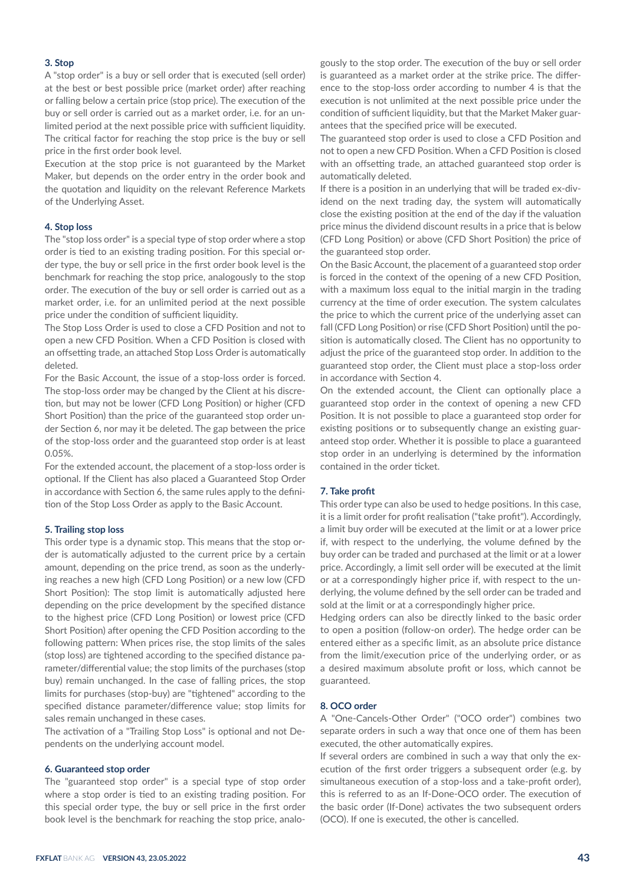# **3. Stop**

A "stop order" is a buy or sell order that is executed (sell order) at the best or best possible price (market order) after reaching or falling below a certain price (stop price). The execution of the buy or sell order is carried out as a market order, i.e. for an unlimited period at the next possible price with sufficient liquidity. The critical factor for reaching the stop price is the buy or sell price in the first order book level.

Execution at the stop price is not guaranteed by the Market Maker, but depends on the order entry in the order book and the quotation and liquidity on the relevant Reference Markets of the Underlying Asset.

## **4. Stop loss**

The "stop loss order" is a special type of stop order where a stop order is tied to an existing trading position. For this special order type, the buy or sell price in the first order book level is the benchmark for reaching the stop price, analogously to the stop order. The execution of the buy or sell order is carried out as a market order, i.e. for an unlimited period at the next possible price under the condition of sufficient liquidity.

The Stop Loss Order is used to close a CFD Position and not to open a new CFD Position. When a CFD Position is closed with an offsetting trade, an attached Stop Loss Order is automatically deleted.

For the Basic Account, the issue of a stop-loss order is forced. The stop-loss order may be changed by the Client at his discretion, but may not be lower (CFD Long Position) or higher (CFD Short Position) than the price of the guaranteed stop order under Section 6, nor may it be deleted. The gap between the price of the stop-loss order and the guaranteed stop order is at least 0.05%.

For the extended account, the placement of a stop-loss order is optional. If the Client has also placed a Guaranteed Stop Order in accordance with Section 6, the same rules apply to the definition of the Stop Loss Order as apply to the Basic Account.

#### **5. Trailing stop loss**

This order type is a dynamic stop. This means that the stop order is automatically adjusted to the current price by a certain amount, depending on the price trend, as soon as the underlying reaches a new high (CFD Long Position) or a new low (CFD Short Position): The stop limit is automatically adjusted here depending on the price development by the specified distance to the highest price (CFD Long Position) or lowest price (CFD Short Position) after opening the CFD Position according to the following pattern: When prices rise, the stop limits of the sales (stop loss) are tightened according to the specified distance parameter/differential value; the stop limits of the purchases (stop buy) remain unchanged. In the case of falling prices, the stop limits for purchases (stop-buy) are "tightened" according to the specified distance parameter/difference value; stop limits for sales remain unchanged in these cases.

The activation of a "Trailing Stop Loss" is optional and not Dependents on the underlying account model.

#### **6. Guaranteed stop order**

The "guaranteed stop order" is a special type of stop order where a stop order is tied to an existing trading position. For this special order type, the buy or sell price in the first order book level is the benchmark for reaching the stop price, analo-

gously to the stop order. The execution of the buy or sell order is guaranteed as a market order at the strike price. The difference to the stop-loss order according to number 4 is that the execution is not unlimited at the next possible price under the condition of sufficient liquidity, but that the Market Maker guarantees that the specified price will be executed.

The guaranteed stop order is used to close a CFD Position and not to open a new CFD Position. When a CFD Position is closed with an offsetting trade, an attached guaranteed stop order is automatically deleted.

If there is a position in an underlying that will be traded ex-dividend on the next trading day, the system will automatically close the existing position at the end of the day if the valuation price minus the dividend discount results in a price that is below (CFD Long Position) or above (CFD Short Position) the price of the guaranteed stop order.

On the Basic Account, the placement of a guaranteed stop order is forced in the context of the opening of a new CFD Position, with a maximum loss equal to the initial margin in the trading currency at the time of order execution. The system calculates the price to which the current price of the underlying asset can fall (CFD Long Position) or rise (CFD Short Position) until the position is automatically closed. The Client has no opportunity to adjust the price of the guaranteed stop order. In addition to the guaranteed stop order, the Client must place a stop-loss order in accordance with Section 4.

On the extended account, the Client can optionally place a guaranteed stop order in the context of opening a new CFD Position. It is not possible to place a guaranteed stop order for existing positions or to subsequently change an existing guaranteed stop order. Whether it is possible to place a guaranteed stop order in an underlying is determined by the information contained in the order ticket.

#### **7. Take profit**

This order type can also be used to hedge positions. In this case, it is a limit order for profit realisation ("take profit"). Accordingly, a limit buy order will be executed at the limit or at a lower price if, with respect to the underlying, the volume defined by the buy order can be traded and purchased at the limit or at a lower price. Accordingly, a limit sell order will be executed at the limit or at a correspondingly higher price if, with respect to the underlying, the volume defined by the sell order can be traded and sold at the limit or at a correspondingly higher price.

Hedging orders can also be directly linked to the basic order to open a position (follow-on order). The hedge order can be entered either as a specific limit, as an absolute price distance from the limit/execution price of the underlying order, or as a desired maximum absolute profit or loss, which cannot be guaranteed.

## **8. OCO order**

A "One-Cancels-Other Order" ("OCO order") combines two separate orders in such a way that once one of them has been executed, the other automatically expires.

If several orders are combined in such a way that only the execution of the first order triggers a subsequent order (e.g. by simultaneous execution of a stop-loss and a take-profit order), this is referred to as an If-Done-OCO order. The execution of the basic order (If-Done) activates the two subsequent orders (OCO). If one is executed, the other is cancelled.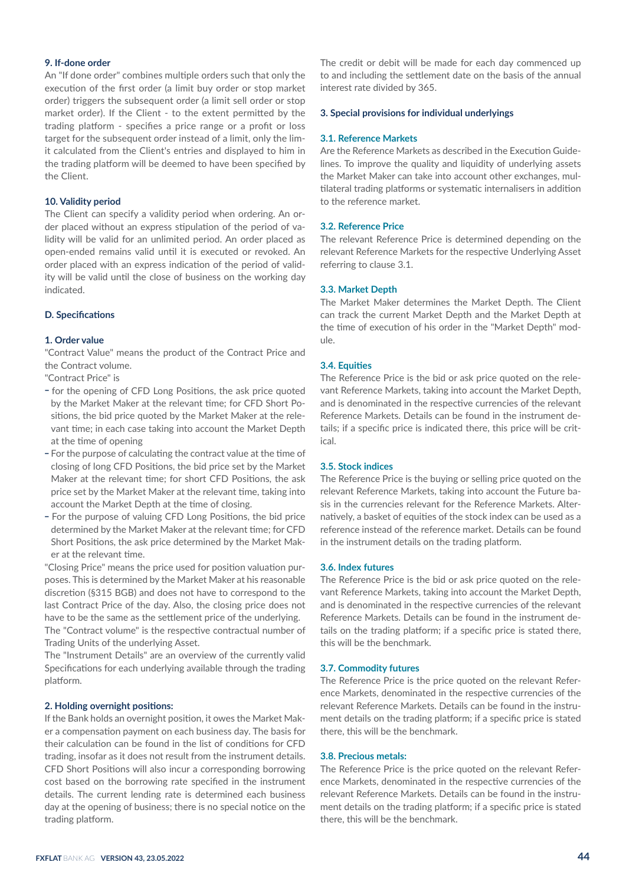# **9. If-done order**

An "If done order" combines multiple orders such that only the execution of the first order (a limit buy order or stop market order) triggers the subsequent order (a limit sell order or stop market order). If the Client - to the extent permitted by the trading platform - specifies a price range or a profit or loss target for the subsequent order instead of a limit, only the limit calculated from the Client's entries and displayed to him in the trading platform will be deemed to have been specified by the Client.

# **10. Validity period**

The Client can specify a validity period when ordering. An order placed without an express stipulation of the period of validity will be valid for an unlimited period. An order placed as open-ended remains valid until it is executed or revoked. An order placed with an express indication of the period of validity will be valid until the close of business on the working day indicated.

## **D. Specifications**

# **1. Order value**

"Contract Value" means the product of the Contract Price and the Contract volume.

"Contract Price" is

- for the opening of CFD Long Positions, the ask price quoted by the Market Maker at the relevant time; for CFD Short Positions, the bid price quoted by the Market Maker at the relevant time; in each case taking into account the Market Depth at the time of opening
- For the purpose of calculating the contract value at the time of closing of long CFD Positions, the bid price set by the Market Maker at the relevant time; for short CFD Positions, the ask price set by the Market Maker at the relevant time, taking into account the Market Depth at the time of closing.
- For the purpose of valuing CFD Long Positions, the bid price determined by the Market Maker at the relevant time; for CFD Short Positions, the ask price determined by the Market Maker at the relevant time.

"Closing Price" means the price used for position valuation purposes. This is determined by the Market Maker at his reasonable discretion (§315 BGB) and does not have to correspond to the last Contract Price of the day. Also, the closing price does not have to be the same as the settlement price of the underlying.

The "Contract volume" is the respective contractual number of Trading Units of the underlying Asset.

The "Instrument Details" are an overview of the currently valid Specifications for each underlying available through the trading platform.

## **2. Holding overnight positions:**

If the Bank holds an overnight position, it owes the Market Maker a compensation payment on each business day. The basis for their calculation can be found in the list of conditions for CFD trading, insofar as it does not result from the instrument details. CFD Short Positions will also incur a corresponding borrowing cost based on the borrowing rate specified in the instrument details. The current lending rate is determined each business day at the opening of business; there is no special notice on the trading platform.

The credit or debit will be made for each day commenced up to and including the settlement date on the basis of the annual interest rate divided by 365.

#### **3. Special provisions for individual underlyings**

#### **3.1. Reference Markets**

Are the Reference Markets as described in the Execution Guidelines. To improve the quality and liquidity of underlying assets the Market Maker can take into account other exchanges, multilateral trading platforms or systematic internalisers in addition to the reference market.

#### **3.2. Reference Price**

The relevant Reference Price is determined depending on the relevant Reference Markets for the respective Underlying Asset referring to clause 3.1.

## **3.3. Market Depth**

The Market Maker determines the Market Depth. The Client can track the current Market Depth and the Market Depth at the time of execution of his order in the "Market Depth" module.

#### **3.4. Equities**

The Reference Price is the bid or ask price quoted on the relevant Reference Markets, taking into account the Market Depth, and is denominated in the respective currencies of the relevant Reference Markets. Details can be found in the instrument details; if a specific price is indicated there, this price will be critical.

# **3.5. Stock indices**

The Reference Price is the buying or selling price quoted on the relevant Reference Markets, taking into account the Future basis in the currencies relevant for the Reference Markets. Alternatively, a basket of equities of the stock index can be used as a reference instead of the reference market. Details can be found in the instrument details on the trading platform.

#### **3.6. Index futures**

The Reference Price is the bid or ask price quoted on the relevant Reference Markets, taking into account the Market Depth, and is denominated in the respective currencies of the relevant Reference Markets. Details can be found in the instrument details on the trading platform; if a specific price is stated there, this will be the benchmark.

#### **3.7. Commodity futures**

The Reference Price is the price quoted on the relevant Reference Markets, denominated in the respective currencies of the relevant Reference Markets. Details can be found in the instrument details on the trading platform; if a specific price is stated there, this will be the benchmark.

# **3.8. Precious metals:**

The Reference Price is the price quoted on the relevant Reference Markets, denominated in the respective currencies of the relevant Reference Markets. Details can be found in the instrument details on the trading platform; if a specific price is stated there, this will be the benchmark.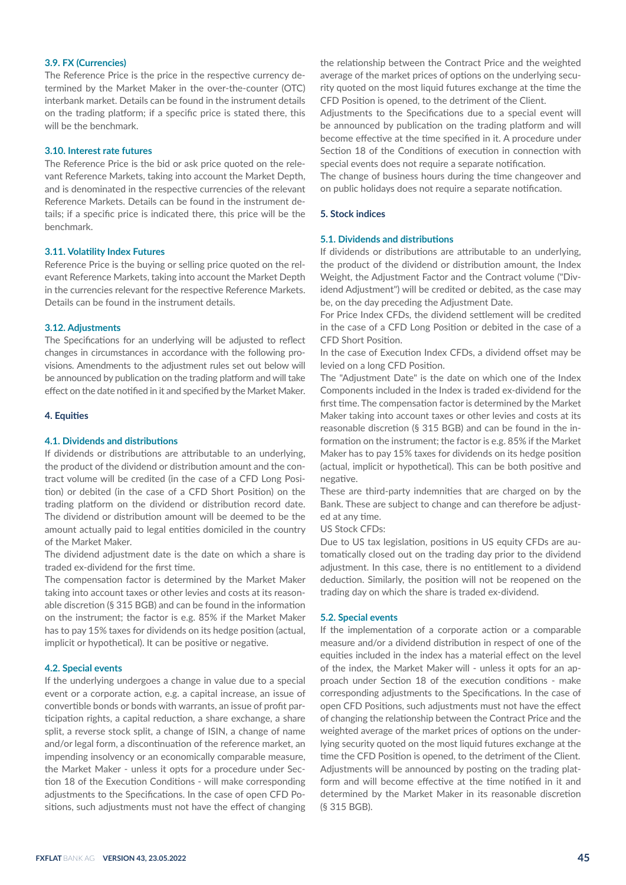# **3.9. FX (Currencies)**

The Reference Price is the price in the respective currency determined by the Market Maker in the over-the-counter (OTC) interbank market. Details can be found in the instrument details on the trading platform; if a specific price is stated there, this will be the benchmark.

#### **3.10. Interest rate futures**

The Reference Price is the bid or ask price quoted on the relevant Reference Markets, taking into account the Market Depth, and is denominated in the respective currencies of the relevant Reference Markets. Details can be found in the instrument details; if a specific price is indicated there, this price will be the benchmark.

# **3.11. Volatility Index Futures**

Reference Price is the buying or selling price quoted on the relevant Reference Markets, taking into account the Market Depth in the currencies relevant for the respective Reference Markets. Details can be found in the instrument details.

#### **3.12. Adjustments**

The Specifications for an underlying will be adjusted to reflect changes in circumstances in accordance with the following provisions. Amendments to the adjustment rules set out below will be announced by publication on the trading platform and will take effect on the date notified in it and specified by the Market Maker.

#### **4. Equities**

#### **4.1. Dividends and distributions**

If dividends or distributions are attributable to an underlying, the product of the dividend or distribution amount and the contract volume will be credited (in the case of a CFD Long Position) or debited (in the case of a CFD Short Position) on the trading platform on the dividend or distribution record date. The dividend or distribution amount will be deemed to be the amount actually paid to legal entities domiciled in the country of the Market Maker.

The dividend adjustment date is the date on which a share is traded ex-dividend for the first time.

The compensation factor is determined by the Market Maker taking into account taxes or other levies and costs at its reasonable discretion (§ 315 BGB) and can be found in the information on the instrument; the factor is e.g. 85% if the Market Maker has to pay 15% taxes for dividends on its hedge position (actual, implicit or hypothetical). It can be positive or negative.

## **4.2. Special events**

If the underlying undergoes a change in value due to a special event or a corporate action, e.g. a capital increase, an issue of convertible bonds or bonds with warrants, an issue of profit participation rights, a capital reduction, a share exchange, a share split, a reverse stock split, a change of ISIN, a change of name and/or legal form, a discontinuation of the reference market, an impending insolvency or an economically comparable measure, the Market Maker - unless it opts for a procedure under Section 18 of the Execution Conditions - will make corresponding adjustments to the Specifications. In the case of open CFD Positions, such adjustments must not have the effect of changing

the relationship between the Contract Price and the weighted average of the market prices of options on the underlying security quoted on the most liquid futures exchange at the time the CFD Position is opened, to the detriment of the Client.

Adjustments to the Specifications due to a special event will be announced by publication on the trading platform and will become effective at the time specified in it. A procedure under Section 18 of the Conditions of execution in connection with special events does not require a separate notification.

The change of business hours during the time changeover and on public holidays does not require a separate notification.

#### **5. Stock indices**

# **5.1. Dividends and distributions**

If dividends or distributions are attributable to an underlying, the product of the dividend or distribution amount, the Index Weight, the Adjustment Factor and the Contract volume ("Dividend Adjustment") will be credited or debited, as the case may be, on the day preceding the Adjustment Date.

For Price Index CFDs, the dividend settlement will be credited in the case of a CFD Long Position or debited in the case of a CFD Short Position.

In the case of Execution Index CFDs, a dividend offset may be levied on a long CFD Position.

The "Adjustment Date" is the date on which one of the Index Components included in the Index is traded ex-dividend for the first time. The compensation factor is determined by the Market Maker taking into account taxes or other levies and costs at its reasonable discretion (§ 315 BGB) and can be found in the information on the instrument; the factor is e.g. 85% if the Market Maker has to pay 15% taxes for dividends on its hedge position (actual, implicit or hypothetical). This can be both positive and negative.

These are third-party indemnities that are charged on by the Bank. These are subject to change and can therefore be adjusted at any time.

US Stock CFDs:

Due to US tax legislation, positions in US equity CFDs are automatically closed out on the trading day prior to the dividend adjustment. In this case, there is no entitlement to a dividend deduction. Similarly, the position will not be reopened on the trading day on which the share is traded ex-dividend.

#### **5.2. Special events**

If the implementation of a corporate action or a comparable measure and/or a dividend distribution in respect of one of the equities included in the index has a material effect on the level of the index, the Market Maker will - unless it opts for an approach under Section 18 of the execution conditions - make corresponding adjustments to the Specifications. In the case of open CFD Positions, such adjustments must not have the effect of changing the relationship between the Contract Price and the weighted average of the market prices of options on the underlying security quoted on the most liquid futures exchange at the time the CFD Position is opened, to the detriment of the Client. Adjustments will be announced by posting on the trading platform and will become effective at the time notified in it and determined by the Market Maker in its reasonable discretion (§ 315 BGB).